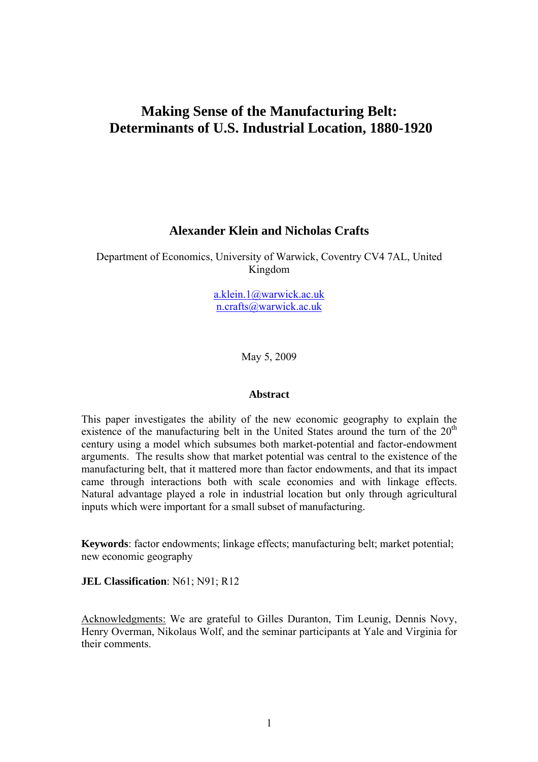# **Making Sense of the Manufacturing Belt: Determinants of U.S. Industrial Location, 1880-1920**

# **Alexander Klein and Nicholas Crafts**

Department of Economics, University of Warwick, Coventry CV4 7AL, United Kingdom

> [a.klein.1@warwick.ac.uk](mailto:a.klein.1@warwick.ac.uk) [n.crafts@warwick.ac.uk](mailto:n.crafts@warwick.ac.uk)

> > May 5, 2009

# **Abstract**

This paper investigates the ability of the new economic geography to explain the existence of the manufacturing belt in the United States around the turn of the  $20<sup>th</sup>$ century using a model which subsumes both market-potential and factor-endowment arguments. The results show that market potential was central to the existence of the manufacturing belt, that it mattered more than factor endowments, and that its impact came through interactions both with scale economies and with linkage effects. Natural advantage played a role in industrial location but only through agricultural inputs which were important for a small subset of manufacturing.

**Keywords**: factor endowments; linkage effects; manufacturing belt; market potential; new economic geography

**JEL Classification**: N61: N91: R12

Acknowledgments: We are grateful to Gilles Duranton, Tim Leunig, Dennis Novy, Henry Overman, Nikolaus Wolf, and the seminar participants at Yale and Virginia for their comments.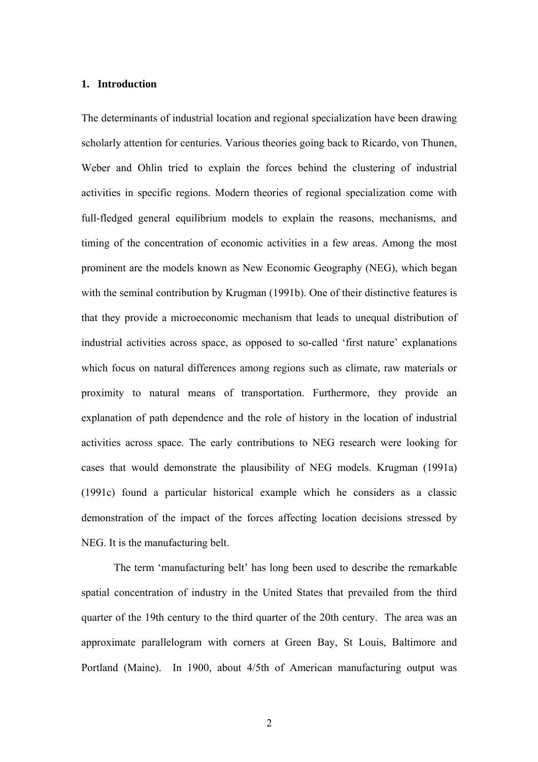### **1. Introduction**

The determinants of industrial location and regional specialization have been drawing scholarly attention for centuries. Various theories going back to Ricardo, von Thunen, Weber and Ohlin tried to explain the forces behind the clustering of industrial activities in specific regions. Modern theories of regional specialization come with full-fledged general equilibrium models to explain the reasons, mechanisms, and timing of the concentration of economic activities in a few areas. Among the most prominent are the models known as New Economic Geography (NEG), which began with the seminal contribution by Krugman (1991b). One of their distinctive features is that they provide a microeconomic mechanism that leads to unequal distribution of industrial activities across space, as opposed to so-called 'first nature' explanations which focus on natural differences among regions such as climate, raw materials or proximity to natural means of transportation. Furthermore, they provide an explanation of path dependence and the role of history in the location of industrial activities across space. The early contributions to NEG research were looking for cases that would demonstrate the plausibility of NEG models. Krugman (1991a) (1991c) found a particular historical example which he considers as a classic demonstration of the impact of the forces affecting location decisions stressed by NEG. It is the manufacturing belt.

The term 'manufacturing belt' has long been used to describe the remarkable spatial concentration of industry in the United States that prevailed from the third quarter of the 19th century to the third quarter of the 20th century. The area was an approximate parallelogram with corners at Green Bay, St Louis, Baltimore and Portland (Maine). In 1900, about 4/5th of American manufacturing output was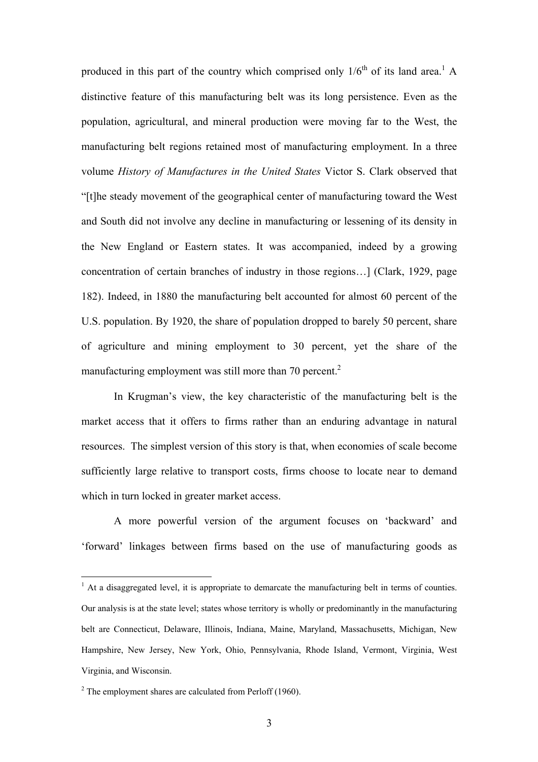produced in this part of the country which comprised only  $1/6^{th}$  $1/6^{th}$  of its land area.<sup>1</sup> A distinctive feature of this manufacturing belt was its long persistence. Even as the population, agricultural, and mineral production were moving far to the West, the manufacturing belt regions retained most of manufacturing employment. In a three volume *History of Manufactures in the United States* Victor S. Clark observed that "[t]he steady movement of the geographical center of manufacturing toward the West and South did not involve any decline in manufacturing or lessening of its density in the New England or Eastern states. It was accompanied, indeed by a growing concentration of certain branches of industry in those regions…] (Clark, 1929, page 182). Indeed, in 1880 the manufacturing belt accounted for almost 60 percent of the U.S. population. By 1920, the share of population dropped to barely 50 percent, share of agriculture and mining employment to 30 percent, yet the share of the manufacturing employment was still more than 70 percent. $2$ 

In Krugman's view, the key characteristic of the manufacturing belt is the market access that it offers to firms rather than an enduring advantage in natural resources. The simplest version of this story is that, when economies of scale become sufficiently large relative to transport costs, firms choose to locate near to demand which in turn locked in greater market access.

A more powerful version of the argument focuses on 'backward' and 'forward' linkages between firms based on the use of manufacturing goods as

 $\overline{a}$ 

<span id="page-2-0"></span> $<sup>1</sup>$  At a disaggregated level, it is appropriate to demarcate the manufacturing belt in terms of counties.</sup> Our analysis is at the state level; states whose territory is wholly or predominantly in the manufacturing belt are Connecticut, Delaware, Illinois, Indiana, Maine, Maryland, Massachusetts, Michigan, New Hampshire, New Jersey, New York, Ohio, Pennsylvania, Rhode Island, Vermont, Virginia, West Virginia, and Wisconsin.

<span id="page-2-1"></span> $2^2$  The employment shares are calculated from Perloff (1960).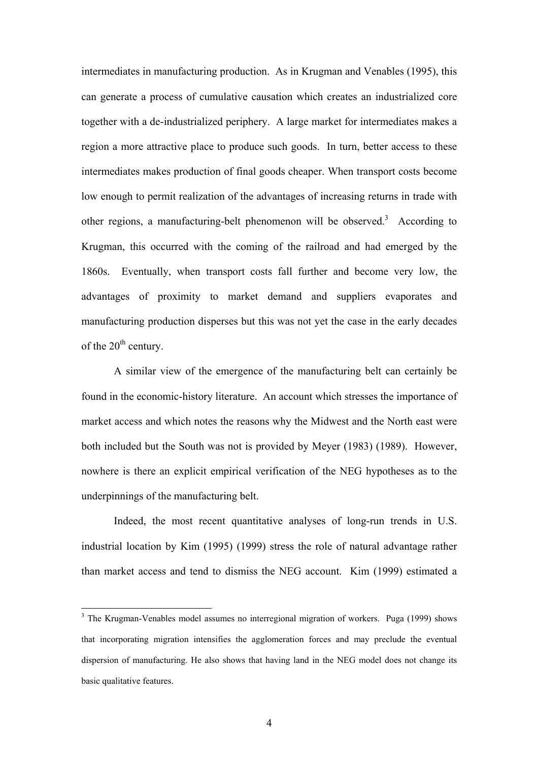intermediates in manufacturing production. As in Krugman and Venables (1995), this can generate a process of cumulative causation which creates an industrialized core together with a de-industrialized periphery. A large market for intermediates makes a region a more attractive place to produce such goods. In turn, better access to these intermediates makes production of final goods cheaper. When transport costs become low enough to permit realization of the advantages of increasing returns in trade with other regions, a manufacturing-belt phenomenon will be observed.<sup>[3](#page-3-0)</sup> According to Krugman, this occurred with the coming of the railroad and had emerged by the 1860s. Eventually, when transport costs fall further and become very low, the advantages of proximity to market demand and suppliers evaporates and manufacturing production disperses but this was not yet the case in the early decades of the  $20<sup>th</sup>$  century.

A similar view of the emergence of the manufacturing belt can certainly be found in the economic-history literature. An account which stresses the importance of market access and which notes the reasons why the Midwest and the North east were both included but the South was not is provided by Meyer (1983) (1989). However, nowhere is there an explicit empirical verification of the NEG hypotheses as to the underpinnings of the manufacturing belt.

Indeed, the most recent quantitative analyses of long-run trends in U.S. industrial location by Kim (1995) (1999) stress the role of natural advantage rather than market access and tend to dismiss the NEG account. Kim (1999) estimated a

 $\overline{a}$ 

<span id="page-3-0"></span><sup>&</sup>lt;sup>3</sup> The Krugman-Venables model assumes no interregional migration of workers. Puga (1999) shows that incorporating migration intensifies the agglomeration forces and may preclude the eventual dispersion of manufacturing. He also shows that having land in the NEG model does not change its basic qualitative features.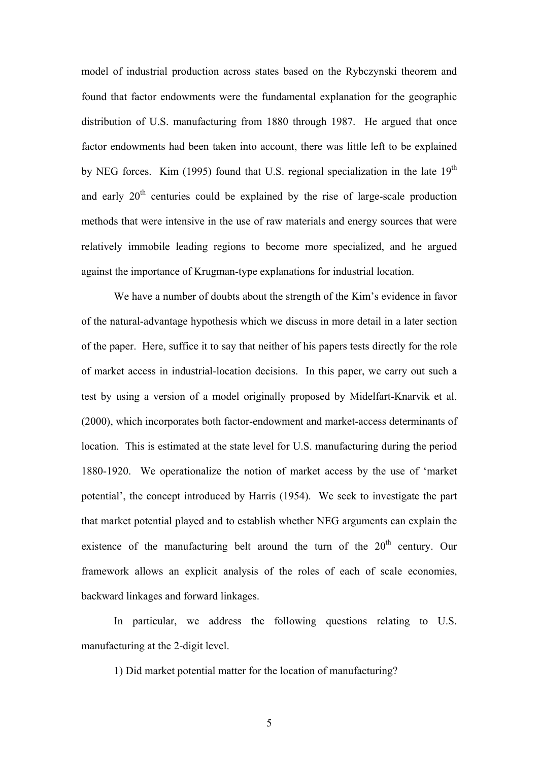model of industrial production across states based on the Rybczynski theorem and found that factor endowments were the fundamental explanation for the geographic distribution of U.S. manufacturing from 1880 through 1987. He argued that once factor endowments had been taken into account, there was little left to be explained by NEG forces. Kim (1995) found that U.S. regional specialization in the late  $19<sup>th</sup>$ and early  $20<sup>th</sup>$  centuries could be explained by the rise of large-scale production methods that were intensive in the use of raw materials and energy sources that were relatively immobile leading regions to become more specialized, and he argued against the importance of Krugman-type explanations for industrial location.

We have a number of doubts about the strength of the Kim's evidence in favor of the natural-advantage hypothesis which we discuss in more detail in a later section of the paper. Here, suffice it to say that neither of his papers tests directly for the role of market access in industrial-location decisions. In this paper, we carry out such a test by using a version of a model originally proposed by Midelfart-Knarvik et al. (2000), which incorporates both factor-endowment and market-access determinants of location. This is estimated at the state level for U.S. manufacturing during the period 1880-1920. We operationalize the notion of market access by the use of 'market potential', the concept introduced by Harris (1954). We seek to investigate the part that market potential played and to establish whether NEG arguments can explain the existence of the manufacturing belt around the turn of the  $20<sup>th</sup>$  century. Our framework allows an explicit analysis of the roles of each of scale economies, backward linkages and forward linkages.

In particular, we address the following questions relating to U.S. manufacturing at the 2-digit level.

1) Did market potential matter for the location of manufacturing?

5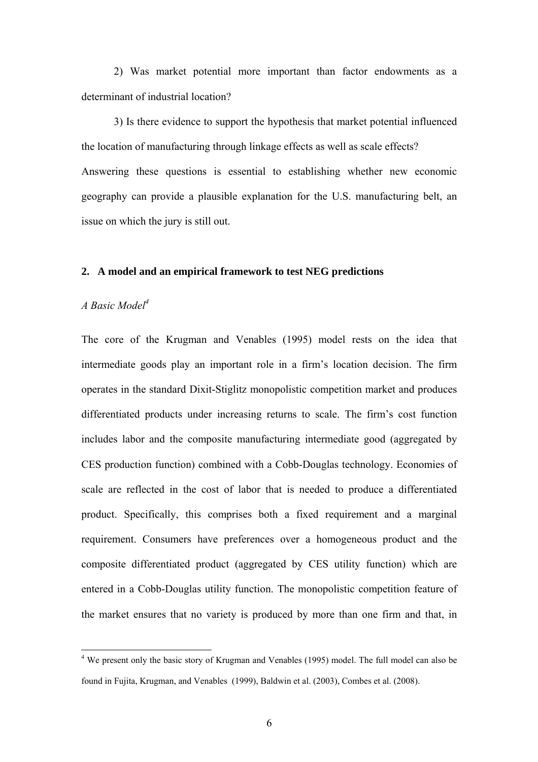2) Was market potential more important than factor endowments as a determinant of industrial location?

3) Is there evidence to support the hypothesis that market potential influenced the location of manufacturing through linkage effects as well as scale effects? Answering these questions is essential to establishing whether new economic geography can provide a plausible explanation for the U.S. manufacturing belt, an issue on which the jury is still out.

### **2. A model and an empirical framework to test NEG predictions**

# *A Basic Model[4](#page-5-0)*

The core of the Krugman and Venables (1995) model rests on the idea that intermediate goods play an important role in a firm's location decision. The firm operates in the standard Dixit-Stiglitz monopolistic competition market and produces differentiated products under increasing returns to scale. The firm's cost function includes labor and the composite manufacturing intermediate good (aggregated by CES production function) combined with a Cobb-Douglas technology. Economies of scale are reflected in the cost of labor that is needed to produce a differentiated product. Specifically, this comprises both a fixed requirement and a marginal requirement. Consumers have preferences over a homogeneous product and the composite differentiated product (aggregated by CES utility function) which are entered in a Cobb-Douglas utility function. The monopolistic competition feature of the market ensures that no variety is produced by more than one firm and that, in

<span id="page-5-0"></span><sup>&</sup>lt;sup>4</sup> We present only the basic story of Krugman and Venables (1995) model. The full model can also be found in Fujita, Krugman, and Venables (1999), Baldwin et al. (2003), Combes et al. (2008).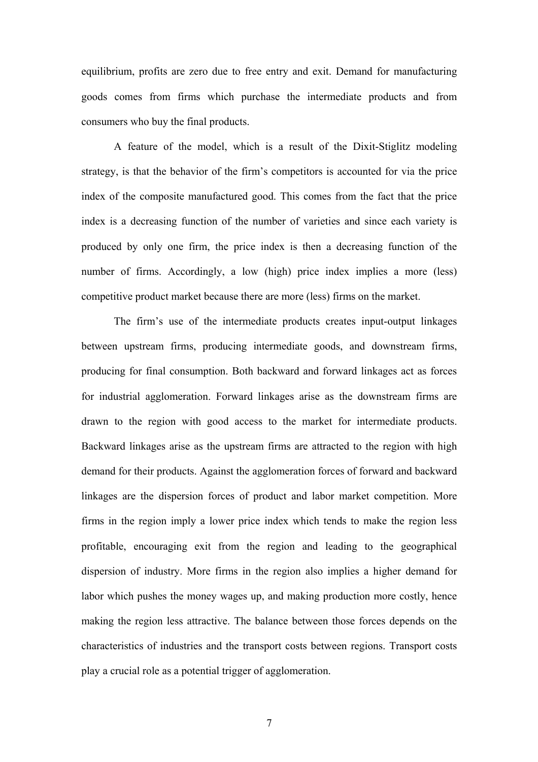equilibrium, profits are zero due to free entry and exit. Demand for manufacturing goods comes from firms which purchase the intermediate products and from consumers who buy the final products.

A feature of the model, which is a result of the Dixit-Stiglitz modeling strategy, is that the behavior of the firm's competitors is accounted for via the price index of the composite manufactured good. This comes from the fact that the price index is a decreasing function of the number of varieties and since each variety is produced by only one firm, the price index is then a decreasing function of the number of firms. Accordingly, a low (high) price index implies a more (less) competitive product market because there are more (less) firms on the market.

The firm's use of the intermediate products creates input-output linkages between upstream firms, producing intermediate goods, and downstream firms, producing for final consumption. Both backward and forward linkages act as forces for industrial agglomeration. Forward linkages arise as the downstream firms are drawn to the region with good access to the market for intermediate products. Backward linkages arise as the upstream firms are attracted to the region with high demand for their products. Against the agglomeration forces of forward and backward linkages are the dispersion forces of product and labor market competition. More firms in the region imply a lower price index which tends to make the region less profitable, encouraging exit from the region and leading to the geographical dispersion of industry. More firms in the region also implies a higher demand for labor which pushes the money wages up, and making production more costly, hence making the region less attractive. The balance between those forces depends on the characteristics of industries and the transport costs between regions. Transport costs play a crucial role as a potential trigger of agglomeration.

7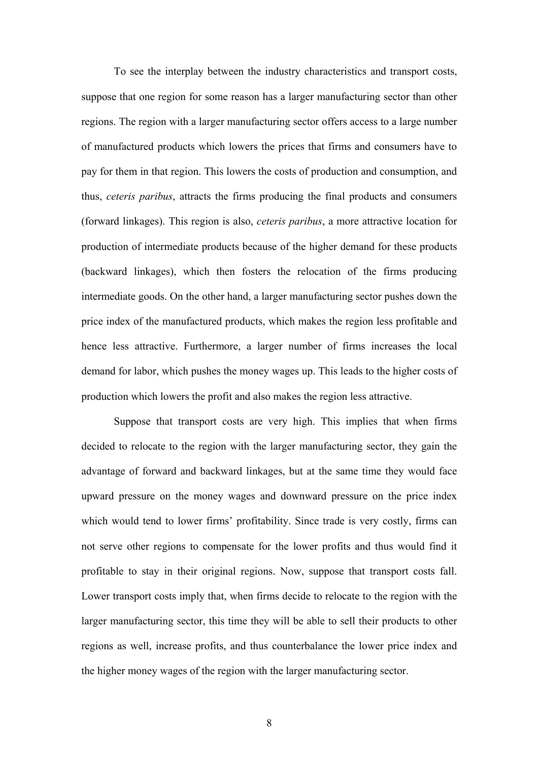To see the interplay between the industry characteristics and transport costs, suppose that one region for some reason has a larger manufacturing sector than other regions. The region with a larger manufacturing sector offers access to a large number of manufactured products which lowers the prices that firms and consumers have to pay for them in that region. This lowers the costs of production and consumption, and thus, *ceteris paribus*, attracts the firms producing the final products and consumers (forward linkages). This region is also, *ceteris paribus*, a more attractive location for production of intermediate products because of the higher demand for these products (backward linkages), which then fosters the relocation of the firms producing intermediate goods. On the other hand, a larger manufacturing sector pushes down the price index of the manufactured products, which makes the region less profitable and hence less attractive. Furthermore, a larger number of firms increases the local demand for labor, which pushes the money wages up. This leads to the higher costs of production which lowers the profit and also makes the region less attractive.

Suppose that transport costs are very high. This implies that when firms decided to relocate to the region with the larger manufacturing sector, they gain the advantage of forward and backward linkages, but at the same time they would face upward pressure on the money wages and downward pressure on the price index which would tend to lower firms' profitability. Since trade is very costly, firms can not serve other regions to compensate for the lower profits and thus would find it profitable to stay in their original regions. Now, suppose that transport costs fall. Lower transport costs imply that, when firms decide to relocate to the region with the larger manufacturing sector, this time they will be able to sell their products to other regions as well, increase profits, and thus counterbalance the lower price index and the higher money wages of the region with the larger manufacturing sector.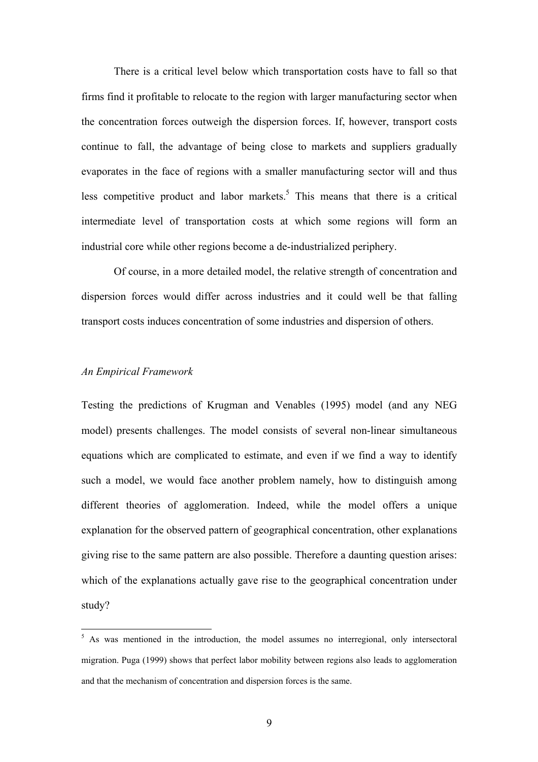There is a critical level below which transportation costs have to fall so that firms find it profitable to relocate to the region with larger manufacturing sector when the concentration forces outweigh the dispersion forces. If, however, transport costs continue to fall, the advantage of being close to markets and suppliers gradually evaporates in the face of regions with a smaller manufacturing sector will and thus less competitive product and labor markets.<sup>[5](#page-8-0)</sup> This means that there is a critical intermediate level of transportation costs at which some regions will form an industrial core while other regions become a de-industrialized periphery.

Of course, in a more detailed model, the relative strength of concentration and dispersion forces would differ across industries and it could well be that falling transport costs induces concentration of some industries and dispersion of others.

# *An Empirical Framework*

 $\overline{a}$ 

Testing the predictions of Krugman and Venables (1995) model (and any NEG model) presents challenges. The model consists of several non-linear simultaneous equations which are complicated to estimate, and even if we find a way to identify such a model, we would face another problem namely, how to distinguish among different theories of agglomeration. Indeed, while the model offers a unique explanation for the observed pattern of geographical concentration, other explanations giving rise to the same pattern are also possible. Therefore a daunting question arises: which of the explanations actually gave rise to the geographical concentration under study?

<span id="page-8-0"></span><sup>&</sup>lt;sup>5</sup> As was mentioned in the introduction, the model assumes no interregional, only intersectoral migration. Puga (1999) shows that perfect labor mobility between regions also leads to agglomeration and that the mechanism of concentration and dispersion forces is the same.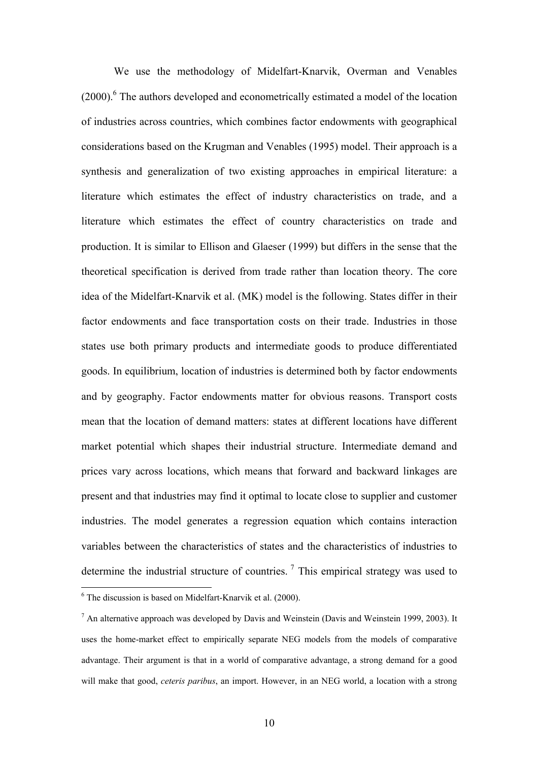We use the methodology of Midelfart-Knarvik, Overman and Venables (2000).<sup>6</sup> The authors developed and econometrically estimated a model of the location of industries across countries, which combines factor endowments with geographical considerations based on the Krugman and Venables (1995) model. Their approach is a synthesis and generalization of two existing approaches in empirical literature: a literature which estimates the effect of industry characteristics on trade, and a literature which estimates the effect of country characteristics on trade and production. It is similar to Ellison and Glaeser (1999) but differs in the sense that the theoretical specification is derived from trade rather than location theory. The core idea of the Midelfart-Knarvik et al. (MK) model is the following. States differ in their factor endowments and face transportation costs on their trade. Industries in those states use both primary products and intermediate goods to produce differentiated goods. In equilibrium, location of industries is determined both by factor endowments and by geography. Factor endowments matter for obvious reasons. Transport costs mean that the location of demand matters: states at different locations have different market potential which shapes their industrial structure. Intermediate demand and prices vary across locations, which means that forward and backward linkages are present and that industries may find it optimal to locate close to supplier and customer industries. The model generates a regression equation which contains interaction variables between the characteristics of states and the characteristics of industries to determine the industrial structure of countries.<sup>7</sup> This empirical strategy was used to

<span id="page-9-0"></span> 6 The discussion is based on Midelfart-Knarvik et al. (2000).

<span id="page-9-1"></span> $<sup>7</sup>$  An alternative approach was developed by Davis and Weinstein (Davis and Weinstein 1999, 2003). It</sup> uses the home-market effect to empirically separate NEG models from the models of comparative advantage. Their argument is that in a world of comparative advantage, a strong demand for a good will make that good, *ceteris paribus*, an import. However, in an NEG world, a location with a strong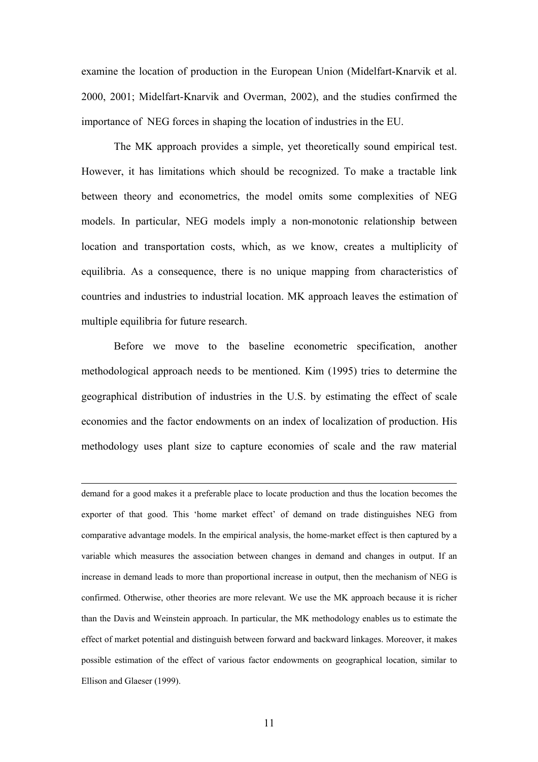examine the location of production in the European Union (Midelfart-Knarvik et al. 2000, 2001; Midelfart-Knarvik and Overman, 2002), and the studies confirmed the importance of NEG forces in shaping the location of industries in the EU.

The MK approach provides a simple, yet theoretically sound empirical test. However, it has limitations which should be recognized. To make a tractable link between theory and econometrics, the model omits some complexities of NEG models. In particular, NEG models imply a non-monotonic relationship between location and transportation costs, which, as we know, creates a multiplicity of equilibria. As a consequence, there is no unique mapping from characteristics of countries and industries to industrial location. MK approach leaves the estimation of multiple equilibria for future research.

Before we move to the baseline econometric specification, another methodological approach needs to be mentioned. Kim (1995) tries to determine the geographical distribution of industries in the U.S. by estimating the effect of scale economies and the factor endowments on an index of localization of production. His methodology uses plant size to capture economies of scale and the raw material

 demand for a good makes it a preferable place to locate production and thus the location becomes the exporter of that good. This 'home market effect' of demand on trade distinguishes NEG from comparative advantage models. In the empirical analysis, the home-market effect is then captured by a variable which measures the association between changes in demand and changes in output. If an increase in demand leads to more than proportional increase in output, then the mechanism of NEG is confirmed. Otherwise, other theories are more relevant. We use the MK approach because it is richer than the Davis and Weinstein approach. In particular, the MK methodology enables us to estimate the effect of market potential and distinguish between forward and backward linkages. Moreover, it makes possible estimation of the effect of various factor endowments on geographical location, similar to Ellison and Glaeser (1999).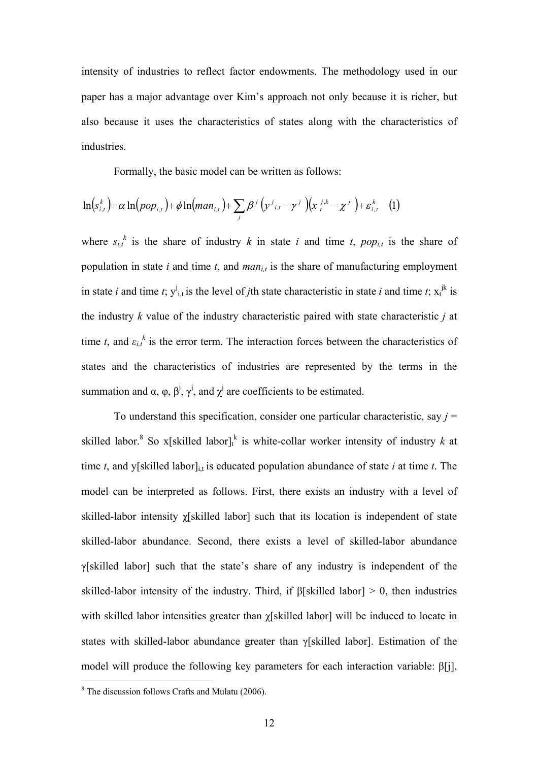intensity of industries to reflect factor endowments. The methodology used in our paper has a major advantage over Kim's approach not only because it is richer, but also because it uses the characteristics of states along with the characteristics of industries.

Formally, the basic model can be written as follows:

$$
\ln(s_{i,t}^k) = \alpha \ln(pop_{i,t}) + \phi \ln(man_{i,t}) + \sum_j \beta^j \left(\gamma^j{}_{i,t} - \gamma^j\right) \left(x_i^{j,k} - \chi^j\right) + \varepsilon_{i,t}^k \tag{1}
$$

where  $s_{i,t}^{k}$  is the share of industry *k* in state *i* and time *t*, *pop<sub>i,t</sub>* is the share of population in state  $i$  and time  $t$ , and  $man_{i,t}$  is the share of manufacturing employment in state *i* and time *t*;  $y_{i,t}^j$  is the level of *j*th state characteristic in state *i* and time *t*;  $x_t^{jk}$  is the industry *k* value of the industry characteristic paired with state characteristic *j* at time *t*, and  $\varepsilon_{i,t}^k$  is the error term. The interaction forces between the characteristics of states and the characteristics of industries are represented by the terms in the summation and α,  $\varphi$ ,  $\beta^j$ ,  $\gamma^j$ , and  $\chi^j$  are coefficients to be estimated.

To understand this specification, consider one particular characteristic, say  $j =$ skilled labor.<sup>[8](#page-11-0)</sup> So x[skilled labor]<sup>k</sup> is white-collar worker intensity of industry *k* at time *t*, and y[skilled labor]<sub>i,t</sub> is educated population abundance of state *i* at time *t*. The model can be interpreted as follows. First, there exists an industry with a level of skilled-labor intensity χ[skilled labor] such that its location is independent of state skilled-labor abundance. Second, there exists a level of skilled-labor abundance γ[skilled labor] such that the state's share of any industry is independent of the skilled-labor intensity of the industry. Third, if β[skilled labor] > 0, then industries with skilled labor intensities greater than χ[skilled labor] will be induced to locate in states with skilled-labor abundance greater than γ[skilled labor]. Estimation of the model will produce the following key parameters for each interaction variable: β[j],

<span id="page-11-0"></span> 8 The discussion follows Crafts and Mulatu (2006).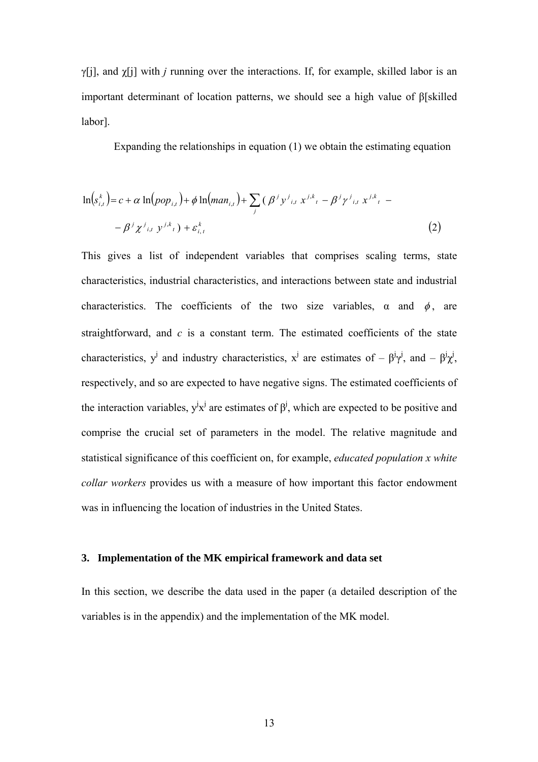γ[j], and χ[j] with *j* running over the interactions. If, for example, skilled labor is an important determinant of location patterns, we should see a high value of β[skilled labor].

Expanding the relationships in equation (1) we obtain the estimating equation

$$
\ln(s_{i,t}^{k}) = c + \alpha \ln(pop_{i,t}) + \phi \ln(man_{i,t}) + \sum_{j} (\beta^{j} y^{j}{}_{i,t} x^{j,k}{}_{t} - \beta^{j} \gamma^{j}{}_{i,t} x^{j,k}{}_{t} -\beta^{j} \gamma^{j}{}_{i,t} x^{j,k}{}_{t} -\beta^{j} \gamma^{j}{}_{i,t} x^{j,k}{}_{t}) + \varepsilon_{i,t}^{k}
$$
\n(2)

This gives a list of independent variables that comprises scaling terms, state characteristics, industrial characteristics, and interactions between state and industrial characteristics. The coefficients of the two size variables,  $\alpha$  and  $\phi$ , are straightforward, and *c* is a constant term. The estimated coefficients of the state characteristics,  $y^j$  and industry characteristics,  $x^j$  are estimates of  $-\beta^j y^j$ , and  $-\beta^j x^j$ , respectively, and so are expected to have negative signs. The estimated coefficients of the interaction variables,  $y^j x^j$  are estimates of  $\beta^j$ , which are expected to be positive and comprise the crucial set of parameters in the model. The relative magnitude and statistical significance of this coefficient on, for example, *educated population x white collar workers* provides us with a measure of how important this factor endowment was in influencing the location of industries in the United States.

### **3. Implementation of the MK empirical framework and data set**

In this section, we describe the data used in the paper (a detailed description of the variables is in the appendix) and the implementation of the MK model.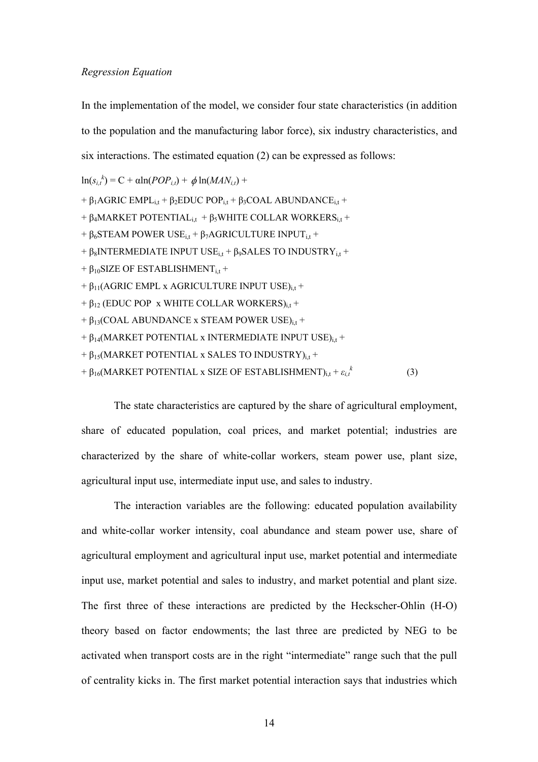### *Regression Equation*

In the implementation of the model, we consider four state characteristics (in addition to the population and the manufacturing labor force), six industry characteristics, and six interactions. The estimated equation (2) can be expressed as follows:

 $\ln(s_{i,t}^k) = C + \alpha \ln(POP_{i,t}) + \phi \ln(MAN_{i,t}) +$ 

+  $\beta_1$ AGRIC EMPL<sub>i,t</sub> +  $\beta_2$ EDUC POP<sub>i,t</sub> +  $\beta_3$ COAL ABUNDANCE<sub>i,t</sub> + + β<sub>4</sub>MARKET POTENTIAL<sub>it</sub> + β<sub>5</sub>WHITE COLLAR WORKERS<sub>it</sub> + +  $\beta_6$ STEAM POWER USE<sub>it</sub> +  $\beta_7$ AGRICULTURE INPUT<sub>it</sub> + +  $\beta_8$ INTERMEDIATE INPUT USE<sub>it</sub> +  $\beta_9$ SALES TO INDUSTRY<sub>it</sub> +  $+ \beta_{10}$ SIZE OF ESTABLISHMENT<sub>it</sub> +  $+ \beta_{11}$ (AGRIC EMPL x AGRICULTURE INPUT USE)<sub>it</sub> +  $+ \beta_{12}$  (EDUC POP x WHITE COLLAR WORKERS)<sub>it</sub> +  $+ \beta_{13}$ (COAL ABUNDANCE x STEAM POWER USE)<sub>it</sub> +  $+ \beta_{14}$ (MARKET POTENTIAL x INTERMEDIATE INPUT USE)<sub>it</sub> +

```
+ \beta_{15}(MARKET POTENTIAL x SALES TO INDUSTRY)<sub>i.t</sub> +
```

```
+ β<sub>16</sub>(MARKET POTENTIAL x SIZE OF ESTABLISHMENT)_{\text{i,t}} + \varepsilon_{i,t}<sup>k</sup>
```
The state characteristics are captured by the share of agricultural employment, share of educated population, coal prices, and market potential; industries are characterized by the share of white-collar workers, steam power use, plant size, agricultural input use, intermediate input use, and sales to industry.

(3)

The interaction variables are the following: educated population availability and white-collar worker intensity, coal abundance and steam power use, share of agricultural employment and agricultural input use, market potential and intermediate input use, market potential and sales to industry, and market potential and plant size. The first three of these interactions are predicted by the Heckscher-Ohlin (H-O) theory based on factor endowments; the last three are predicted by NEG to be activated when transport costs are in the right "intermediate" range such that the pull of centrality kicks in. The first market potential interaction says that industries which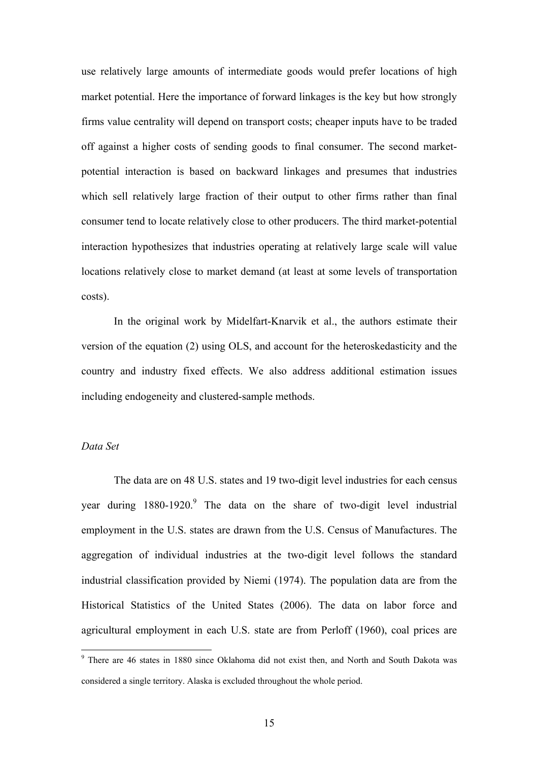use relatively large amounts of intermediate goods would prefer locations of high market potential. Here the importance of forward linkages is the key but how strongly firms value centrality will depend on transport costs; cheaper inputs have to be traded off against a higher costs of sending goods to final consumer. The second marketpotential interaction is based on backward linkages and presumes that industries which sell relatively large fraction of their output to other firms rather than final consumer tend to locate relatively close to other producers. The third market-potential interaction hypothesizes that industries operating at relatively large scale will value locations relatively close to market demand (at least at some levels of transportation costs).

In the original work by Midelfart-Knarvik et al., the authors estimate their version of the equation (2) using OLS, and account for the heteroskedasticity and the country and industry fixed effects. We also address additional estimation issues including endogeneity and clustered-sample methods.

# *Data Set*

The data are on 48 U.S. states and 19 two-digit level industries for each census year during  $1880-1920$  $1880-1920$  $1880-1920$ . The data on the share of two-digit level industrial employment in the U.S. states are drawn from the U.S. Census of Manufactures. The aggregation of individual industries at the two-digit level follows the standard industrial classification provided by Niemi (1974). The population data are from the Historical Statistics of the United States (2006). The data on labor force and agricultural employment in each U.S. state are from Perloff (1960), coal prices are

<span id="page-14-0"></span><sup>&</sup>lt;sup>9</sup> There are 46 states in 1880 since Oklahoma did not exist then, and North and South Dakota was considered a single territory. Alaska is excluded throughout the whole period.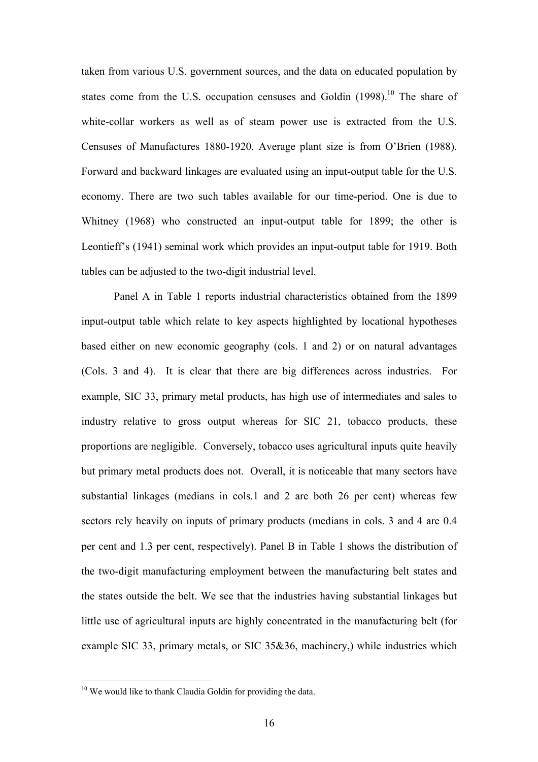taken from various U.S. government sources, and the data on educated population by states come from the U.S. occupation censuses and Goldin  $(1998)$ <sup>10</sup>. The share of white-collar workers as well as of steam power use is extracted from the U.S. Censuses of Manufactures 1880-1920. Average plant size is from O'Brien (1988). Forward and backward linkages are evaluated using an input-output table for the U.S. economy. There are two such tables available for our time-period. One is due to Whitney (1968) who constructed an input-output table for 1899; the other is Leontieff's (1941) seminal work which provides an input-output table for 1919. Both tables can be adjusted to the two-digit industrial level.

Panel A in Table 1 reports industrial characteristics obtained from the 1899 input-output table which relate to key aspects highlighted by locational hypotheses based either on new economic geography (cols. 1 and 2) or on natural advantages (Cols. 3 and 4). It is clear that there are big differences across industries. For example, SIC 33, primary metal products, has high use of intermediates and sales to industry relative to gross output whereas for SIC 21, tobacco products, these proportions are negligible. Conversely, tobacco uses agricultural inputs quite heavily but primary metal products does not. Overall, it is noticeable that many sectors have substantial linkages (medians in cols.1 and 2 are both 26 per cent) whereas few sectors rely heavily on inputs of primary products (medians in cols. 3 and 4 are 0.4 per cent and 1.3 per cent, respectively). Panel B in Table 1 shows the distribution of the two-digit manufacturing employment between the manufacturing belt states and the states outside the belt. We see that the industries having substantial linkages but little use of agricultural inputs are highly concentrated in the manufacturing belt (for example SIC 33, primary metals, or SIC 35&36, machinery,) while industries which

 $\overline{a}$ 

<span id="page-15-0"></span><sup>&</sup>lt;sup>10</sup> We would like to thank Claudia Goldin for providing the data.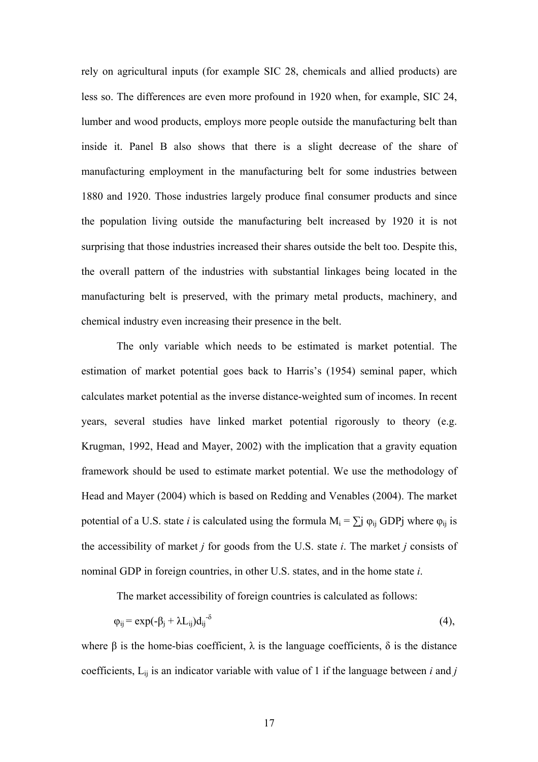rely on agricultural inputs (for example SIC 28, chemicals and allied products) are less so. The differences are even more profound in 1920 when, for example, SIC 24, lumber and wood products, employs more people outside the manufacturing belt than inside it. Panel B also shows that there is a slight decrease of the share of manufacturing employment in the manufacturing belt for some industries between 1880 and 1920. Those industries largely produce final consumer products and since the population living outside the manufacturing belt increased by 1920 it is not surprising that those industries increased their shares outside the belt too. Despite this, the overall pattern of the industries with substantial linkages being located in the manufacturing belt is preserved, with the primary metal products, machinery, and chemical industry even increasing their presence in the belt.

The only variable which needs to be estimated is market potential. The estimation of market potential goes back to Harris's (1954) seminal paper, which calculates market potential as the inverse distance-weighted sum of incomes. In recent years, several studies have linked market potential rigorously to theory (e.g. Krugman, 1992, Head and Mayer, 2002) with the implication that a gravity equation framework should be used to estimate market potential. We use the methodology of Head and Mayer (2004) which is based on Redding and Venables (2004). The market potential of a U.S. state *i* is calculated using the formula  $M_i = \sum j \varphi_{ij} GDPj$  where  $\varphi_{ij}$  is the accessibility of market *j* for goods from the U.S. state *i*. The market *j* consists of nominal GDP in foreign countries, in other U.S. states, and in the home state *i*.

The market accessibility of foreign countries is calculated as follows:

$$
\varphi_{ij} = \exp(-\beta_j + \lambda L_{ij}) d_{ij}^{-\delta} \tag{4},
$$

where  $\beta$  is the home-bias coefficient,  $\lambda$  is the language coefficients,  $\delta$  is the distance coefficients,  $L_{ij}$  is an indicator variable with value of 1 if the language between *i* and *j*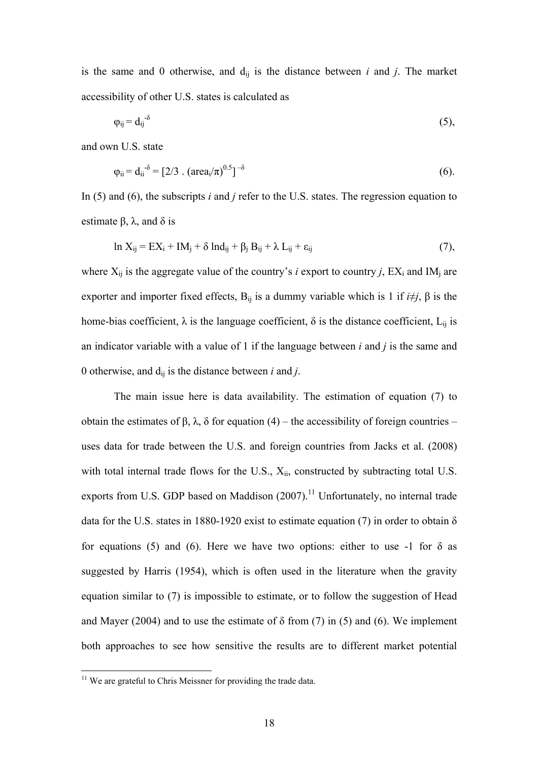is the same and 0 otherwise, and  $d_{ij}$  is the distance between  $i$  and  $j$ . The market accessibility of other U.S. states is calculated as

$$
\varphi_{ij} = d_{ij}^{-\delta} \tag{5}
$$

and own U.S. state

$$
\varphi_{ii} = d_{ii}^{-\delta} = [2/3 \cdot (\text{area}_i/\pi)^{0.5}]^{-\delta} \tag{6}.
$$

In (5) and (6), the subscripts *i* and *j* refer to the U.S. states. The regression equation to estimate  $β$ ,  $λ$ , and  $δ$  is

$$
\ln X_{ij} = EX_i + IM_j + \delta Ind_{ij} + \beta_j B_{ij} + \lambda L_{ij} + \epsilon_{ij}
$$
\n(7),

where  $X_{ij}$  is the aggregate value of the country's *i* export to country *j*,  $EX_i$  and  $IM_j$  are exporter and importer fixed effects,  $B_{ii}$  is a dummy variable which is 1 if  $i \neq j$ ,  $\beta$  is the home-bias coefficient,  $\lambda$  is the language coefficient,  $\delta$  is the distance coefficient,  $L_{ii}$  is an indicator variable with a value of 1 if the language between *i* and *j* is the same and 0 otherwise, and dij is the distance between *i* and *j*.

The main issue here is data availability. The estimation of equation (7) to obtain the estimates of β, λ, δ for equation (4) – the accessibility of foreign countries – uses data for trade between the U.S. and foreign countries from Jacks et al. (2008) with total internal trade flows for the U.S.,  $X_{ii}$ , constructed by subtracting total U.S. exports from U.S. GDP based on Maddison  $(2007)$ .<sup>11</sup> Unfortunately, no internal trade data for the U.S. states in 1880-1920 exist to estimate equation (7) in order to obtain  $\delta$ for equations (5) and (6). Here we have two options: either to use -1 for  $\delta$  as suggested by Harris (1954), which is often used in the literature when the gravity equation similar to (7) is impossible to estimate, or to follow the suggestion of Head and Mayer (2004) and to use the estimate of  $\delta$  from (7) in (5) and (6). We implement both approaches to see how sensitive the results are to different market potential

 $\overline{a}$ 

<span id="page-17-0"></span> $11$  We are grateful to Chris Meissner for providing the trade data.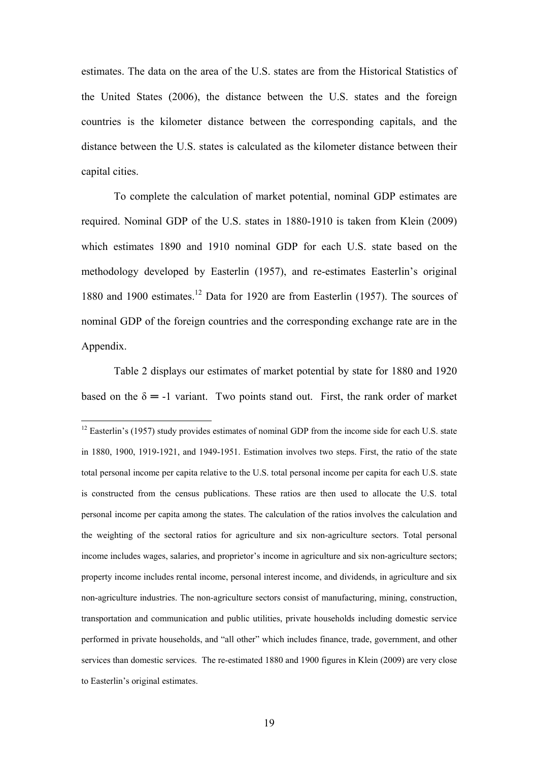estimates. The data on the area of the U.S. states are from the Historical Statistics of the United States (2006), the distance between the U.S. states and the foreign countries is the kilometer distance between the corresponding capitals, and the distance between the U.S. states is calculated as the kilometer distance between their capital cities.

To complete the calculation of market potential, nominal GDP estimates are required. Nominal GDP of the U.S. states in 1880-1910 is taken from Klein (2009) which estimates 1890 and 1910 nominal GDP for each U.S. state based on the methodology developed by Easterlin (1957), and re-estimates Easterlin's original 1880 and 1900 estimates.<sup>12</sup> Data for 1920 are from Easterlin (1957). The sources of nominal GDP of the foreign countries and the corresponding exchange rate are in the Appendix.

Table 2 displays our estimates of market potential by state for 1880 and 1920 based on the  $\delta = -1$  variant. Two points stand out. First, the rank order of market

 $\overline{a}$ 

<span id="page-18-0"></span> $12$  Easterlin's (1957) study provides estimates of nominal GDP from the income side for each U.S. state in 1880, 1900, 1919-1921, and 1949-1951. Estimation involves two steps. First, the ratio of the state total personal income per capita relative to the U.S. total personal income per capita for each U.S. state is constructed from the census publications. These ratios are then used to allocate the U.S. total personal income per capita among the states. The calculation of the ratios involves the calculation and the weighting of the sectoral ratios for agriculture and six non-agriculture sectors. Total personal income includes wages, salaries, and proprietor's income in agriculture and six non-agriculture sectors; property income includes rental income, personal interest income, and dividends, in agriculture and six non-agriculture industries. The non-agriculture sectors consist of manufacturing, mining, construction, transportation and communication and public utilities, private households including domestic service performed in private households, and "all other" which includes finance, trade, government, and other services than domestic services. The re-estimated 1880 and 1900 figures in Klein (2009) are very close to Easterlin's original estimates.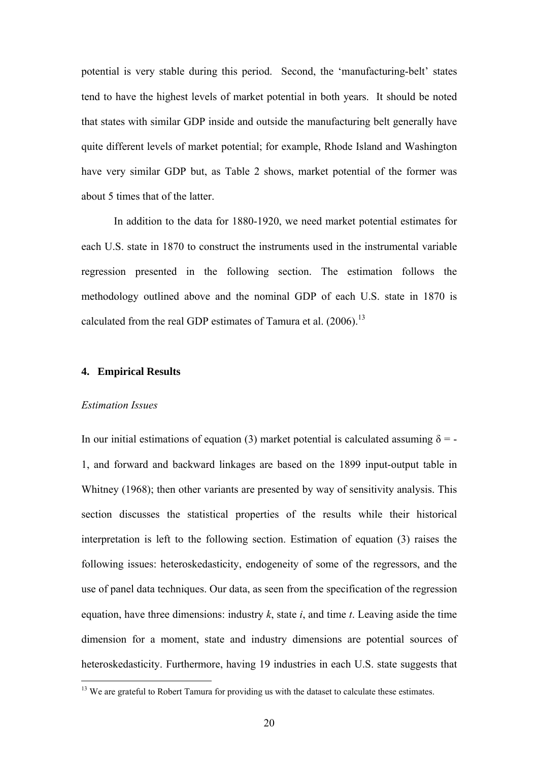potential is very stable during this period. Second, the 'manufacturing-belt' states tend to have the highest levels of market potential in both years. It should be noted that states with similar GDP inside and outside the manufacturing belt generally have quite different levels of market potential; for example, Rhode Island and Washington have very similar GDP but, as Table 2 shows, market potential of the former was about 5 times that of the latter.

In addition to the data for 1880-1920, we need market potential estimates for each U.S. state in 1870 to construct the instruments used in the instrumental variable regression presented in the following section. The estimation follows the methodology outlined above and the nominal GDP of each U.S. state in 1870 is calculated from the real GDP estimates of Tamura et al.  $(2006)$ <sup>13</sup>

# **4. Empirical Results**

#### *Estimation Issues*

 $\overline{a}$ 

In our initial estimations of equation (3) market potential is calculated assuming  $\delta$  = -1, and forward and backward linkages are based on the 1899 input-output table in Whitney (1968); then other variants are presented by way of sensitivity analysis. This section discusses the statistical properties of the results while their historical interpretation is left to the following section. Estimation of equation (3) raises the following issues: heteroskedasticity, endogeneity of some of the regressors, and the use of panel data techniques. Our data, as seen from the specification of the regression equation, have three dimensions: industry *k*, state *i*, and time *t*. Leaving aside the time dimension for a moment, state and industry dimensions are potential sources of heteroskedasticity. Furthermore, having 19 industries in each U.S. state suggests that

<span id="page-19-0"></span><sup>&</sup>lt;sup>13</sup> We are grateful to Robert Tamura for providing us with the dataset to calculate these estimates.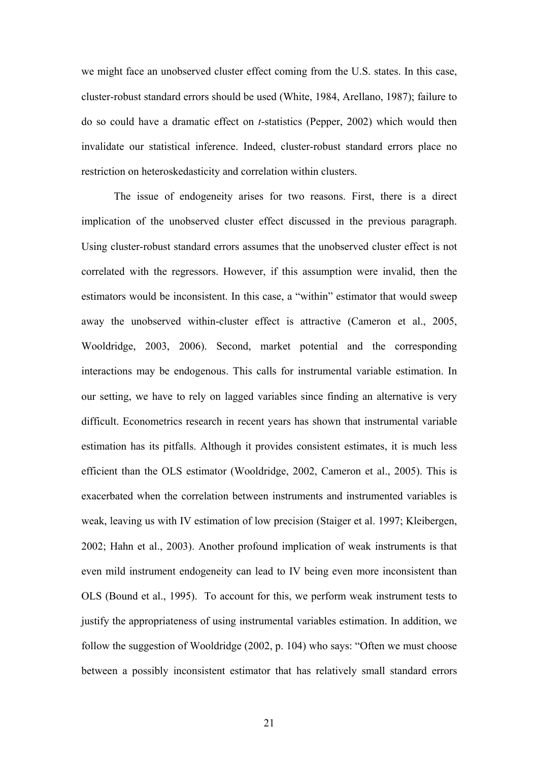we might face an unobserved cluster effect coming from the U.S. states. In this case, cluster-robust standard errors should be used (White, 1984, Arellano, 1987); failure to do so could have a dramatic effect on *t*-statistics (Pepper, 2002) which would then invalidate our statistical inference. Indeed, cluster-robust standard errors place no restriction on heteroskedasticity and correlation within clusters.

The issue of endogeneity arises for two reasons. First, there is a direct implication of the unobserved cluster effect discussed in the previous paragraph. Using cluster-robust standard errors assumes that the unobserved cluster effect is not correlated with the regressors. However, if this assumption were invalid, then the estimators would be inconsistent. In this case, a "within" estimator that would sweep away the unobserved within-cluster effect is attractive (Cameron et al., 2005, Wooldridge, 2003, 2006). Second, market potential and the corresponding interactions may be endogenous. This calls for instrumental variable estimation. In our setting, we have to rely on lagged variables since finding an alternative is very difficult. Econometrics research in recent years has shown that instrumental variable estimation has its pitfalls. Although it provides consistent estimates, it is much less efficient than the OLS estimator (Wooldridge, 2002, Cameron et al., 2005). This is exacerbated when the correlation between instruments and instrumented variables is weak, leaving us with IV estimation of low precision (Staiger et al. 1997; Kleibergen, 2002; Hahn et al., 2003). Another profound implication of weak instruments is that even mild instrument endogeneity can lead to IV being even more inconsistent than OLS (Bound et al., 1995). To account for this, we perform weak instrument tests to justify the appropriateness of using instrumental variables estimation. In addition, we follow the suggestion of Wooldridge (2002, p. 104) who says: "Often we must choose between a possibly inconsistent estimator that has relatively small standard errors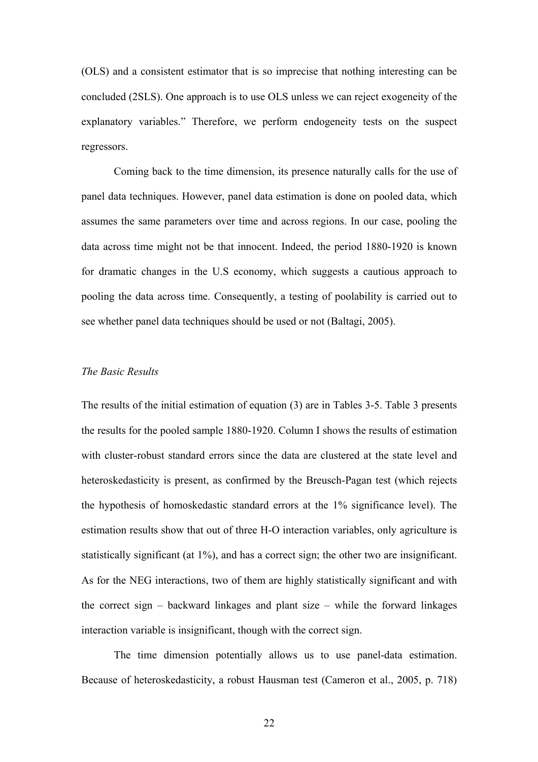(OLS) and a consistent estimator that is so imprecise that nothing interesting can be concluded (2SLS). One approach is to use OLS unless we can reject exogeneity of the explanatory variables." Therefore, we perform endogeneity tests on the suspect regressors.

Coming back to the time dimension, its presence naturally calls for the use of panel data techniques. However, panel data estimation is done on pooled data, which assumes the same parameters over time and across regions. In our case, pooling the data across time might not be that innocent. Indeed, the period 1880-1920 is known for dramatic changes in the U.S economy, which suggests a cautious approach to pooling the data across time. Consequently, a testing of poolability is carried out to see whether panel data techniques should be used or not (Baltagi, 2005).

# *The Basic Results*

The results of the initial estimation of equation (3) are in Tables 3-5. Table 3 presents the results for the pooled sample 1880-1920. Column I shows the results of estimation with cluster-robust standard errors since the data are clustered at the state level and heteroskedasticity is present, as confirmed by the Breusch-Pagan test (which rejects the hypothesis of homoskedastic standard errors at the 1% significance level). The estimation results show that out of three H-O interaction variables, only agriculture is statistically significant (at 1%), and has a correct sign; the other two are insignificant. As for the NEG interactions, two of them are highly statistically significant and with the correct sign – backward linkages and plant size – while the forward linkages interaction variable is insignificant, though with the correct sign.

The time dimension potentially allows us to use panel-data estimation. Because of heteroskedasticity, a robust Hausman test (Cameron et al., 2005, p. 718)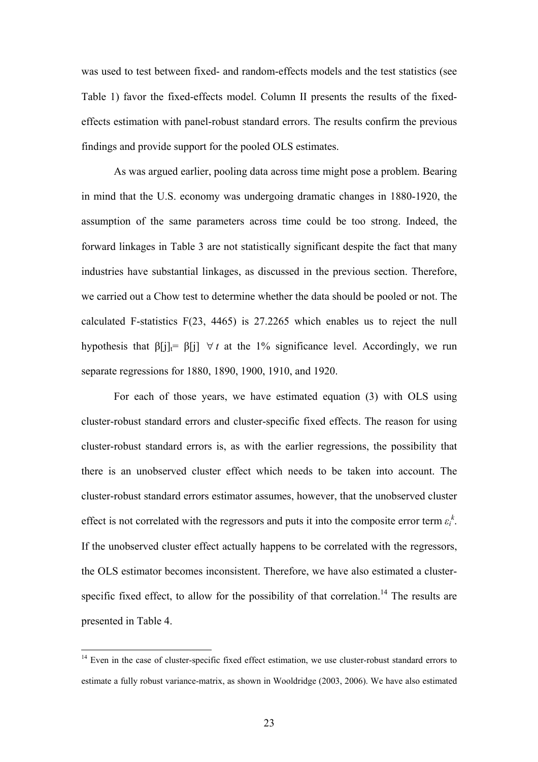was used to test between fixed- and random-effects models and the test statistics (see Table 1) favor the fixed-effects model. Column II presents the results of the fixedeffects estimation with panel-robust standard errors. The results confirm the previous findings and provide support for the pooled OLS estimates.

As was argued earlier, pooling data across time might pose a problem. Bearing in mind that the U.S. economy was undergoing dramatic changes in 1880-1920, the assumption of the same parameters across time could be too strong. Indeed, the forward linkages in Table 3 are not statistically significant despite the fact that many industries have substantial linkages, as discussed in the previous section. Therefore, we carried out a Chow test to determine whether the data should be pooled or not. The calculated F-statistics F(23, 4465) is 27.2265 which enables us to reject the null hypothesis that  $\beta[j]_t = \beta[j] \ \forall t$  at the 1% significance level. Accordingly, we run separate regressions for 1880, 1890, 1900, 1910, and 1920.

For each of those years, we have estimated equation (3) with OLS using cluster-robust standard errors and cluster-specific fixed effects. The reason for using cluster-robust standard errors is, as with the earlier regressions, the possibility that there is an unobserved cluster effect which needs to be taken into account. The cluster-robust standard errors estimator assumes, however, that the unobserved cluster effect is not correlated with the regressors and puts it into the composite error term  $\varepsilon_i^k$ . If the unobserved cluster effect actually happens to be correlated with the regressors, the OLS estimator becomes inconsistent. Therefore, we have also estimated a clusterspecific fixed effect, to allow for the possibility of that correlation.<sup>14</sup> The results are presented in Table 4.

 $\overline{a}$ 

<span id="page-22-0"></span><sup>&</sup>lt;sup>14</sup> Even in the case of cluster-specific fixed effect estimation, we use cluster-robust standard errors to estimate a fully robust variance-matrix, as shown in Wooldridge (2003, 2006). We have also estimated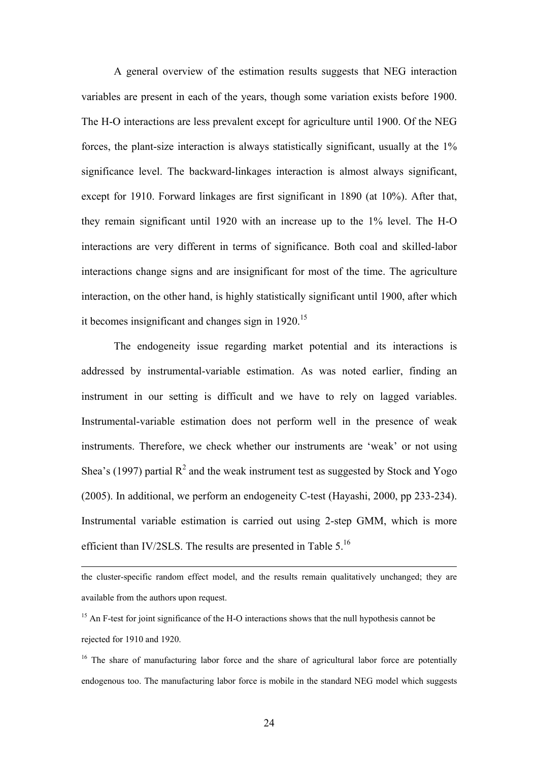A general overview of the estimation results suggests that NEG interaction variables are present in each of the years, though some variation exists before 1900. The H-O interactions are less prevalent except for agriculture until 1900. Of the NEG forces, the plant-size interaction is always statistically significant, usually at the 1% significance level. The backward-linkages interaction is almost always significant, except for 1910. Forward linkages are first significant in 1890 (at 10%). After that, they remain significant until 1920 with an increase up to the 1% level. The H-O interactions are very different in terms of significance. Both coal and skilled-labor interactions change signs and are insignificant for most of the time. The agriculture interaction, on the other hand, is highly statistically significant until 1900, after which it becomes insignificant and changes sign in  $1920$ <sup>[15](#page-23-0)</sup>

The endogeneity issue regarding market potential and its interactions is addressed by instrumental-variable estimation. As was noted earlier, finding an instrument in our setting is difficult and we have to rely on lagged variables. Instrumental-variable estimation does not perform well in the presence of weak instruments. Therefore, we check whether our instruments are 'weak' or not using Shea's (1997) partial  $R^2$  and the weak instrument test as suggested by Stock and Yogo (2005). In additional, we perform an endogeneity C-test (Hayashi, 2000, pp 233-234). Instrumental variable estimation is carried out using 2-step GMM, which is more efficient than IV/2SLS. The results are presented in Table 5.<sup>16</sup>

the cluster-specific random effect model, and the results remain qualitatively unchanged; they are available from the authors upon request.

<span id="page-23-0"></span><sup>&</sup>lt;sup>15</sup> An F-test for joint significance of the H-O interactions shows that the null hypothesis cannot be rejected for 1910 and 1920.

<span id="page-23-1"></span> $16$  The share of manufacturing labor force and the share of agricultural labor force are potentially endogenous too. The manufacturing labor force is mobile in the standard NEG model which suggests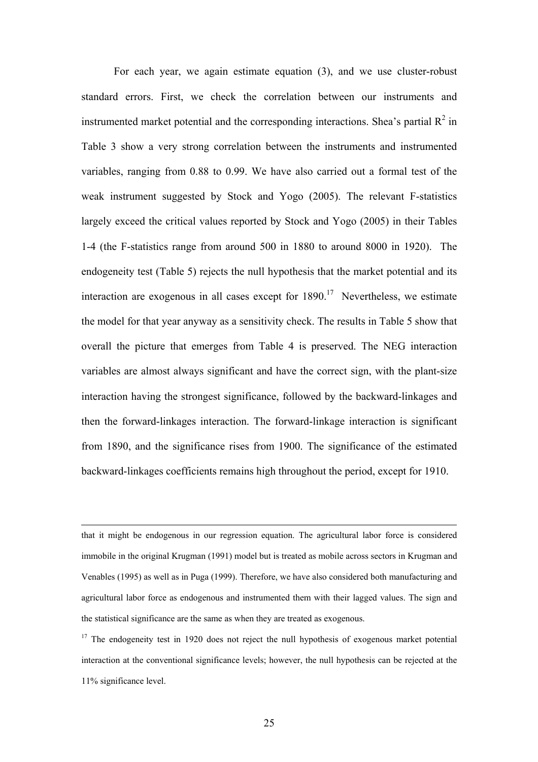For each year, we again estimate equation (3), and we use cluster-robust standard errors. First, we check the correlation between our instruments and instrumented market potential and the corresponding interactions. Shea's partial  $\mathbb{R}^2$  in Table 3 show a very strong correlation between the instruments and instrumented variables, ranging from 0.88 to 0.99. We have also carried out a formal test of the weak instrument suggested by Stock and Yogo (2005). The relevant F-statistics largely exceed the critical values reported by Stock and Yogo (2005) in their Tables 1-4 (the F-statistics range from around 500 in 1880 to around 8000 in 1920). The endogeneity test (Table 5) rejects the null hypothesis that the market potential and its interaction are exogenous in all cases except for  $1890$ <sup>17</sup> Nevertheless, we estimate the model for that year anyway as a sensitivity check. The results in Table 5 show that overall the picture that emerges from Table 4 is preserved. The NEG interaction variables are almost always significant and have the correct sign, with the plant-size interaction having the strongest significance, followed by the backward-linkages and then the forward-linkages interaction. The forward-linkage interaction is significant from 1890, and the significance rises from 1900. The significance of the estimated backward-linkages coefficients remains high throughout the period, except for 1910.

 that it might be endogenous in our regression equation. The agricultural labor force is considered immobile in the original Krugman (1991) model but is treated as mobile across sectors in Krugman and Venables (1995) as well as in Puga (1999). Therefore, we have also considered both manufacturing and agricultural labor force as endogenous and instrumented them with their lagged values. The sign and the statistical significance are the same as when they are treated as exogenous.

<span id="page-24-0"></span> $17$  The endogeneity test in 1920 does not reject the null hypothesis of exogenous market potential interaction at the conventional significance levels; however, the null hypothesis can be rejected at the 11% significance level.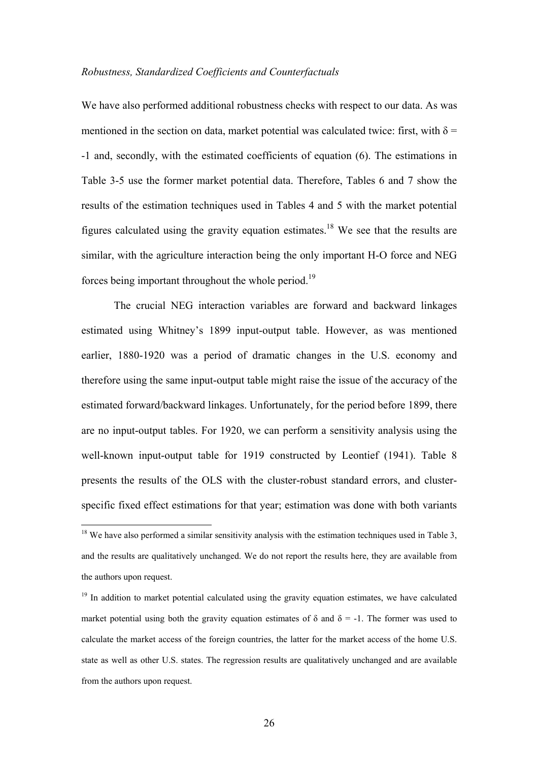#### *Robustness, Standardized Coefficients and Counterfactuals*

We have also performed additional robustness checks with respect to our data. As was mentioned in the section on data, market potential was calculated twice: first, with  $\delta$  = -1 and, secondly, with the estimated coefficients of equation (6). The estimations in Table 3-5 use the former market potential data. Therefore, Tables 6 and 7 show the results of the estimation techniques used in Tables 4 and 5 with the market potential figures calculated using the gravity equation estimates.<sup>18</sup> We see that the results are similar, with the agriculture interaction being the only important H-O force and NEG forces being important throughout the whole period.<sup>19</sup>

The crucial NEG interaction variables are forward and backward linkages estimated using Whitney's 1899 input-output table. However, as was mentioned earlier, 1880-1920 was a period of dramatic changes in the U.S. economy and therefore using the same input-output table might raise the issue of the accuracy of the estimated forward/backward linkages. Unfortunately, for the period before 1899, there are no input-output tables. For 1920, we can perform a sensitivity analysis using the well-known input-output table for 1919 constructed by Leontief (1941). Table 8 presents the results of the OLS with the cluster-robust standard errors, and clusterspecific fixed effect estimations for that year; estimation was done with both variants

 $\overline{a}$ 

<span id="page-25-0"></span> $18$  We have also performed a similar sensitivity analysis with the estimation techniques used in Table 3, and the results are qualitatively unchanged. We do not report the results here, they are available from the authors upon request.

<span id="page-25-1"></span><sup>&</sup>lt;sup>19</sup> In addition to market potential calculated using the gravity equation estimates, we have calculated market potential using both the gravity equation estimates of  $\delta$  and  $\delta$  = -1. The former was used to calculate the market access of the foreign countries, the latter for the market access of the home U.S. state as well as other U.S. states. The regression results are qualitatively unchanged and are available from the authors upon request.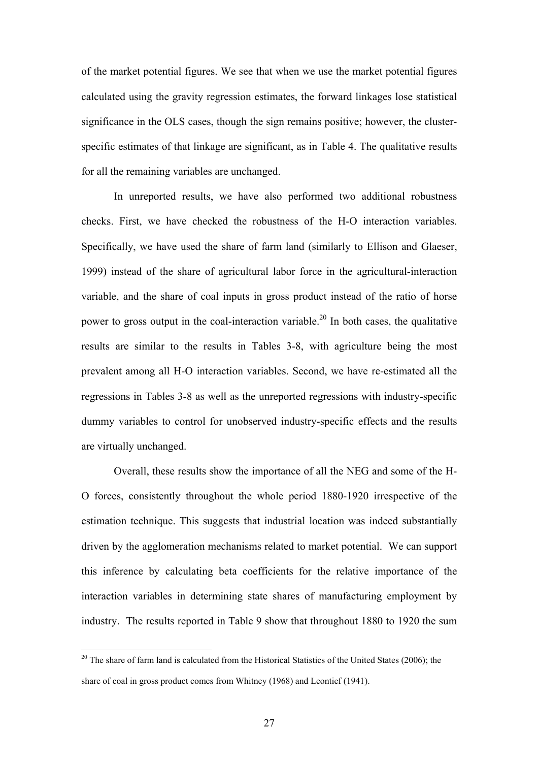of the market potential figures. We see that when we use the market potential figures calculated using the gravity regression estimates, the forward linkages lose statistical significance in the OLS cases, though the sign remains positive; however, the clusterspecific estimates of that linkage are significant, as in Table 4. The qualitative results for all the remaining variables are unchanged.

In unreported results, we have also performed two additional robustness checks. First, we have checked the robustness of the H-O interaction variables. Specifically, we have used the share of farm land (similarly to Ellison and Glaeser, 1999) instead of the share of agricultural labor force in the agricultural-interaction variable, and the share of coal inputs in gross product instead of the ratio of horse power to gross output in the coal-interaction variable.<sup>20</sup> In both cases, the qualitative results are similar to the results in Tables 3-8, with agriculture being the most prevalent among all H-O interaction variables. Second, we have re-estimated all the regressions in Tables 3-8 as well as the unreported regressions with industry-specific dummy variables to control for unobserved industry-specific effects and the results are virtually unchanged.

Overall, these results show the importance of all the NEG and some of the H-O forces, consistently throughout the whole period 1880-1920 irrespective of the estimation technique. This suggests that industrial location was indeed substantially driven by the agglomeration mechanisms related to market potential. We can support this inference by calculating beta coefficients for the relative importance of the interaction variables in determining state shares of manufacturing employment by industry. The results reported in Table 9 show that throughout 1880 to 1920 the sum

 $\overline{a}$ 

<span id="page-26-0"></span> $20$  The share of farm land is calculated from the Historical Statistics of the United States (2006); the share of coal in gross product comes from Whitney (1968) and Leontief (1941).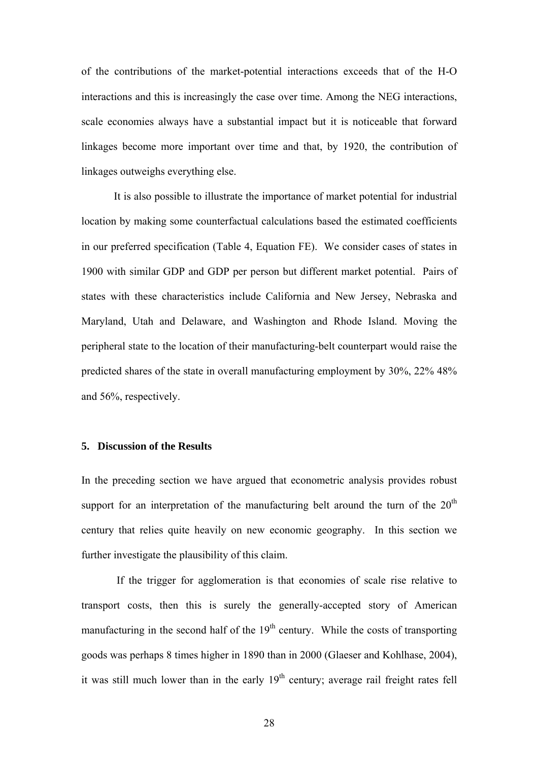of the contributions of the market-potential interactions exceeds that of the H-O interactions and this is increasingly the case over time. Among the NEG interactions, scale economies always have a substantial impact but it is noticeable that forward linkages become more important over time and that, by 1920, the contribution of linkages outweighs everything else.

It is also possible to illustrate the importance of market potential for industrial location by making some counterfactual calculations based the estimated coefficients in our preferred specification (Table 4, Equation FE). We consider cases of states in 1900 with similar GDP and GDP per person but different market potential. Pairs of states with these characteristics include California and New Jersey, Nebraska and Maryland, Utah and Delaware, and Washington and Rhode Island. Moving the peripheral state to the location of their manufacturing-belt counterpart would raise the predicted shares of the state in overall manufacturing employment by 30%, 22% 48% and 56%, respectively.

### **5. Discussion of the Results**

In the preceding section we have argued that econometric analysis provides robust support for an interpretation of the manufacturing belt around the turn of the  $20<sup>th</sup>$ century that relies quite heavily on new economic geography. In this section we further investigate the plausibility of this claim.

If the trigger for agglomeration is that economies of scale rise relative to transport costs, then this is surely the generally-accepted story of American manufacturing in the second half of the  $19<sup>th</sup>$  century. While the costs of transporting goods was perhaps 8 times higher in 1890 than in 2000 (Glaeser and Kohlhase, 2004), it was still much lower than in the early  $19<sup>th</sup>$  century; average rail freight rates fell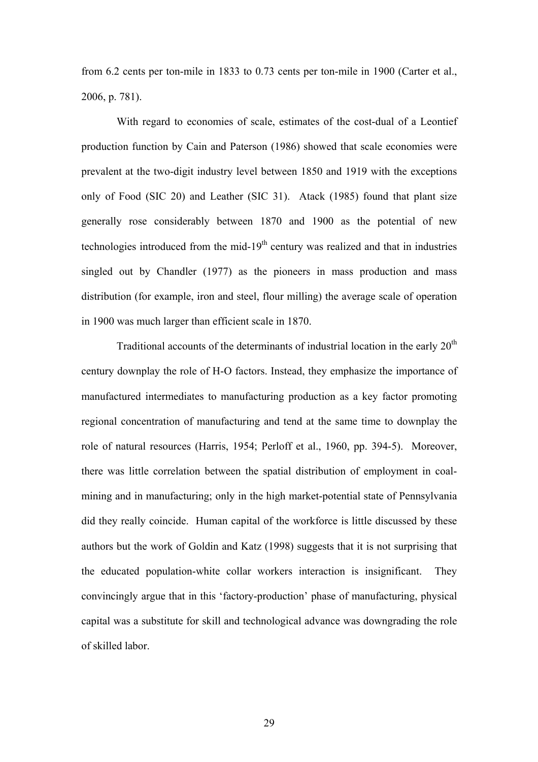from 6.2 cents per ton-mile in 1833 to 0.73 cents per ton-mile in 1900 (Carter et al., 2006, p. 781).

With regard to economies of scale, estimates of the cost-dual of a Leontief production function by Cain and Paterson (1986) showed that scale economies were prevalent at the two-digit industry level between 1850 and 1919 with the exceptions only of Food (SIC 20) and Leather (SIC 31). Atack (1985) found that plant size generally rose considerably between 1870 and 1900 as the potential of new technologies introduced from the mid-19<sup>th</sup> century was realized and that in industries singled out by Chandler (1977) as the pioneers in mass production and mass distribution (for example, iron and steel, flour milling) the average scale of operation in 1900 was much larger than efficient scale in 1870.

Traditional accounts of the determinants of industrial location in the early  $20<sup>th</sup>$ century downplay the role of H-O factors. Instead, they emphasize the importance of manufactured intermediates to manufacturing production as a key factor promoting regional concentration of manufacturing and tend at the same time to downplay the role of natural resources (Harris, 1954; Perloff et al., 1960, pp. 394-5). Moreover, there was little correlation between the spatial distribution of employment in coalmining and in manufacturing; only in the high market-potential state of Pennsylvania did they really coincide. Human capital of the workforce is little discussed by these authors but the work of Goldin and Katz (1998) suggests that it is not surprising that the educated population-white collar workers interaction is insignificant. They convincingly argue that in this 'factory-production' phase of manufacturing, physical capital was a substitute for skill and technological advance was downgrading the role of skilled labor.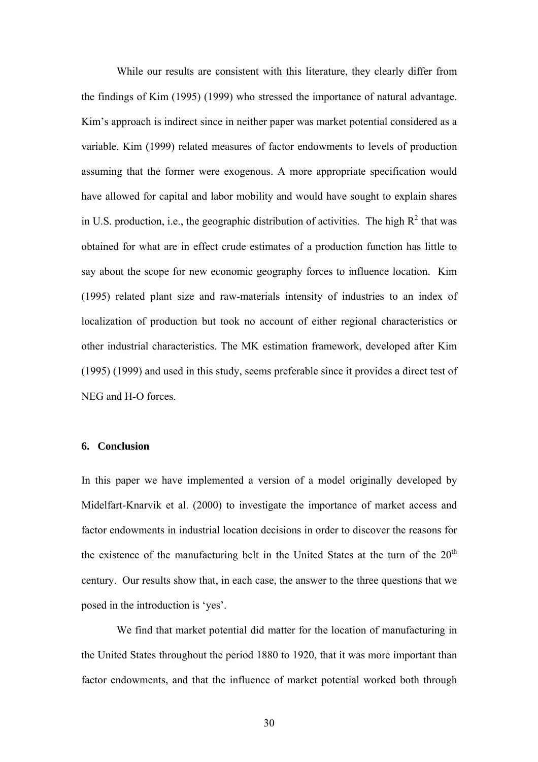While our results are consistent with this literature, they clearly differ from the findings of Kim (1995) (1999) who stressed the importance of natural advantage. Kim's approach is indirect since in neither paper was market potential considered as a variable. Kim (1999) related measures of factor endowments to levels of production assuming that the former were exogenous. A more appropriate specification would have allowed for capital and labor mobility and would have sought to explain shares in U.S. production, i.e., the geographic distribution of activities. The high  $R^2$  that was obtained for what are in effect crude estimates of a production function has little to say about the scope for new economic geography forces to influence location. Kim (1995) related plant size and raw-materials intensity of industries to an index of localization of production but took no account of either regional characteristics or other industrial characteristics. The MK estimation framework, developed after Kim (1995) (1999) and used in this study, seems preferable since it provides a direct test of NEG and H-O forces.

# **6. Conclusion**

In this paper we have implemented a version of a model originally developed by Midelfart-Knarvik et al. (2000) to investigate the importance of market access and factor endowments in industrial location decisions in order to discover the reasons for the existence of the manufacturing belt in the United States at the turn of the  $20<sup>th</sup>$ century. Our results show that, in each case, the answer to the three questions that we posed in the introduction is 'yes'.

We find that market potential did matter for the location of manufacturing in the United States throughout the period 1880 to 1920, that it was more important than factor endowments, and that the influence of market potential worked both through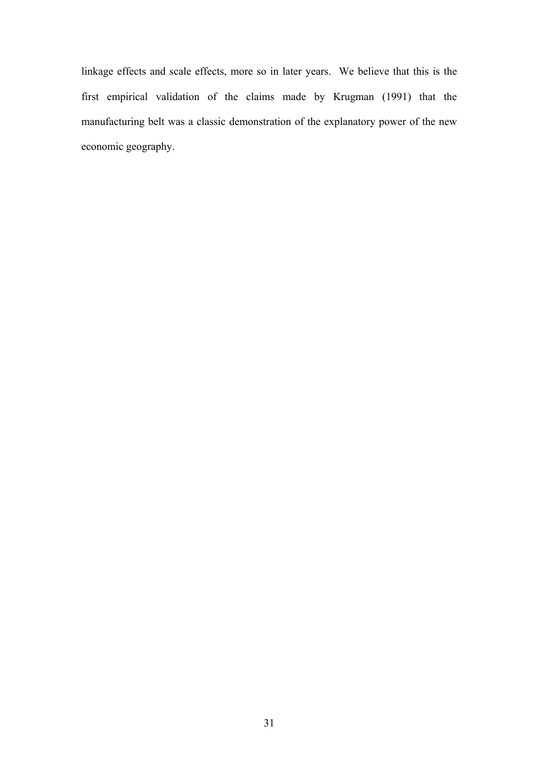linkage effects and scale effects, more so in later years. We believe that this is the first empirical validation of the claims made by Krugman (1991) that the manufacturing belt was a classic demonstration of the explanatory power of the new economic geography.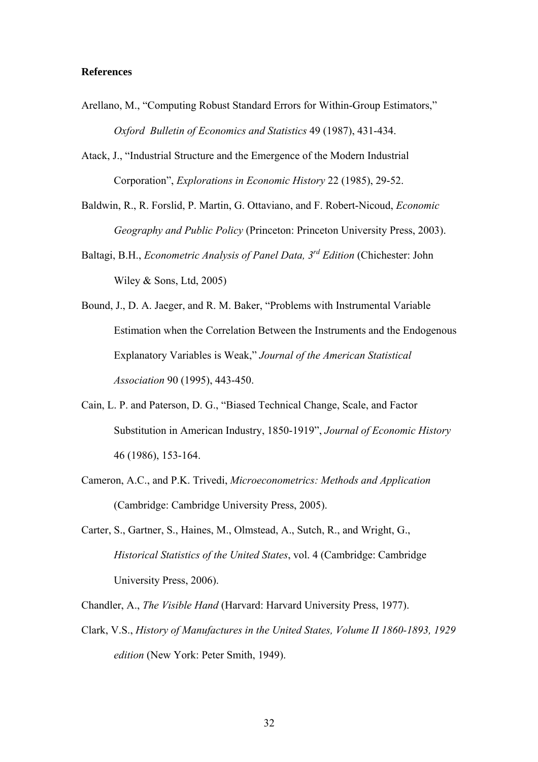### **References**

- Arellano, M., "Computing Robust Standard Errors for Within-Group Estimators," *Oxford Bulletin of Economics and Statistics* 49 (1987), 431-434.
- Atack, J., "Industrial Structure and the Emergence of the Modern Industrial Corporation", *Explorations in Economic History* 22 (1985), 29-52.
- Baldwin, R., R. Forslid, P. Martin, G. Ottaviano, and F. Robert-Nicoud, *Economic Geography and Public Policy* (Princeton: Princeton University Press, 2003).
- Baltagi, B.H., *Econometric Analysis of Panel Data, 3rd Edition* (Chichester: John Wiley & Sons, Ltd, 2005)
- Bound, J., D. A. Jaeger, and R. M. Baker, "Problems with Instrumental Variable Estimation when the Correlation Between the Instruments and the Endogenous Explanatory Variables is Weak," *Journal of the American Statistical Association* 90 (1995), 443-450.
- Cain, L. P. and Paterson, D. G., "Biased Technical Change, Scale, and Factor Substitution in American Industry, 1850-1919", *Journal of Economic History* 46 (1986), 153-164.
- Cameron, A.C., and P.K. Trivedi, *Microeconometrics: Methods and Application*  (Cambridge: Cambridge University Press, 2005).
- Carter, S., Gartner, S., Haines, M., Olmstead, A., Sutch, R., and Wright, G., *Historical Statistics of the United States*, vol. 4 (Cambridge: Cambridge University Press, 2006).
- Chandler, A., *The Visible Hand* (Harvard: Harvard University Press, 1977).
- Clark, V.S., *History of Manufactures in the United States, Volume II 1860-1893, 1929 edition* (New York: Peter Smith, 1949).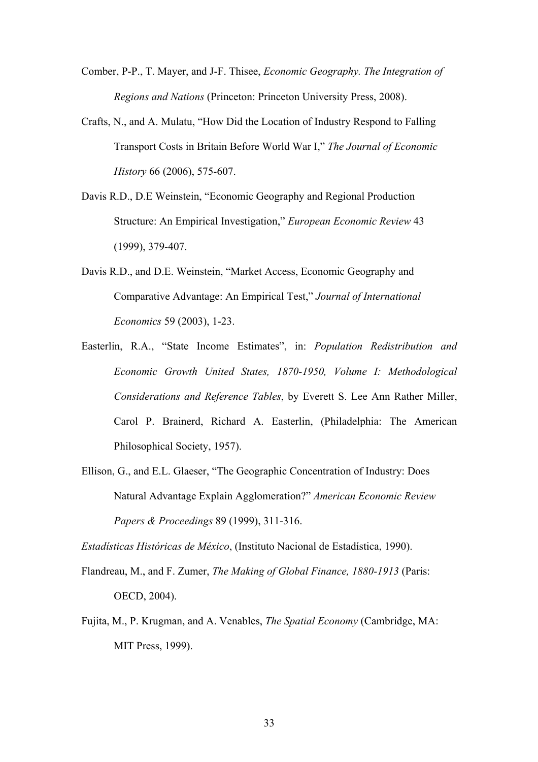Comber, P-P., T. Mayer, and J-F. Thisee, *Economic Geography. The Integration of Regions and Nations* (Princeton: Princeton University Press, 2008).

- Crafts, N., and A. Mulatu, "How Did the Location of Industry Respond to Falling Transport Costs in Britain Before World War I," *The Journal of Economic History* 66 (2006), 575-607.
- Davis R.D., D.E Weinstein, "Economic Geography and Regional Production Structure: An Empirical Investigation," *European Economic Review* 43 (1999), 379-407.
- Davis R.D., and D.E. Weinstein, "Market Access, Economic Geography and Comparative Advantage: An Empirical Test," *Journal of International Economics* 59 (2003), 1-23.
- Easterlin, R.A., "State Income Estimates", in: *Population Redistribution and Economic Growth United States, 1870-1950, Volume I: Methodological Considerations and Reference Tables*, by Everett S. Lee Ann Rather Miller, Carol P. Brainerd, Richard A. Easterlin, (Philadelphia: The American Philosophical Society, 1957).
- Ellison, G., and E.L. Glaeser, "The Geographic Concentration of Industry: Does Natural Advantage Explain Agglomeration?" *American Economic Review Papers & Proceedings* 89 (1999), 311-316.

*Estadísticas Históricas de México*, (Instituto Nacional de Estadística, 1990).

- Flandreau, M., and F. Zumer, *The Making of Global Finance, 1880-1913* (Paris: OECD, 2004).
- Fujita, M., P. Krugman, and A. Venables, *The Spatial Economy* (Cambridge, MA: MIT Press, 1999).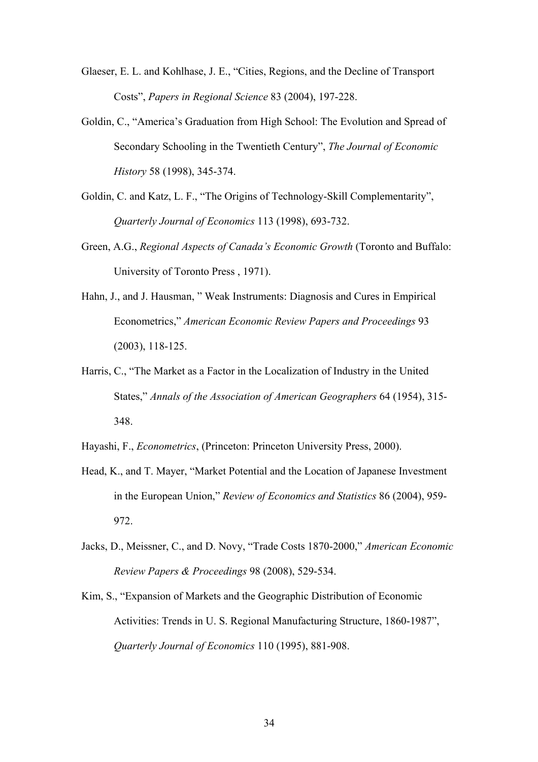- Glaeser, E. L. and Kohlhase, J. E., "Cities, Regions, and the Decline of Transport Costs", *Papers in Regional Science* 83 (2004), 197-228.
- Goldin, C., "America's Graduation from High School: The Evolution and Spread of Secondary Schooling in the Twentieth Century", *The Journal of Economic History* 58 (1998), 345-374.
- Goldin, C. and Katz, L. F., "The Origins of Technology-Skill Complementarity", *Quarterly Journal of Economics* 113 (1998), 693-732.
- Green, A.G., *Regional Aspects of Canada's Economic Growth* (Toronto and Buffalo: University of Toronto Press , 1971).
- Hahn, J., and J. Hausman, " Weak Instruments: Diagnosis and Cures in Empirical Econometrics," *American Economic Review Papers and Proceedings* 93 (2003), 118-125.
- Harris, C., "The Market as a Factor in the Localization of Industry in the United States," *Annals of the Association of American Geographers* 64 (1954), 315- 348.
- Hayashi, F., *Econometrics*, (Princeton: Princeton University Press, 2000).
- Head, K., and T. Mayer, "Market Potential and the Location of Japanese Investment in the European Union," *Review of Economics and Statistics* 86 (2004), 959- 972.
- Jacks, D., Meissner, C., and D. Novy, "Trade Costs 1870-2000," *American Economic Review Papers & Proceedings* 98 (2008), 529-534.
- Kim, S., "Expansion of Markets and the Geographic Distribution of Economic Activities: Trends in U. S. Regional Manufacturing Structure, 1860-1987", *Quarterly Journal of Economics* 110 (1995), 881-908.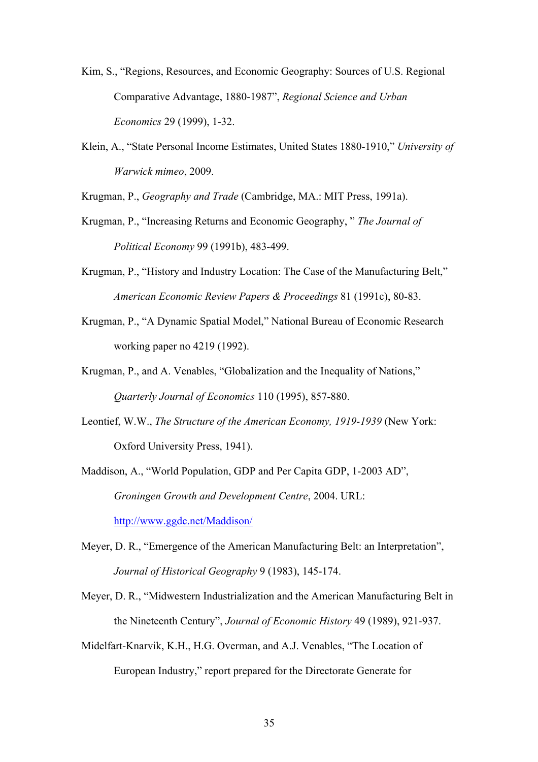- Kim, S., "Regions, Resources, and Economic Geography: Sources of U.S. Regional Comparative Advantage, 1880-1987", *Regional Science and Urban Economics* 29 (1999), 1-32.
- Klein, A., "State Personal Income Estimates, United States 1880-1910," *University of Warwick mimeo*, 2009.

Krugman, P., *Geography and Trade* (Cambridge, MA.: MIT Press, 1991a).

- Krugman, P., "Increasing Returns and Economic Geography, " *The Journal of Political Economy* 99 (1991b), 483-499.
- Krugman, P., "History and Industry Location: The Case of the Manufacturing Belt," *American Economic Review Papers & Proceedings* 81 (1991c), 80-83.
- Krugman, P., "A Dynamic Spatial Model," National Bureau of Economic Research working paper no 4219 (1992).
- Krugman, P., and A. Venables, "Globalization and the Inequality of Nations," *Quarterly Journal of Economics* 110 (1995), 857-880.
- Leontief, W.W., *The Structure of the American Economy, 1919-1939* (New York: Oxford University Press, 1941).
- Maddison, A., "World Population, GDP and Per Capita GDP, 1-2003 AD", *Groningen Growth and Development Centre*, 2004. URL: <http://www.ggdc.net/Maddison/>
- Meyer, D. R., "Emergence of the American Manufacturing Belt: an Interpretation",

*Journal of Historical Geography* 9 (1983), 145-174.

- Meyer, D. R., "Midwestern Industrialization and the American Manufacturing Belt in the Nineteenth Century", *Journal of Economic History* 49 (1989), 921-937.
- Midelfart-Knarvik, K.H., H.G. Overman, and A.J. Venables, "The Location of European Industry," report prepared for the Directorate Generate for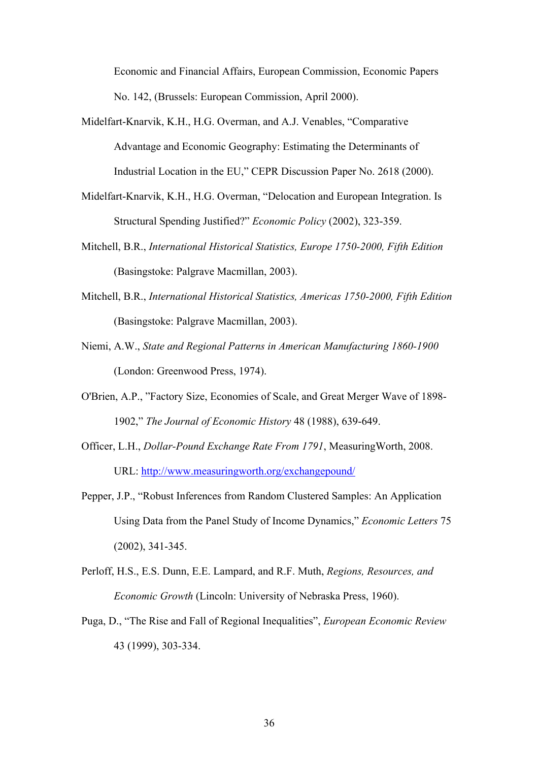Economic and Financial Affairs, European Commission, Economic Papers No. 142, (Brussels: European Commission, April 2000).

- Midelfart-Knarvik, K.H., H.G. Overman, and A.J. Venables, "Comparative Advantage and Economic Geography: Estimating the Determinants of Industrial Location in the EU," CEPR Discussion Paper No. 2618 (2000).
- Midelfart-Knarvik, K.H., H.G. Overman, "Delocation and European Integration. Is Structural Spending Justified?" *Economic Policy* (2002), 323-359.
- Mitchell, B.R., *International Historical Statistics, Europe 1750-2000, Fifth Edition* (Basingstoke: Palgrave Macmillan, 2003).
- Mitchell, B.R., *International Historical Statistics, Americas 1750-2000, Fifth Edition* (Basingstoke: Palgrave Macmillan, 2003).
- Niemi, A.W., *State and Regional Patterns in American Manufacturing 1860-1900* (London: Greenwood Press, 1974).
- O'Brien, A.P., "Factory Size, Economies of Scale, and Great Merger Wave of 1898- 1902," *The Journal of Economic History* 48 (1988), 639-649.
- Officer, L.H., *Dollar-Pound Exchange Rate From 1791*, MeasuringWorth, 2008. URL: http://www.measuringworth.org/exchangepound/
- Pepper, J.P., "Robust Inferences from Random Clustered Samples: An Application Using Data from the Panel Study of Income Dynamics," *Economic Letters* 75 (2002), 341-345.
- Perloff, H.S., E.S. Dunn, E.E. Lampard, and R.F. Muth, *Regions, Resources, and Economic Growth* (Lincoln: University of Nebraska Press, 1960).
- Puga, D., "The Rise and Fall of Regional Inequalities", *European Economic Review* 43 (1999), 303-334.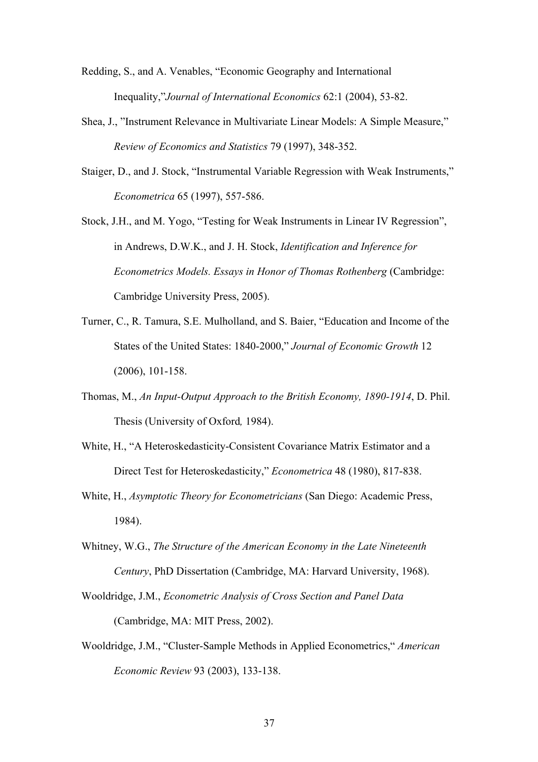Redding, S., and A. Venables, "Economic Geography and International Inequality,"*Journal of International Economics* 62:1 (2004), 53-82.

- Shea, J., "Instrument Relevance in Multivariate Linear Models: A Simple Measure," *Review of Economics and Statistics* 79 (1997), 348-352.
- Staiger, D., and J. Stock, "Instrumental Variable Regression with Weak Instruments," *Econometrica* 65 (1997), 557-586.

Stock, J.H., and M. Yogo, "Testing for Weak Instruments in Linear IV Regression", in Andrews, D.W.K., and J. H. Stock, *Identification and Inference for Econometrics Models. Essays in Honor of Thomas Rothenberg* (Cambridge: Cambridge University Press, 2005).

- Turner, C., R. Tamura, S.E. Mulholland, and S. Baier, "Education and Income of the States of the United States: 1840-2000," *Journal of Economic Growth* 12 (2006), 101-158.
- Thomas, M., *An Input-Output Approach to the British Economy, 1890-1914*, D. Phil. Thesis (University of Oxford*,* 1984).
- White, H., "A Heteroskedasticity-Consistent Covariance Matrix Estimator and a Direct Test for Heteroskedasticity," *Econometrica* 48 (1980), 817-838.
- White, H., *Asymptotic Theory for Econometricians* (San Diego: Academic Press, 1984).
- Whitney, W.G., *The Structure of the American Economy in the Late Nineteenth Century*, PhD Dissertation (Cambridge, MA: Harvard University, 1968).
- Wooldridge, J.M., *Econometric Analysis of Cross Section and Panel Data* (Cambridge, MA: MIT Press, 2002).
- Wooldridge, J.M., "Cluster-Sample Methods in Applied Econometrics," *American Economic Review* 93 (2003), 133-138.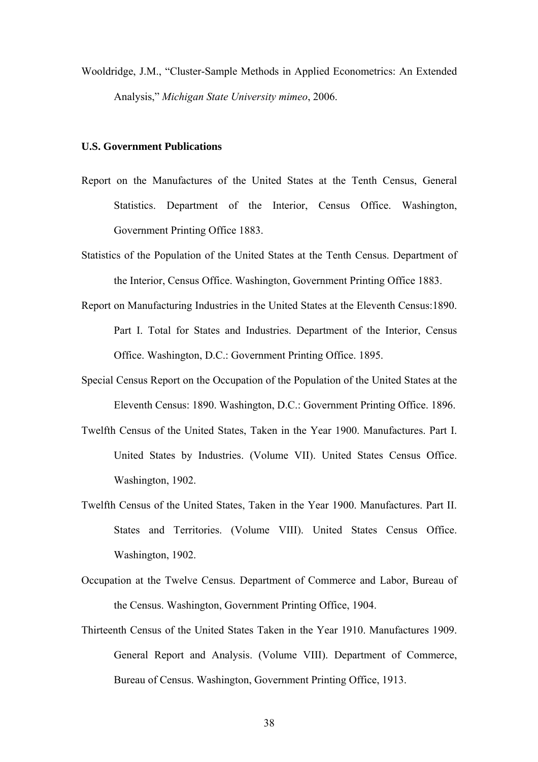Wooldridge, J.M., "Cluster-Sample Methods in Applied Econometrics: An Extended Analysis," *Michigan State University mimeo*, 2006.

# **U.S. Government Publications**

- Report on the Manufactures of the United States at the Tenth Census, General Statistics. Department of the Interior, Census Office. Washington, Government Printing Office 1883.
- Statistics of the Population of the United States at the Tenth Census. Department of the Interior, Census Office. Washington, Government Printing Office 1883.
- Report on Manufacturing Industries in the United States at the Eleventh Census:1890. Part I. Total for States and Industries. Department of the Interior, Census Office. Washington, D.C.: Government Printing Office. 1895.
- Special Census Report on the Occupation of the Population of the United States at the Eleventh Census: 1890. Washington, D.C.: Government Printing Office. 1896.
- Twelfth Census of the United States, Taken in the Year 1900. Manufactures. Part I. United States by Industries. (Volume VII). United States Census Office. Washington, 1902.
- Twelfth Census of the United States, Taken in the Year 1900. Manufactures. Part II. States and Territories. (Volume VIII). United States Census Office. Washington, 1902.
- Occupation at the Twelve Census. Department of Commerce and Labor, Bureau of the Census. Washington, Government Printing Office, 1904.
- Thirteenth Census of the United States Taken in the Year 1910. Manufactures 1909. General Report and Analysis. (Volume VIII). Department of Commerce, Bureau of Census. Washington, Government Printing Office, 1913.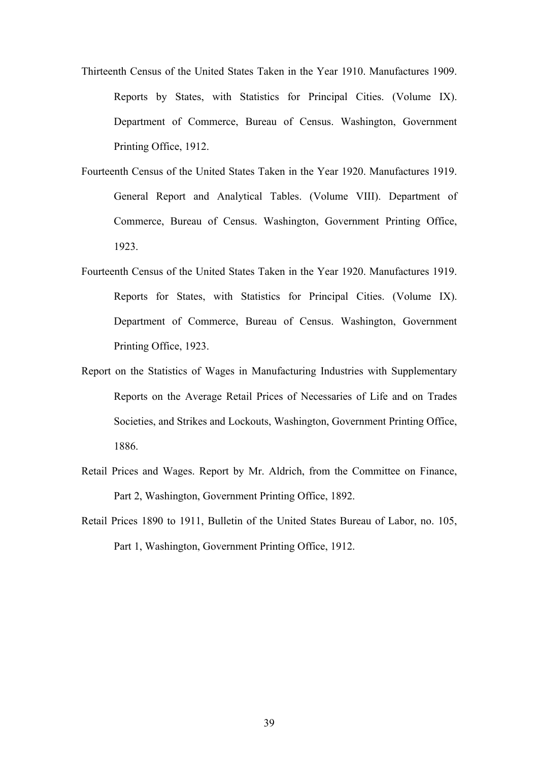- Thirteenth Census of the United States Taken in the Year 1910. Manufactures 1909. Reports by States, with Statistics for Principal Cities. (Volume IX). Department of Commerce, Bureau of Census. Washington, Government Printing Office, 1912.
- Fourteenth Census of the United States Taken in the Year 1920. Manufactures 1919. General Report and Analytical Tables. (Volume VIII). Department of Commerce, Bureau of Census. Washington, Government Printing Office, 1923.
- Fourteenth Census of the United States Taken in the Year 1920. Manufactures 1919. Reports for States, with Statistics for Principal Cities. (Volume IX). Department of Commerce, Bureau of Census. Washington, Government Printing Office, 1923.
- Report on the Statistics of Wages in Manufacturing Industries with Supplementary Reports on the Average Retail Prices of Necessaries of Life and on Trades Societies, and Strikes and Lockouts, Washington, Government Printing Office, 1886.
- Retail Prices and Wages. Report by Mr. Aldrich, from the Committee on Finance, Part 2, Washington, Government Printing Office, 1892.
- Retail Prices 1890 to 1911, Bulletin of the United States Bureau of Labor, no. 105, Part 1, Washington, Government Printing Office, 1912.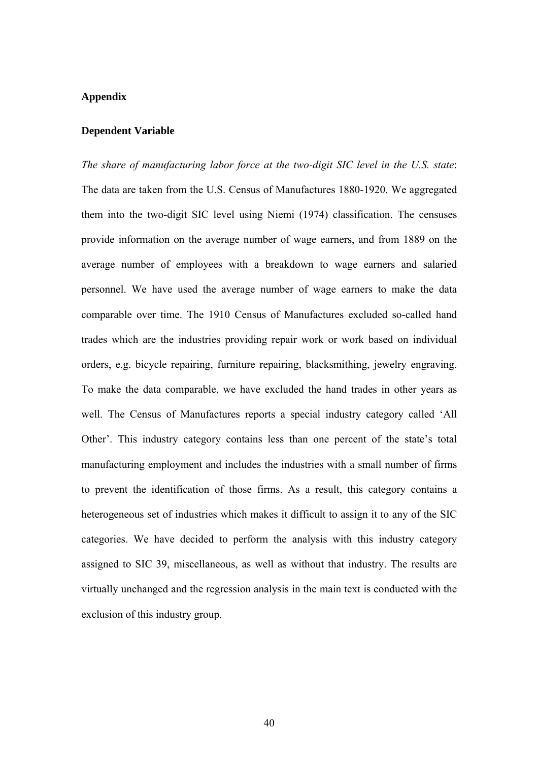#### **Appendix**

#### **Dependent Variable**

*The share of manufacturing labor force at the two-digit SIC level in the U.S. state*: The data are taken from the U.S. Census of Manufactures 1880-1920. We aggregated them into the two-digit SIC level using Niemi (1974) classification. The censuses provide information on the average number of wage earners, and from 1889 on the average number of employees with a breakdown to wage earners and salaried personnel. We have used the average number of wage earners to make the data comparable over time. The 1910 Census of Manufactures excluded so-called hand trades which are the industries providing repair work or work based on individual orders, e.g. bicycle repairing, furniture repairing, blacksmithing, jewelry engraving. To make the data comparable, we have excluded the hand trades in other years as well. The Census of Manufactures reports a special industry category called 'All Other'. This industry category contains less than one percent of the state's total manufacturing employment and includes the industries with a small number of firms to prevent the identification of those firms. As a result, this category contains a heterogeneous set of industries which makes it difficult to assign it to any of the SIC categories. We have decided to perform the analysis with this industry category assigned to SIC 39, miscellaneous, as well as without that industry. The results are virtually unchanged and the regression analysis in the main text is conducted with the exclusion of this industry group.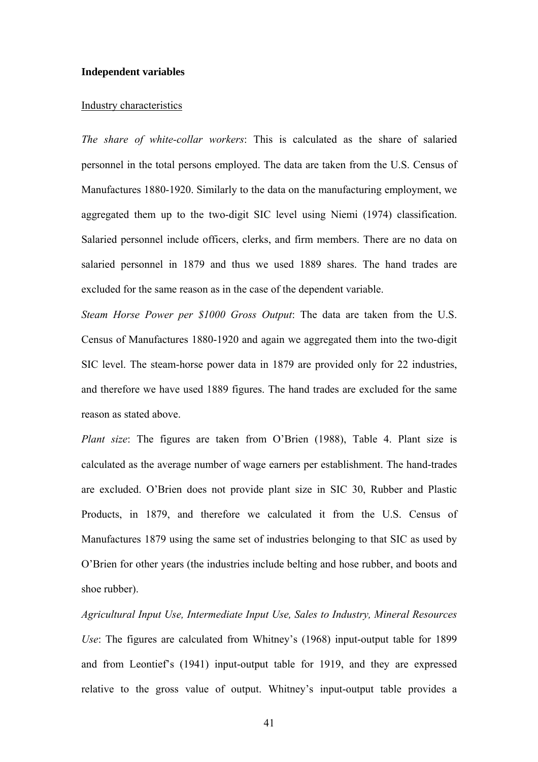#### **Independent variables**

#### Industry characteristics

*The share of white-collar workers*: This is calculated as the share of salaried personnel in the total persons employed. The data are taken from the U.S. Census of Manufactures 1880-1920. Similarly to the data on the manufacturing employment, we aggregated them up to the two-digit SIC level using Niemi (1974) classification. Salaried personnel include officers, clerks, and firm members. There are no data on salaried personnel in 1879 and thus we used 1889 shares. The hand trades are excluded for the same reason as in the case of the dependent variable.

*Steam Horse Power per \$1000 Gross Output*: The data are taken from the U.S. Census of Manufactures 1880-1920 and again we aggregated them into the two-digit SIC level. The steam-horse power data in 1879 are provided only for 22 industries, and therefore we have used 1889 figures. The hand trades are excluded for the same reason as stated above.

*Plant size*: The figures are taken from O'Brien (1988), Table 4. Plant size is calculated as the average number of wage earners per establishment. The hand-trades are excluded. O'Brien does not provide plant size in SIC 30, Rubber and Plastic Products, in 1879, and therefore we calculated it from the U.S. Census of Manufactures 1879 using the same set of industries belonging to that SIC as used by O'Brien for other years (the industries include belting and hose rubber, and boots and shoe rubber).

*Agricultural Input Use, Intermediate Input Use, Sales to Industry, Mineral Resources Use*: The figures are calculated from Whitney's (1968) input-output table for 1899 and from Leontief's (1941) input-output table for 1919, and they are expressed relative to the gross value of output. Whitney's input-output table provides a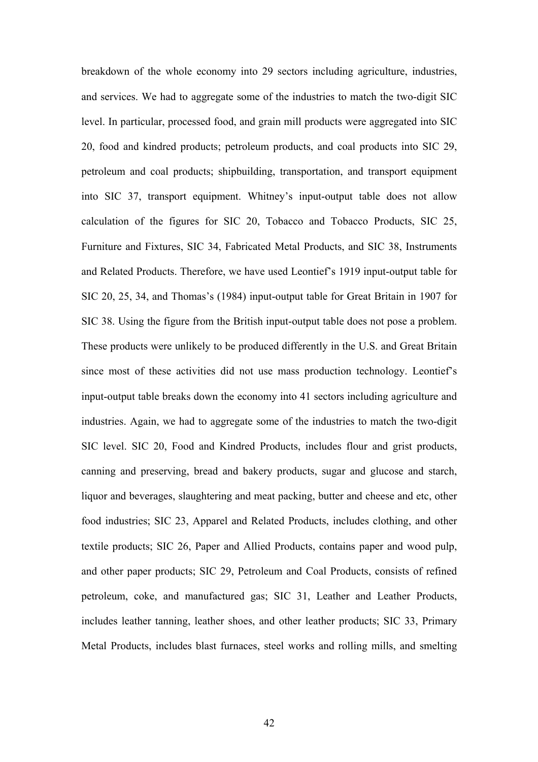breakdown of the whole economy into 29 sectors including agriculture, industries, and services. We had to aggregate some of the industries to match the two-digit SIC level. In particular, processed food, and grain mill products were aggregated into SIC 20, food and kindred products; petroleum products, and coal products into SIC 29, petroleum and coal products; shipbuilding, transportation, and transport equipment into SIC 37, transport equipment. Whitney's input-output table does not allow calculation of the figures for SIC 20, Tobacco and Tobacco Products, SIC 25, Furniture and Fixtures, SIC 34, Fabricated Metal Products, and SIC 38, Instruments and Related Products. Therefore, we have used Leontief's 1919 input-output table for SIC 20, 25, 34, and Thomas's (1984) input-output table for Great Britain in 1907 for SIC 38. Using the figure from the British input-output table does not pose a problem. These products were unlikely to be produced differently in the U.S. and Great Britain since most of these activities did not use mass production technology. Leontief's input-output table breaks down the economy into 41 sectors including agriculture and industries. Again, we had to aggregate some of the industries to match the two-digit SIC level. SIC 20, Food and Kindred Products, includes flour and grist products, canning and preserving, bread and bakery products, sugar and glucose and starch, liquor and beverages, slaughtering and meat packing, butter and cheese and etc, other food industries; SIC 23, Apparel and Related Products, includes clothing, and other textile products; SIC 26, Paper and Allied Products, contains paper and wood pulp, and other paper products; SIC 29, Petroleum and Coal Products, consists of refined petroleum, coke, and manufactured gas; SIC 31, Leather and Leather Products, includes leather tanning, leather shoes, and other leather products; SIC 33, Primary Metal Products, includes blast furnaces, steel works and rolling mills, and smelting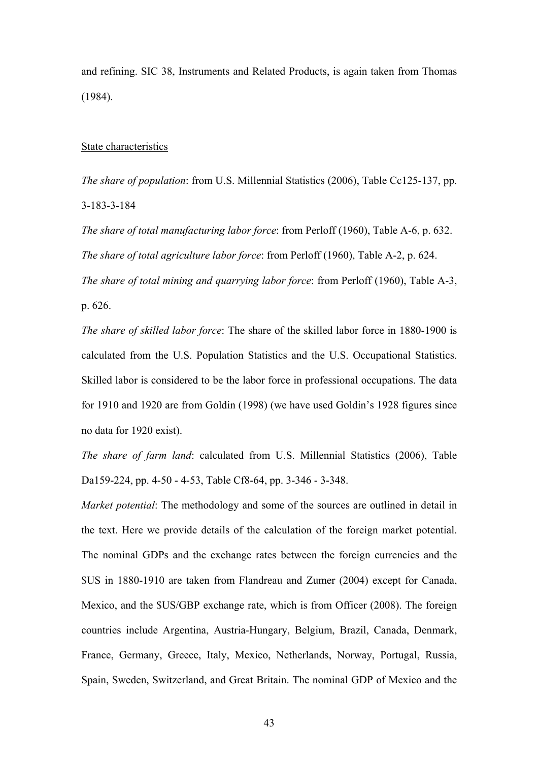and refining. SIC 38, Instruments and Related Products, is again taken from Thomas (1984).

### State characteristics

*The share of population*: from U.S. Millennial Statistics (2006), Table Cc125-137, pp. 3-183-3-184

*The share of total manufacturing labor force*: from Perloff (1960), Table A-6, p. 632. *The share of total agriculture labor force*: from Perloff (1960), Table A-2, p. 624. *The share of total mining and quarrying labor force*: from Perloff (1960), Table A-3,

p. 626.

*The share of skilled labor force*: The share of the skilled labor force in 1880-1900 is calculated from the U.S. Population Statistics and the U.S. Occupational Statistics. Skilled labor is considered to be the labor force in professional occupations. The data for 1910 and 1920 are from Goldin (1998) (we have used Goldin's 1928 figures since no data for 1920 exist).

*The share of farm land*: calculated from U.S. Millennial Statistics (2006), Table Da159-224, pp. 4-50 - 4-53, Table Cf8-64, pp. 3-346 - 3-348.

*Market potential:* The methodology and some of the sources are outlined in detail in the text. Here we provide details of the calculation of the foreign market potential. The nominal GDPs and the exchange rates between the foreign currencies and the \$US in 1880-1910 are taken from Flandreau and Zumer (2004) except for Canada, Mexico, and the \$US/GBP exchange rate, which is from Officer (2008). The foreign countries include Argentina, Austria-Hungary, Belgium, Brazil, Canada, Denmark, France, Germany, Greece, Italy, Mexico, Netherlands, Norway, Portugal, Russia, Spain, Sweden, Switzerland, and Great Britain. The nominal GDP of Mexico and the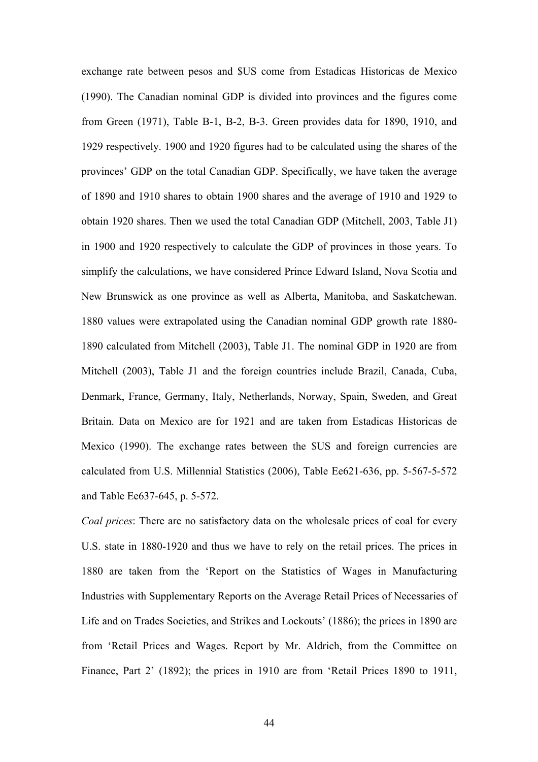exchange rate between pesos and \$US come from Estadicas Historicas de Mexico (1990). The Canadian nominal GDP is divided into provinces and the figures come from Green (1971), Table B-1, B-2, B-3. Green provides data for 1890, 1910, and 1929 respectively. 1900 and 1920 figures had to be calculated using the shares of the provinces' GDP on the total Canadian GDP. Specifically, we have taken the average of 1890 and 1910 shares to obtain 1900 shares and the average of 1910 and 1929 to obtain 1920 shares. Then we used the total Canadian GDP (Mitchell, 2003, Table J1) in 1900 and 1920 respectively to calculate the GDP of provinces in those years. To simplify the calculations, we have considered Prince Edward Island, Nova Scotia and New Brunswick as one province as well as Alberta, Manitoba, and Saskatchewan. 1880 values were extrapolated using the Canadian nominal GDP growth rate 1880- 1890 calculated from Mitchell (2003), Table J1. The nominal GDP in 1920 are from Mitchell (2003), Table J1 and the foreign countries include Brazil, Canada, Cuba, Denmark, France, Germany, Italy, Netherlands, Norway, Spain, Sweden, and Great Britain. Data on Mexico are for 1921 and are taken from Estadicas Historicas de Mexico (1990). The exchange rates between the \$US and foreign currencies are calculated from U.S. Millennial Statistics (2006), Table Ee621-636, pp. 5-567-5-572 and Table Ee637-645, p. 5-572.

*Coal prices*: There are no satisfactory data on the wholesale prices of coal for every U.S. state in 1880-1920 and thus we have to rely on the retail prices. The prices in 1880 are taken from the 'Report on the Statistics of Wages in Manufacturing Industries with Supplementary Reports on the Average Retail Prices of Necessaries of Life and on Trades Societies, and Strikes and Lockouts' (1886); the prices in 1890 are from 'Retail Prices and Wages. Report by Mr. Aldrich, from the Committee on Finance, Part 2' (1892); the prices in 1910 are from 'Retail Prices 1890 to 1911,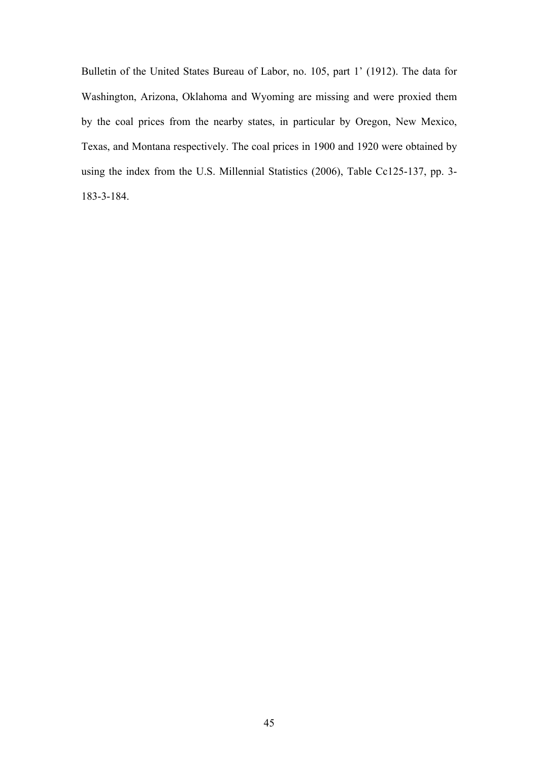Bulletin of the United States Bureau of Labor, no. 105, part 1' (1912). The data for Washington, Arizona, Oklahoma and Wyoming are missing and were proxied them by the coal prices from the nearby states, in particular by Oregon, New Mexico, Texas, and Montana respectively. The coal prices in 1900 and 1920 were obtained by using the index from the U.S. Millennial Statistics (2006), Table Cc125-137, pp. 3- 183-3-184.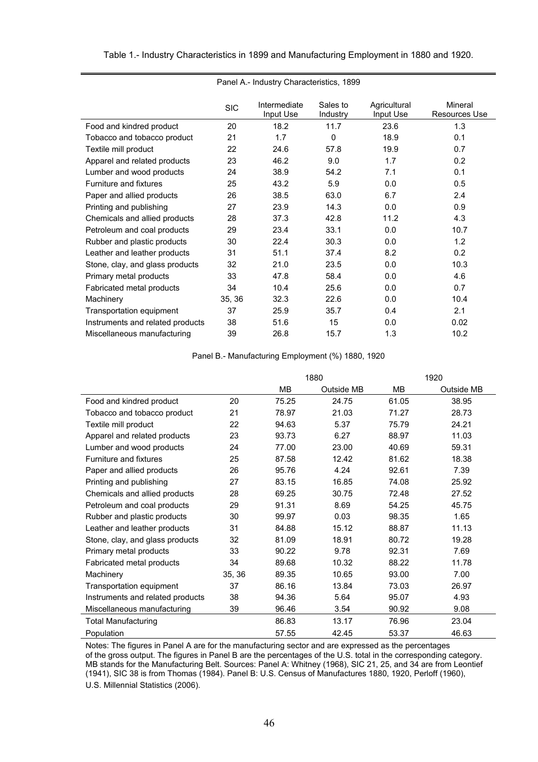| Panel A.- Industry Characteristics, 1899 |            |                           |                      |                           |                                 |  |  |
|------------------------------------------|------------|---------------------------|----------------------|---------------------------|---------------------------------|--|--|
|                                          | <b>SIC</b> | Intermediate<br>Input Use | Sales to<br>Industry | Agricultural<br>Input Use | Mineral<br><b>Resources Use</b> |  |  |
| Food and kindred product                 | 20         | 18.2                      | 11.7                 | 23.6                      | 1.3                             |  |  |
| Tobacco and tobacco product              | 21         | 1.7                       | $\Omega$             | 18.9                      | 0.1                             |  |  |
| Textile mill product                     | 22         | 24.6                      | 57.8                 | 19.9                      | 0.7                             |  |  |
| Apparel and related products             | 23         | 46.2                      | 9.0                  | 1.7                       | 0.2                             |  |  |
| Lumber and wood products                 | 24         | 38.9                      | 54.2                 | 7.1                       | 0.1                             |  |  |
| Furniture and fixtures                   | 25         | 43.2                      | 5.9                  | 0.0                       | 0.5                             |  |  |
| Paper and allied products                | 26         | 38.5                      | 63.0                 | 6.7                       | 2.4                             |  |  |
| Printing and publishing                  | 27         | 23.9                      | 14.3                 | 0.0                       | 0.9                             |  |  |
| Chemicals and allied products            | 28         | 37.3                      | 42.8                 | 11.2                      | 4.3                             |  |  |
| Petroleum and coal products              | 29         | 23.4                      | 33.1                 | 0.0                       | 10.7                            |  |  |
| Rubber and plastic products              | 30         | 22.4                      | 30.3                 | 0.0                       | 1.2                             |  |  |
| Leather and leather products             | 31         | 51.1                      | 37.4                 | 8.2                       | 0.2                             |  |  |
| Stone, clay, and glass products          | 32         | 21.0                      | 23.5                 | 0.0                       | 10.3                            |  |  |
| Primary metal products                   | 33         | 47.8                      | 58.4                 | 0.0                       | 4.6                             |  |  |
| Fabricated metal products                | 34         | 10.4                      | 25.6                 | 0.0                       | 0.7                             |  |  |
| Machinery                                | 35, 36     | 32.3                      | 22.6                 | 0.0                       | 10.4                            |  |  |
| Transportation equipment                 | 37         | 25.9                      | 35.7                 | 0.4                       | 2.1                             |  |  |
| Instruments and related products         | 38         | 51.6                      | 15                   | 0.0                       | 0.02                            |  |  |
| Miscellaneous manufacturing              | 39         | 26.8                      | 15.7                 | 1.3                       | 10.2                            |  |  |

Table 1.- Industry Characteristics in 1899 and Manufacturing Employment in 1880 and 1920.

Panel B.- Manufacturing Employment (%) 1880, 1920

|                                  |        | 1880  |            |       | 1920       |
|----------------------------------|--------|-------|------------|-------|------------|
|                                  |        | MВ    | Outside MB | MВ    | Outside MB |
| Food and kindred product         | 20     | 75.25 | 24.75      | 61.05 | 38.95      |
| Tobacco and tobacco product      | 21     | 78.97 | 21.03      | 71.27 | 28.73      |
| Textile mill product             | 22     | 94.63 | 5.37       | 75.79 | 24.21      |
| Apparel and related products     | 23     | 93.73 | 6.27       | 88.97 | 11.03      |
| Lumber and wood products         | 24     | 77.00 | 23.00      | 40.69 | 59.31      |
| Furniture and fixtures           | 25     | 87.58 | 12.42      | 81.62 | 18.38      |
| Paper and allied products        | 26     | 95.76 | 4.24       | 92.61 | 7.39       |
| Printing and publishing          | 27     | 83.15 | 16.85      | 74.08 | 25.92      |
| Chemicals and allied products    | 28     | 69.25 | 30.75      | 72.48 | 27.52      |
| Petroleum and coal products      | 29     | 91.31 | 8.69       | 54.25 | 45.75      |
| Rubber and plastic products      | 30     | 99.97 | 0.03       | 98.35 | 1.65       |
| Leather and leather products     | 31     | 84.88 | 15.12      | 88.87 | 11.13      |
| Stone, clay, and glass products  | 32     | 81.09 | 18.91      | 80.72 | 19.28      |
| Primary metal products           | 33     | 90.22 | 9.78       | 92.31 | 7.69       |
| Fabricated metal products        | 34     | 89.68 | 10.32      | 88.22 | 11.78      |
| Machinery                        | 35, 36 | 89.35 | 10.65      | 93.00 | 7.00       |
| Transportation equipment         | 37     | 86.16 | 13.84      | 73.03 | 26.97      |
| Instruments and related products | 38     | 94.36 | 5.64       | 95.07 | 4.93       |
| Miscellaneous manufacturing      | 39     | 96.46 | 3.54       | 90.92 | 9.08       |
| <b>Total Manufacturing</b>       |        | 86.83 | 13.17      | 76.96 | 23.04      |
| Population                       |        | 57.55 | 42.45      | 53.37 | 46.63      |

Notes: The figures in Panel A are for the manufacturing sector and are expressed as the percentages of the gross output. The figures in Panel B are the percentages of the U.S. total in the corresponding category. MB stands for the Manufacturing Belt. Sources: Panel A: Whitney (1968), SIC 21, 25, and 34 are from Leontief (1941), SIC 38 is from Thomas (1984). Panel B: U.S. Census of Manufactures 1880, 1920, Perloff (1960), U.S. Millennial Statistics (2006).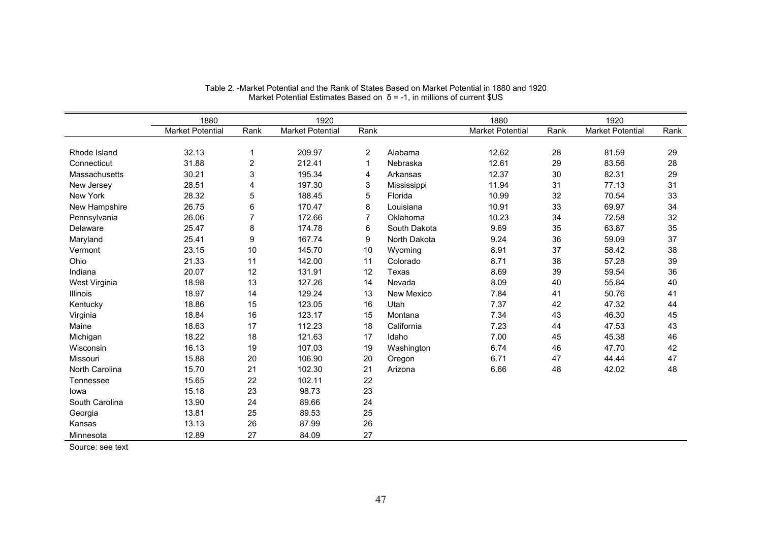|                 | 1880             |                | 1920                    |                |              | 1880                    |      | 1920                    |      |
|-----------------|------------------|----------------|-------------------------|----------------|--------------|-------------------------|------|-------------------------|------|
|                 | Market Potential | Rank           | <b>Market Potential</b> | Rank           |              | <b>Market Potential</b> | Rank | <b>Market Potential</b> | Rank |
|                 |                  |                |                         |                |              |                         |      |                         |      |
| Rhode Island    | 32.13            | 1              | 209.97                  | 2              | Alabama      | 12.62                   | 28   | 81.59                   | 29   |
| Connecticut     | 31.88            | $\overline{2}$ | 212.41                  | 1              | Nebraska     | 12.61                   | 29   | 83.56                   | 28   |
| Massachusetts   | 30.21            | 3              | 195.34                  | 4              | Arkansas     | 12.37                   | 30   | 82.31                   | 29   |
| New Jersey      | 28.51            | 4              | 197.30                  | 3              | Mississippi  | 11.94                   | 31   | 77.13                   | 31   |
| New York        | 28.32            | 5              | 188.45                  | 5              | Florida      | 10.99                   | 32   | 70.54                   | 33   |
| New Hampshire   | 26.75            | 6              | 170.47                  | 8              | Louisiana    | 10.91                   | 33   | 69.97                   | 34   |
| Pennsylvania    | 26.06            | 7              | 172.66                  | $\overline{7}$ | Oklahoma     | 10.23                   | 34   | 72.58                   | 32   |
| Delaware        | 25.47            | 8              | 174.78                  | 6              | South Dakota | 9.69                    | 35   | 63.87                   | 35   |
| Maryland        | 25.41            | 9              | 167.74                  | 9              | North Dakota | 9.24                    | 36   | 59.09                   | 37   |
| Vermont         | 23.15            | 10             | 145.70                  | 10             | Wyoming      | 8.91                    | 37   | 58.42                   | 38   |
| Ohio            | 21.33            | 11             | 142.00                  | 11             | Colorado     | 8.71                    | 38   | 57.28                   | 39   |
| Indiana         | 20.07            | 12             | 131.91                  | 12             | Texas        | 8.69                    | 39   | 59.54                   | 36   |
| West Virginia   | 18.98            | 13             | 127.26                  | 14             | Nevada       | 8.09                    | 40   | 55.84                   | 40   |
| <b>Illinois</b> | 18.97            | 14             | 129.24                  | 13             | New Mexico   | 7.84                    | 41   | 50.76                   | 41   |
| Kentucky        | 18.86            | 15             | 123.05                  | 16             | Utah         | 7.37                    | 42   | 47.32                   | 44   |
| Virginia        | 18.84            | 16             | 123.17                  | 15             | Montana      | 7.34                    | 43   | 46.30                   | 45   |
| Maine           | 18.63            | 17             | 112.23                  | 18             | California   | 7.23                    | 44   | 47.53                   | 43   |
| Michigan        | 18.22            | 18             | 121.63                  | 17             | Idaho        | 7.00                    | 45   | 45.38                   | 46   |
| Wisconsin       | 16.13            | 19             | 107.03                  | 19             | Washington   | 6.74                    | 46   | 47.70                   | 42   |
| Missouri        | 15.88            | 20             | 106.90                  | 20             | Oregon       | 6.71                    | 47   | 44.44                   | 47   |
| North Carolina  | 15.70            | 21             | 102.30                  | 21             | Arizona      | 6.66                    | 48   | 42.02                   | 48   |
| Tennessee       | 15.65            | 22             | 102.11                  | 22             |              |                         |      |                         |      |
| lowa            | 15.18            | 23             | 98.73                   | 23             |              |                         |      |                         |      |
| South Carolina  | 13.90            | 24             | 89.66                   | 24             |              |                         |      |                         |      |
| Georgia         | 13.81            | 25             | 89.53                   | 25             |              |                         |      |                         |      |
| Kansas          | 13.13            | 26             | 87.99                   | 26             |              |                         |      |                         |      |
| Minnesota       | 12.89            | 27             | 84.09                   | 27             |              |                         |      |                         |      |

| Table 2. -Market Potential and the Rank of States Based on Market Potential in 1880 and 1920 |  |
|----------------------------------------------------------------------------------------------|--|
| Market Potential Estimates Based on $\delta$ = -1, in millions of current \$US               |  |

Source: see text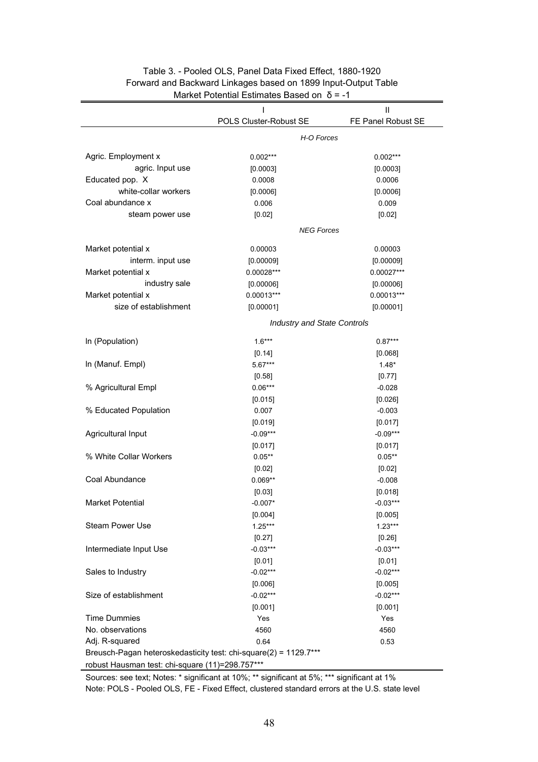|                                                                  | I                                  | Ш                  |  |  |  |
|------------------------------------------------------------------|------------------------------------|--------------------|--|--|--|
|                                                                  | POLS Cluster-Robust SE             | FE Panel Robust SE |  |  |  |
|                                                                  | H-O Forces                         |                    |  |  |  |
| Agric. Employment x                                              | $0.002***$                         | $0.002***$         |  |  |  |
| agric. Input use                                                 | [0.0003]                           | [0.0003]           |  |  |  |
| Educated pop. X                                                  | 0.0008                             | 0.0006             |  |  |  |
| white-collar workers                                             | [0.0006]                           | [0.0006]           |  |  |  |
| Coal abundance x                                                 | 0.006                              | 0.009              |  |  |  |
| steam power use                                                  | [0.02]                             | [0.02]             |  |  |  |
|                                                                  | <b>NEG Forces</b>                  |                    |  |  |  |
| Market potential x                                               | 0.00003                            | 0.00003            |  |  |  |
| interm. input use                                                | [0.00009]                          | [0.00009]          |  |  |  |
| Market potential x                                               | 0.00028 ***                        | 0.00027***         |  |  |  |
| industry sale                                                    | [0.00006]                          | [0.00006]          |  |  |  |
| Market potential x                                               | $0.00013***$                       | $0.00013***$       |  |  |  |
| size of establishment                                            | [0.00001]                          | [0.00001]          |  |  |  |
|                                                                  | <b>Industry and State Controls</b> |                    |  |  |  |
| In (Population)                                                  | $1.6***$                           | $0.87***$          |  |  |  |
|                                                                  | [0.14]                             | [0.068]            |  |  |  |
| In (Manuf. Empl)                                                 | 5.67***                            | $1.48*$            |  |  |  |
|                                                                  | [0.58]                             | [0.77]             |  |  |  |
| % Agricultural Empl                                              | $0.06***$                          | $-0.028$           |  |  |  |
|                                                                  | [0.015]                            | [0.026]            |  |  |  |
| % Educated Population                                            | 0.007                              | $-0.003$           |  |  |  |
|                                                                  | [0.019]                            | [0.017]            |  |  |  |
| Agricultural Input                                               | $-0.09***$                         | $-0.09***$         |  |  |  |
|                                                                  | [0.017]                            | [0.017]            |  |  |  |
| % White Collar Workers                                           | $0.05**$                           | $0.05***$          |  |  |  |
|                                                                  | [0.02]                             | [0.02]             |  |  |  |
| Coal Abundance                                                   | $0.069**$                          | $-0.008$           |  |  |  |
|                                                                  | [0.03]                             | [0.018]            |  |  |  |
| Market Potential                                                 | $-0.007*$                          | $0.03***$          |  |  |  |
|                                                                  | [0.004]                            | [0.005]            |  |  |  |
| Steam Power Use                                                  | $1.25***$                          | $1.23***$          |  |  |  |
|                                                                  | [0.27]                             | [0.26]             |  |  |  |
| Intermediate Input Use                                           | $-0.03***$                         | $-0.03***$         |  |  |  |
|                                                                  | [0.01]                             | [0.01]             |  |  |  |
| Sales to Industry                                                | $-0.02***$                         | $-0.02***$         |  |  |  |
|                                                                  | [0.006]                            | [0.005]            |  |  |  |
| Size of establishment                                            | $-0.02***$                         | $-0.02***$         |  |  |  |
|                                                                  | [0.001]                            | [0.001]            |  |  |  |
| <b>Time Dummies</b>                                              | Yes                                | Yes                |  |  |  |
| No. observations                                                 | 4560                               | 4560               |  |  |  |
| Adj. R-squared                                                   | 0.64                               | 0.53               |  |  |  |
| Breusch-Pagan heteroskedasticity test: chi-square(2) = 1129.7*** |                                    |                    |  |  |  |
| robust Hausman test: chi-square (11)=298.757***                  |                                    |                    |  |  |  |

# Table 3. - Pooled OLS, Panel Data Fixed Effect, 1880-1920 Forward and Backward Linkages based on 1899 Input-Output Table Market Potential Estimates Based on  $\delta$  = -1

Sources: see text; Notes: \* significant at 10%; \*\* significant at 5%; \*\*\* significant at 1% Note: POLS - Pooled OLS, FE - Fixed Effect, clustered standard errors at the U.S. state level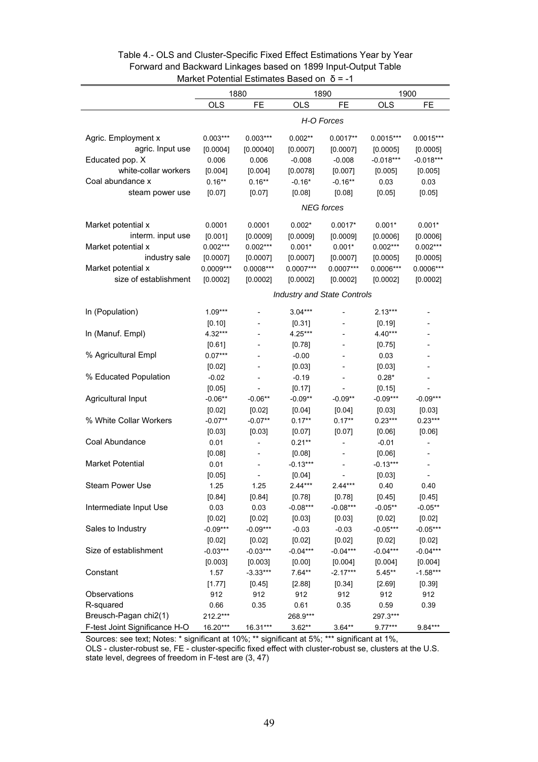| $m$ an $\sigma$ r $\sigma$ orghinal Estimates Dased Off $\sigma$ = $\sigma$ |             |                          |                                    |                          |             |             |
|-----------------------------------------------------------------------------|-------------|--------------------------|------------------------------------|--------------------------|-------------|-------------|
|                                                                             |             | 1880                     |                                    | 1890                     |             | 1900        |
|                                                                             | <b>OLS</b>  | <b>FE</b>                | <b>OLS</b>                         | FE                       | <b>OLS</b>  | FE          |
|                                                                             |             |                          |                                    | H-O Forces               |             |             |
|                                                                             |             |                          |                                    |                          |             |             |
| Agric. Employment x                                                         | $0.003***$  | $0.003***$               | $0.002**$                          | $0.0017**$               | $0.0015***$ | $0.0015***$ |
| agric. Input use                                                            | [0.0004]    | [0.00040]                | [0.0007]                           | [0.0007]                 | [0.0005]    | [0.0005]    |
| Educated pop. X                                                             | 0.006       | 0.006                    | $-0.008$                           | $-0.008$                 | $-0.018***$ | $-0.018***$ |
| white-collar workers                                                        | [0.004]     | [0.004]                  | [0.0078]                           | [0.007]                  | [0.005]     | [0.005]     |
| Coal abundance x                                                            | $0.16**$    | $0.16**$                 | $-0.16*$                           | $-0.16**$                | 0.03        | 0.03        |
| steam power use                                                             | [0.07]      | [0.07]                   | [0.08]                             | [0.08]                   | [0.05]      | [0.05]      |
|                                                                             |             |                          |                                    | <b>NEG</b> forces        |             |             |
|                                                                             |             |                          |                                    |                          |             |             |
| Market potential x                                                          | 0.0001      | 0.0001                   | $0.002*$                           | $0.0017*$                | $0.001*$    | $0.001*$    |
| interm. input use                                                           | [0.001]     | [0.0009]                 | [0.0009]                           | [0.0009]                 | [0.0006]    | [0.0006]    |
| Market potential x                                                          | $0.002***$  | $0.002***$               | $0.001*$                           | $0.001*$                 | $0.002***$  | $0.002***$  |
| industry sale                                                               | [0.0007]    | [0.0007]                 | [0.0007]                           | [0.0007]                 | [0.0005]    | [0.0005]    |
| Market potential x                                                          | $0.0009***$ | $0.0008***$              | $0.0007***$                        | $0.0007***$              | $0.0006***$ | 0.0006***   |
| size of establishment                                                       | [0.0002]    | [0.0002]                 | [0.0002]                           | [0.0002]                 | [0.0002]    | [0.0002]    |
|                                                                             |             |                          | <b>Industry and State Controls</b> |                          |             |             |
| In (Population)                                                             | $1.09***$   |                          | $3.04***$                          |                          | $2.13***$   |             |
|                                                                             | [0.10]      |                          | [0.31]                             |                          | [0.19]      |             |
| In (Manuf. Empl)                                                            | 4.32***     |                          | 4.25***                            |                          | 4.40***     |             |
|                                                                             | [0.61]      |                          | [0.78]                             |                          | [0.75]      |             |
| % Agricultural Empl                                                         | $0.07***$   |                          | $-0.00$                            |                          | 0.03        |             |
|                                                                             | [0.02]      |                          | [0.03]                             |                          | [0.03]      |             |
| % Educated Population                                                       | $-0.02$     |                          | $-0.19$                            |                          | $0.28*$     |             |
|                                                                             | [0.05]      |                          | [0.17]                             |                          | [0.15]      |             |
|                                                                             | $-0.06**$   | $-0.06**$                | $-0.09**$                          | $-0.09**$                | $-0.09***$  | $-0.09***$  |
| Agricultural Input                                                          |             |                          |                                    |                          |             |             |
|                                                                             | [0.02]      | [0.02]                   | [0.04]                             | [0.04]                   | [0.03]      | [0.03]      |
| % White Collar Workers                                                      | $-0.07**$   | $-0.07**$                | $0.17**$                           | $0.17**$                 | $0.23***$   | $0.23***$   |
|                                                                             | [0.03]      | [0.03]                   | [0.07]                             | [0.07]                   | [0.06]      | [0.06]      |
| Coal Abundance                                                              | 0.01        | $\overline{\phantom{a}}$ | $0.21***$                          | $\overline{\phantom{0}}$ | $-0.01$     |             |
|                                                                             | [0.08]      |                          | [0.08]                             |                          | [0.06]      |             |
| Market Potential                                                            | 0.01        |                          | $-0.13***$                         |                          | $-0.13***$  |             |
|                                                                             | [0.05]      |                          | [0.04]                             |                          | [0.03]      |             |
| Steam Power Use                                                             | 1.25        | 1.25                     | $2.44***$                          | $2.44***$                | 0.40        | 0.40        |
|                                                                             | [0.84]      | [0.84]                   | [0.78]                             | [0.78]                   | [0.45]      | [0.45]      |
| Intermediate Input Use                                                      | 0.03        | 0.03                     | $-0.08***$                         | $-0.08***$               | $-0.05**$   | $-0.05**$   |
|                                                                             | [0.02]      | [0.02]                   | [0.03]                             | [0.03]                   | [0.02]      | [0.02]      |
| Sales to Industry                                                           | $-0.09***$  | $-0.09***$               | $-0.03$                            | $-0.03$                  | $-0.05***$  | $-0.05***$  |
|                                                                             | [0.02]      | [0.02]                   | [0.02]                             | [0.02]                   | [0.02]      | [0.02]      |
| Size of establishment                                                       | $-0.03***$  | $-0.03***$               | $-0.04***$                         | $-0.04***$               | $-0.04***$  | $-0.04***$  |
|                                                                             | [0.003]     | [0.003]                  | [0.00]                             | [0.004]                  | [0.004]     | [0.004]     |
| Constant                                                                    | 1.57        | $-3.33***$               | $7.64**$                           | $-2.17***$               | $5.45**$    | $-1.58***$  |
|                                                                             | [1.77]      | [0.45]                   | [2.88]                             | [0.34]                   | [2.69]      | [0.39]      |
| Observations                                                                | 912         | 912                      | 912                                | 912                      | 912         | 912         |
| R-squared                                                                   | 0.66        | 0.35                     | 0.61                               | 0.35                     | 0.59        | 0.39        |
| Breusch-Pagan chi2(1)                                                       | 212.2***    |                          | 268.9***                           |                          | 297.3***    |             |
| F-test Joint Significance H-O                                               | 16.20***    | 16.31***                 | $3.62**$                           | $3.64**$                 | $9.77***$   | 9.84***     |

# Table 4.- OLS and Cluster-Specific Fixed Effect Estimations Year by Year Forward and Backward Linkages based on 1899 Input-Output Table Market Potential Estimates Based on δ = -1

Sources: see text; Notes: \* significant at 10%; \*\* significant at 5%; \*\*\* significant at 1%,

OLS - cluster-robust se, FE - cluster-specific fixed effect with cluster-robust se, clusters at the U.S. state level, degrees of freedom in F-test are (3, 47)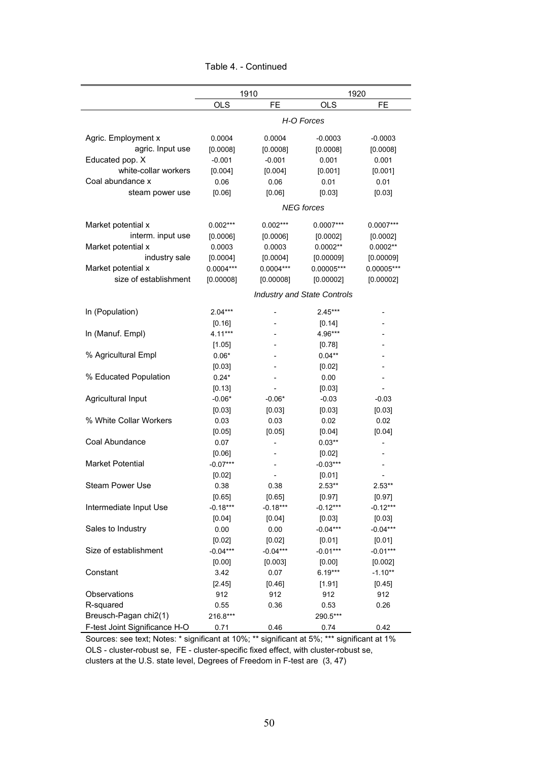|                               |             | 1910        |                                    | 1920       |  |  |
|-------------------------------|-------------|-------------|------------------------------------|------------|--|--|
|                               | <b>OLS</b>  | <b>FE</b>   | <b>OLS</b>                         | <b>FE</b>  |  |  |
|                               |             |             |                                    |            |  |  |
|                               | H-O Forces  |             |                                    |            |  |  |
| Agric. Employment x           | 0.0004      | 0.0004      | $-0.0003$                          | $-0.0003$  |  |  |
| agric. Input use              | [0.0008]    | [0.0008]    | [0.0008]                           | [0.0008]   |  |  |
| Educated pop. X               | $-0.001$    | $-0.001$    | 0.001                              | 0.001      |  |  |
| white-collar workers          | [0.004]     | [0.004]     | [0.001]                            | [0.001]    |  |  |
| Coal abundance x              | 0.06        | 0.06        | 0.01                               | 0.01       |  |  |
| steam power use               | [0.06]      | [0.06]      | [0.03]                             | [0.03]     |  |  |
|                               |             |             | <b>NEG</b> forces                  |            |  |  |
|                               |             |             |                                    |            |  |  |
| Market potential x            | $0.002***$  | $0.002***$  | 0.0007***                          | 0.0007***  |  |  |
| interm. input use             | [0.0006]    | [0.0006]    | [0.0002]                           | [0.0002]   |  |  |
| Market potential x            | 0.0003      | 0.0003      | $0.0002**$                         | $0.0002**$ |  |  |
| industry sale                 | [0.0004]    | [0.0004]    | [0.00009]                          | [0.00009]  |  |  |
| Market potential x            | $0.0004***$ | $0.0004***$ | $0.00005***$                       | 0.00005*** |  |  |
| size of establishment         | [0.00008]   | [0.00008]   | [0.00002]                          | [0.00002]  |  |  |
|                               |             |             | <b>Industry and State Controls</b> |            |  |  |
| In (Population)               | $2.04***$   |             | $2.45***$                          |            |  |  |
|                               | [0.16]      |             | [0.14]                             |            |  |  |
| In (Manuf. Empl)              | $4.11***$   |             | 4.96***                            |            |  |  |
|                               | [1.05]      |             | [0.78]                             |            |  |  |
| % Agricultural Empl           | $0.06*$     |             | $0.04***$                          |            |  |  |
|                               | [0.03]      |             | [0.02]                             |            |  |  |
| % Educated Population         | $0.24*$     |             | 0.00                               |            |  |  |
|                               | [0.13]      |             | [0.03]                             |            |  |  |
| Agricultural Input            | $-0.06*$    | $-0.06*$    | $-0.03$                            | $-0.03$    |  |  |
|                               | [0.03]      | [0.03]      | [0.03]                             | [0.03]     |  |  |
| % White Collar Workers        | 0.03        | 0.03        | 0.02                               | 0.02       |  |  |
|                               | [0.05]      | [0.05]      | [0.04]                             | [0.04]     |  |  |
| Coal Abundance                | 0.07        |             | $0.03**$                           |            |  |  |
|                               | [0.06]      |             | [0.02]                             |            |  |  |
| <b>Market Potential</b>       | $-0.07***$  |             | $-0.03***$                         |            |  |  |
|                               | [0.02]      |             | [0.01]                             |            |  |  |
| <b>Steam Power Use</b>        | 0.38        | 0.38        | $2.53**$                           | $2.53**$   |  |  |
|                               | [0.65]      | [0.65]      | [0.97]                             | [0.97]     |  |  |
| Intermediate Input Use        | $-0.18***$  | $-0.18***$  | $-0.12***$                         | $-0.12***$ |  |  |
|                               | [0.04]      | [0.04]      | [0.03]                             | [0.03]     |  |  |
| Sales to Industry             | 0.00        | 0.00        | $-0.04***$                         | $-0.04***$ |  |  |
|                               | [0.02]      | [0.02]      | [0.01]                             | [0.01]     |  |  |
| Size of establishment         | $-0.04***$  | $-0.04***$  | $-0.01***$                         | $-0.01***$ |  |  |
|                               | [0.00]      | [0.003]     | [0.00]                             | [0.002]    |  |  |
| Constant                      | 3.42        | 0.07        | $6.19***$                          | $-1.10**$  |  |  |
|                               | [2.45]      | [0.46]      | [1.91]                             | [0.45]     |  |  |
| Observations                  | 912         | 912         | 912                                | 912        |  |  |
| R-squared                     | 0.55        | 0.36        | 0.53                               | 0.26       |  |  |
| Breusch-Pagan chi2(1)         | 216.8***    |             | 290.5***                           |            |  |  |
| F-test Joint Significance H-O | 0.71        | 0.46        | 0.74                               | 0.42       |  |  |

Table 4. - Continued

Sources: see text; Notes: \* significant at 10%; \*\* significant at 5%; \*\*\* significant at 1% OLS - cluster-robust se, FE - cluster-specific fixed effect, with cluster-robust se, clusters at the U.S. state level, Degrees of Freedom in F-test are (3, 47)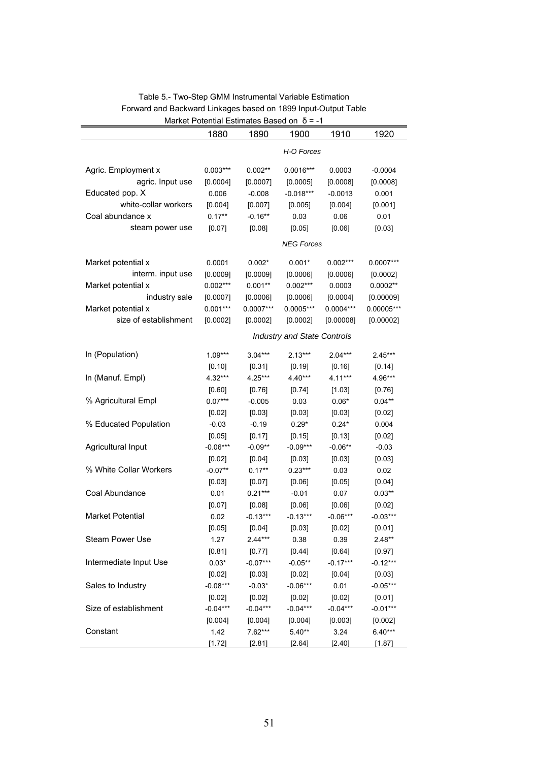|                         | 1880       | $m$ arket Potential Estimates Based on $0 = -1$<br>1890 | 1900                               | 1910        | 1920         |  |  |  |
|-------------------------|------------|---------------------------------------------------------|------------------------------------|-------------|--------------|--|--|--|
|                         | H-O Forces |                                                         |                                    |             |              |  |  |  |
| Agric. Employment x     | $0.003***$ | $0.002**$                                               | $0.0016***$                        | 0.0003      | $-0.0004$    |  |  |  |
| agric. Input use        | [0.0004]   | [0.0007]                                                | [0.0005]                           | [0.0008]    | [0.0008]     |  |  |  |
| Educated pop. X         | 0.006      | $-0.008$                                                | $-0.018***$                        | $-0.0013$   | 0.001        |  |  |  |
| white-collar workers    | [0.004]    | [0.007]                                                 | [0.005]                            | [0.004]     | [0.001]      |  |  |  |
| Coal abundance x        | $0.17**$   | $-0.16**$                                               | 0.03                               | 0.06        | 0.01         |  |  |  |
| steam power use         | [0.07]     | [0.08]                                                  | [0.05]                             | [0.06]      | [0.03]       |  |  |  |
|                         |            |                                                         | <b>NEG Forces</b>                  |             |              |  |  |  |
|                         |            |                                                         |                                    |             |              |  |  |  |
| Market potential x      | 0.0001     | $0.002*$                                                | $0.001*$                           | $0.002***$  | $0.0007***$  |  |  |  |
| interm. input use       | [0.0009]   | [0.0009]                                                | [0.0006]                           | [0.0006]    | [0.0002]     |  |  |  |
| Market potential x      | $0.002***$ | $0.001**$                                               | $0.002***$                         | 0.0003      | $0.0002**$   |  |  |  |
| industry sale           | [0.0007]   | [0.0006]                                                | [0.0006]                           | [0.0004]    | [0.00009]    |  |  |  |
| Market potential x      | $0.001***$ | $0.0007***$                                             | $0.0005***$                        | $0.0004***$ | $0.00005***$ |  |  |  |
| size of establishment   | [0.0002]   | [0.0002]                                                | [0.0002]                           | [0.00008]   | [0.00002]    |  |  |  |
|                         |            |                                                         | <b>Industry and State Controls</b> |             |              |  |  |  |
| In (Population)         | $1.09***$  | $3.04***$                                               | $2.13***$                          | $2.04***$   | 2.45***      |  |  |  |
|                         | [0.10]     | [0.31]                                                  | [0.19]                             | [0.16]      | [0.14]       |  |  |  |
| In (Manuf. Empl)        | 4.32***    | 4.25***                                                 | $4.40***$                          | $4.11***$   | 4.96***      |  |  |  |
|                         | [0.60]     | [0.76]                                                  | [0.74]                             | [1.03]      | [0.76]       |  |  |  |
| % Agricultural Empl     | $0.07***$  | $-0.005$                                                | 0.03                               | $0.06*$     | $0.04**$     |  |  |  |
|                         | [0.02]     | [0.03]                                                  | [0.03]                             | [0.03]      | [0.02]       |  |  |  |
| % Educated Population   | $-0.03$    | $-0.19$                                                 | $0.29*$                            | $0.24*$     | 0.004        |  |  |  |
|                         | [0.05]     | [0.17]                                                  | [0.15]                             | [0.13]      | [0.02]       |  |  |  |
| Agricultural Input      | $-0.06***$ | $-0.09**$                                               | $-0.09***$                         | $-0.06**$   | $-0.03$      |  |  |  |
|                         | [0.02]     | [0.04]                                                  | [0.03]                             | [0.03]      | [0.03]       |  |  |  |
| % White Collar Workers  | $-0.07**$  | $0.17**$                                                | $0.23***$                          | 0.03        | 0.02         |  |  |  |
|                         | [0.03]     | [0.07]                                                  | [0.06]                             | [0.05]      | [0.04]       |  |  |  |
| Coal Abundance          | 0.01       | $0.21***$                                               | $-0.01$                            | 0.07        | $0.03**$     |  |  |  |
|                         | [0.07]     | [0.08]                                                  | [0.06]                             | [0.06]      | [0.02]       |  |  |  |
| <b>Market Potential</b> | 0.02       | $-0.13***$                                              | $-0.13***$                         | $-0.06***$  | $-0.03***$   |  |  |  |
|                         | [0.05]     | [0.04]                                                  | [0.03]                             | [0.02]      | [0.01]       |  |  |  |
| Steam Power Use         | 1.27       | $2.44***$                                               | 0.38                               | 0.39        | $2.48**$     |  |  |  |
|                         | [0.81]     | [0.77]                                                  | [0.44]                             | [0.64]      | [0.97]       |  |  |  |
| Intermediate Input Use  | $0.03*$    | $-0.07***$                                              | $-0.05**$                          | $-0.17***$  | $-0.12***$   |  |  |  |
|                         | [0.02]     | [0.03]                                                  | [0.02]                             | [0.04]      | [0.03]       |  |  |  |
| Sales to Industry       | $-0.08***$ | $-0.03*$                                                | $-0.06***$                         | 0.01        | $-0.05***$   |  |  |  |
|                         | [0.02]     | [0.02]                                                  | [0.02]                             | [0.02]      | [0.01]       |  |  |  |
| Size of establishment   | $-0.04***$ | $-0.04***$                                              | $-0.04***$                         | $-0.04***$  | $-0.01***$   |  |  |  |
|                         | [0.004]    | [0.004]                                                 | [0.004]                            | [0.003]     | [0.002]      |  |  |  |
| Constant                | 1.42       | 7.62***                                                 | $5.40**$                           | 3.24        | $6.40***$    |  |  |  |
|                         | [1.72]     | [2.81]                                                  | [2.64]                             | [2.40]      | [1.87]       |  |  |  |

#### Table 5.- Two-Step GMM Instrumental Variable Estimation Forward and Backward Linkages based on 1899 Input-Output Table Market Potential Estimates Based on δ = -1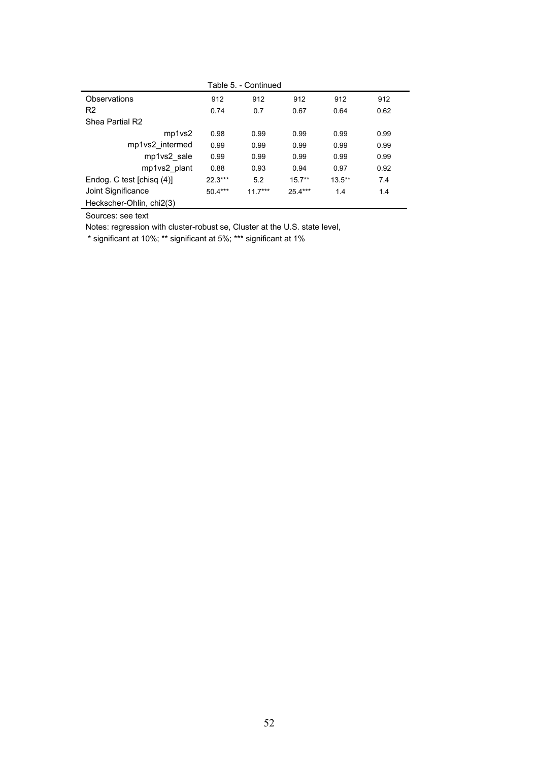| Table 5. - Continued      |           |           |          |           |      |  |  |  |
|---------------------------|-----------|-----------|----------|-----------|------|--|--|--|
| <b>Observations</b>       | 912       | 912       | 912      | 912       | 912  |  |  |  |
| R <sub>2</sub>            | 0.74      | 0.7       | 0.67     | 0.64      | 0.62 |  |  |  |
| Shea Partial R2           |           |           |          |           |      |  |  |  |
| mp1vs2                    | 0.98      | 0.99      | 0.99     | 0.99      | 0.99 |  |  |  |
| mp1vs2 intermed           | 0.99      | 0.99      | 0.99     | 0.99      | 0.99 |  |  |  |
| mp1vs2 sale               | 0.99      | 0.99      | 0.99     | 0.99      | 0.99 |  |  |  |
| mp1vs2 plant              | 0.88      | 0.93      | 0.94     | 0.97      | 0.92 |  |  |  |
| Endog. C test [chisq (4)] | $22.3***$ | 5.2       | $15.7**$ | $13.5***$ | 7.4  |  |  |  |
| Joint Significance        | $50.4***$ | $11.7***$ | 25.4***  | 1.4       | 1.4  |  |  |  |
| Heckscher-Ohlin, chi2(3)  |           |           |          |           |      |  |  |  |

Sources: see text

Notes: regression with cluster-robust se, Cluster at the U.S. state level,

\* significant at 10%; \*\* significant at 5%; \*\*\* significant at 1%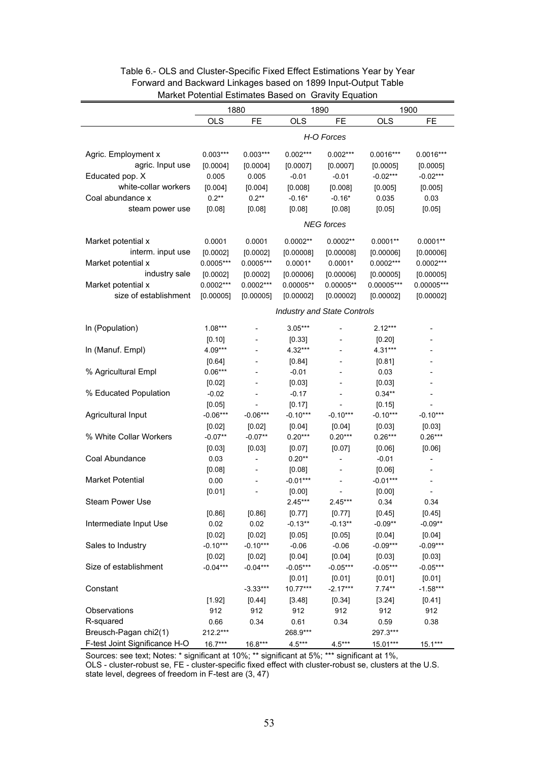|                               | Storman Lournated Babba on Stavity Lydanon<br>1880<br>1890<br>1900 |                              |             |                                    |              |              |
|-------------------------------|--------------------------------------------------------------------|------------------------------|-------------|------------------------------------|--------------|--------------|
|                               | <b>OLS</b>                                                         | FE                           | <b>OLS</b>  | <b>FE</b>                          | <b>OLS</b>   | FE           |
|                               |                                                                    |                              |             |                                    |              |              |
|                               | H-O Forces                                                         |                              |             |                                    |              |              |
| Agric. Employment x           | $0.003***$                                                         | $0.003***$                   | $0.002***$  | $0.002***$                         | $0.0016***$  | $0.0016***$  |
| agric. Input use              | [0.0004]                                                           | [0.0004]                     | [0.0007]    | [0.0007]                           | [0.0005]     | [0.0005]     |
| Educated pop. X               | 0.005                                                              | 0.005                        | $-0.01$     | $-0.01$                            | $-0.02***$   | $-0.02***$   |
| white-collar workers          | [0.004]                                                            | [0.004]                      | [0.008]     | [0.008]                            | [0.005]      | [0.005]      |
| Coal abundance x              | $0.2**$                                                            | $0.2**$                      | $-0.16*$    | $-0.16*$                           | 0.035        | 0.03         |
| steam power use               | [0.08]                                                             | [0.08]                       | [0.08]      | [0.08]                             | [0.05]       | [0.05]       |
|                               |                                                                    |                              |             | <b>NEG</b> forces                  |              |              |
|                               |                                                                    |                              |             |                                    |              |              |
| Market potential x            | 0.0001                                                             | 0.0001                       | $0.0002**$  | $0.0002**$                         | $0.0001**$   | $0.0001**$   |
| interm. input use             | [0.0002]                                                           | [0.0002]                     | [0.00008]   | [0.00008]                          | [0.00006]    | [0.00006]    |
| Market potential x            | $0.0005***$                                                        | $0.0005***$                  | $0.0001*$   | $0.0001*$                          | $0.0002***$  | $0.0002***$  |
| industry sale                 | [0.0002]                                                           | [0.0002]                     | [0.00006]   | [0.00006]                          | [0.00005]    | [0.00005]    |
| Market potential x            | $0.0002***$                                                        | $0.0002***$                  | $0.00005**$ | $0.00005**$                        | $0.00005***$ | $0.00005***$ |
| size of establishment         | [0.00005]                                                          | [0.00005]                    | [0.00002]   | [0.00002]                          | [0.00002]    | [0.00002]    |
|                               |                                                                    |                              |             | <b>Industry and State Controls</b> |              |              |
| In (Population)               | $1.08***$                                                          | $\qquad \qquad -$            | $3.05***$   |                                    | $2.12***$    |              |
|                               | [0.10]                                                             |                              | [0.33]      |                                    | [0.20]       |              |
| In (Manuf. Empl)              | 4.09***                                                            |                              | 4.32***     |                                    | 4.31***      |              |
|                               | [0.64]                                                             |                              | [0.84]      |                                    | [0.81]       |              |
| % Agricultural Empl           | $0.06***$                                                          | $\qquad \qquad \blacksquare$ | $-0.01$     |                                    | 0.03         |              |
|                               | [0.02]                                                             | $\qquad \qquad \blacksquare$ | [0.03]      |                                    | [0.03]       |              |
| % Educated Population         | $-0.02$                                                            |                              | $-0.17$     |                                    | $0.34**$     |              |
|                               | [0.05]                                                             |                              | [0.17]      |                                    | [0.15]       |              |
| Agricultural Input            | $-0.06***$                                                         | $-0.06***$                   | $-0.10***$  | $-0.10***$                         | $-0.10***$   | $-0.10***$   |
|                               | [0.02]                                                             | [0.02]                       | [0.04]      | [0.04]                             | [0.03]       | [0.03]       |
| % White Collar Workers        | $-0.07**$                                                          | $-0.07**$                    | $0.20***$   | $0.20***$                          | $0.26***$    | $0.26***$    |
|                               | [0.03]                                                             | [0.03]                       | [0.07]      | [0.07]                             | [0.06]       | [0.06]       |
| Coal Abundance                | 0.03                                                               | $\overline{\phantom{a}}$     | $0.20**$    | $\overline{\phantom{a}}$           | $-0.01$      |              |
|                               | [0.08]                                                             | $\overline{\phantom{a}}$     | [0.08]      |                                    | [0.06]       |              |
| <b>Market Potential</b>       | 0.00                                                               |                              | $-0.01***$  | $\overline{\phantom{a}}$           | $-0.01***$   |              |
|                               | [0.01]                                                             |                              | [0.00]      |                                    | [0.00]       |              |
| Steam Power Use               |                                                                    |                              | $2.45***$   | 2.45***                            | 0.34         | 0.34         |
|                               | [0.86]                                                             | [0.86]                       | [0.77]      | [0.77]                             | [0.45]       | [0.45]       |
| Intermediate Input Use        | 0.02                                                               | 0.02                         | $-0.13**$   | $-0.13**$                          | $-0.09**$    | $-0.09**$    |
|                               | [0.02]                                                             | [0.02]                       | [0.05]      | [0.05]                             | [0.04]       | [0.04]       |
| Sales to Industry             | $-0.10***$                                                         | $-0.10***$                   | $-0.06$     | $-0.06$                            | $-0.09***$   | $-0.09***$   |
|                               | [0.02]                                                             | [0.02]                       | [0.04]      | [0.04]                             | [0.03]       | [0.03]       |
| Size of establishment         | $-0.04***$                                                         | $-0.04***$                   | $-0.05***$  | $-0.05***$                         | $-0.05***$   | $-0.05***$   |
|                               |                                                                    |                              | [0.01]      | [0.01]                             | [0.01]       | [0.01]       |
| Constant                      |                                                                    | $-3.33***$                   | 10.77***    | $-2.17***$                         | $7.74**$     | $-1.58***$   |
|                               | [1.92]                                                             | [0.44]                       | [3.48]      | [0.34]                             | [3.24]       | [0.41]       |
| Observations                  | 912                                                                | 912                          | 912         | 912                                | 912          | 912          |
| R-squared                     | 0.66                                                               | 0.34                         | 0.61        | 0.34                               | 0.59         | 0.38         |
| Breusch-Pagan chi2(1)         | 212.2***                                                           |                              | 268.9***    |                                    | 297.3***     |              |
| F-test Joint Significance H-O | $16.7***$                                                          | $16.8***$                    | $4.5***$    | $4.5***$                           | 15.01***     | $15.1***$    |

### Table 6.- OLS and Cluster-Specific Fixed Effect Estimations Year by Year Forward and Backward Linkages based on 1899 Input-Output Table Market Potential Estimates Based on Gravity Equation

Sources: see text; Notes: \* significant at 10%; \*\* significant at 5%; \*\*\* significant at 1%,

OLS - cluster-robust se, FE - cluster-specific fixed effect with cluster-robust se, clusters at the U.S. state level, degrees of freedom in F-test are (3, 47)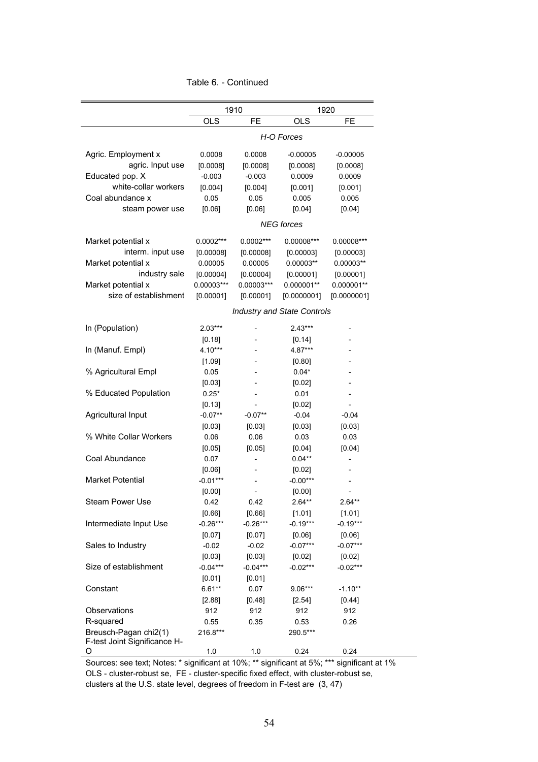| Table 6. - Continued |  |
|----------------------|--|
|----------------------|--|

|                                   | 1910                 |                      | 1920                               |                      |  |
|-----------------------------------|----------------------|----------------------|------------------------------------|----------------------|--|
|                                   | <b>OLS</b>           | <b>FE</b>            | <b>OLS</b>                         | <b>FE</b>            |  |
|                                   |                      |                      | H-O Forces                         |                      |  |
| Agric. Employment x               | 0.0008               | 0.0008               | $-0.00005$                         | $-0.00005$           |  |
| agric. Input use                  | [0.0008]             | [0.0008]             | [0.0008]                           | [0.0008]             |  |
| Educated pop. X                   | $-0.003$             | $-0.003$             | 0.0009                             | 0.0009               |  |
| white-collar workers              | [0.004]              | [0.004]              | [0.001]                            | [0.001]              |  |
| Coal abundance x                  | 0.05                 | 0.05                 | 0.005                              | 0.005                |  |
| steam power use                   | [0.06]               | [0.06]               | [0.04]                             | [0.04]               |  |
|                                   |                      |                      | <b>NEG</b> forces                  |                      |  |
| Market potential x                | 0.0002***            | $0.0002***$          | 0.00008***                         | $0.00008***$         |  |
| interm. input use                 | [0.00008]            | [0.00008]            | [0.00003]                          | [0.00003]            |  |
| Market potential x                | 0.00005              | 0.00005              | $0.00003**$                        | $0.00003**$          |  |
| industry sale                     | [0.00004]            | [0.00004]            | [0.00001]                          | [0.00001]            |  |
| Market potential x                | $0.00003***$         | $0.00003***$         | $0.000001**$                       | $0.000001**$         |  |
| size of establishment             | [0.00001]            | [0.00001]            | [0.0000001]                        | [0.0000001]          |  |
|                                   |                      |                      | <b>Industry and State Controls</b> |                      |  |
| In (Population)                   | $2.03***$            |                      | $2.43***$                          |                      |  |
|                                   | [0.18]               |                      | [0.14]                             |                      |  |
| In (Manuf. Empl)                  | 4.10***              |                      | 4.87***                            |                      |  |
|                                   | $[1.09]$             |                      | [0.80]                             |                      |  |
| % Agricultural Empl               | 0.05                 |                      | $0.04*$                            |                      |  |
|                                   | [0.03]               |                      | [0.02]                             |                      |  |
| % Educated Population             | $0.25*$              |                      | 0.01                               | $\overline{a}$       |  |
|                                   | [0.13]               |                      | [0.02]                             |                      |  |
| Agricultural Input                | $-0.07**$            | $-0.07**$            | $-0.04$                            | $-0.04$              |  |
|                                   | [0.03]               | [0.03]               | [0.03]                             | [0.03]               |  |
| % White Collar Workers            | 0.06                 | 0.06                 | 0.03                               | 0.03                 |  |
|                                   | [0.05]               | [0.05]               | [0.04]                             | [0.04]               |  |
| Coal Abundance                    | 0.07                 |                      | $0.04**$                           | $\overline{a}$       |  |
|                                   | [0.06]               |                      | [0.02]                             |                      |  |
| <b>Market Potential</b>           | $-0.01***$           |                      | $-0.00***$                         |                      |  |
|                                   | [0.00]               |                      | [0.00]                             |                      |  |
| Steam Power Use                   | 0.42                 | 0.42                 | $2.64**$                           | $2.64**$             |  |
|                                   | [0.66]               | [0.66]               | [1.01]                             | [1.01]               |  |
| Intermediate Input Use            | $-0.26***$           | $-0.26***$           | $-0.19***$                         | $-0.19***$           |  |
|                                   | [0.07]               | [0.07]               | [0.06]                             | [0.06]               |  |
| Sales to Industry                 | $-0.02$              | $-0.02$              | $-0.07***$                         | $-0.07***$           |  |
| Size of establishment             | [0.03]<br>$-0.04***$ | [0.03]<br>$-0.04***$ | [0.02]<br>$-0.02***$               | [0.02]<br>$-0.02***$ |  |
|                                   | [0.01]               |                      |                                    |                      |  |
| Constant                          | $6.61**$             | [0.01]<br>0.07       | $9.06***$                          | $-1.10**$            |  |
|                                   | [2.88]               | [0.48]               | [2.54]                             | [0.44]               |  |
| Observations                      | 912                  | 912                  | 912                                | 912                  |  |
| R-squared                         | 0.55                 | 0.35                 | 0.53                               | 0.26                 |  |
| Breusch-Pagan chi2(1)             | 216.8***             |                      | 290.5***                           |                      |  |
| F-test Joint Significance H-<br>O | 1.0                  | 1.0                  | 0.24                               | 0.24                 |  |
|                                   |                      |                      |                                    |                      |  |

Sources: see text; Notes: \* significant at 10%; \*\* significant at 5%; \*\*\* significant at 1% OLS - cluster-robust se, FE - cluster-specific fixed effect, with cluster-robust se,

clusters at the U.S. state level, degrees of freedom in F-test are (3, 47)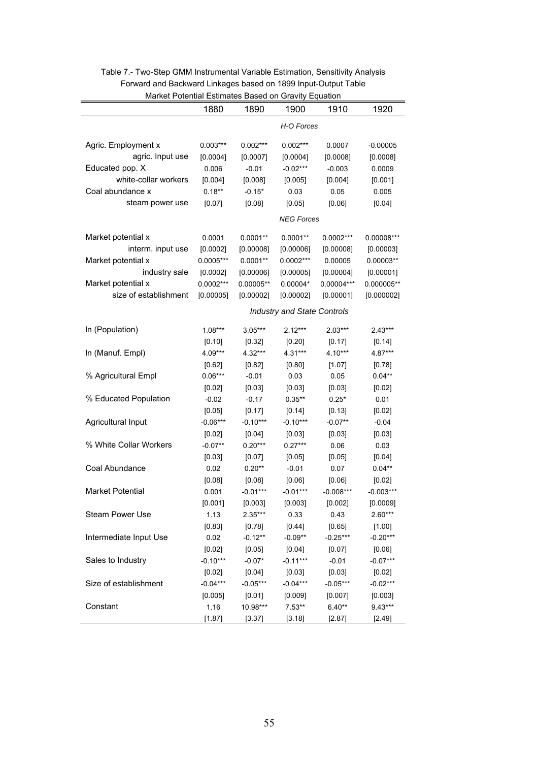| <b>Market Follomar Estimates Dascu UIT Oravity Equation</b> |                                    |             |             |              |              |  |  |
|-------------------------------------------------------------|------------------------------------|-------------|-------------|--------------|--------------|--|--|
|                                                             | 1880                               | 1890        | 1900        | 1910         | 1920         |  |  |
|                                                             | H-O Forces                         |             |             |              |              |  |  |
| Agric. Employment x                                         | $0.003***$                         | $0.002***$  | $0.002***$  | 0.0007       | $-0.00005$   |  |  |
| agric. Input use                                            | [0.0004]                           | [0.0007]    | [0.0004]    | [0.0008]     | [0.0008]     |  |  |
| Educated pop. X                                             | 0.006                              | $-0.01$     | $-0.02***$  | $-0.003$     | 0.0009       |  |  |
| white-collar workers                                        | [0.004]                            | [0.008]     | [0.005]     | [0.004]      | [0.001]      |  |  |
| Coal abundance x                                            | $0.18**$                           | $-0.15*$    | 0.03        | 0.05         | 0.005        |  |  |
| steam power use                                             | [0.07]                             | [0.08]      | [0.05]      | [0.06]       | [0.04]       |  |  |
|                                                             | <b>NEG Forces</b>                  |             |             |              |              |  |  |
| Market potential x                                          | 0.0001                             | $0.0001**$  | $0.0001**$  | $0.0002***$  | 0.00008***   |  |  |
| interm. input use                                           | [0.0002]                           | [0.00008]   | [0.00006]   | [0.00008]    | [0.00003]    |  |  |
| Market potential x                                          | $0.0005***$                        | $0.0001**$  | $0.0002***$ | 0.00005      | $0.00003**$  |  |  |
| industry sale                                               | [0.0002]                           | [0.00006]   | [0.00005]   | [0.00004]    | [0.00001]    |  |  |
| Market potential x                                          | $0.0002***$                        | $0.00005**$ | $0.00004*$  | $0.00004***$ | $0.000005**$ |  |  |
| size of establishment                                       | [0.00005]                          | [0.00002]   | [0.00002]   | [0.00001]    | [0.000002]   |  |  |
|                                                             | <b>Industry and State Controls</b> |             |             |              |              |  |  |
| In (Population)                                             | $1.08***$                          | $3.05***$   | $2.12***$   | $2.03***$    | $2.43***$    |  |  |
|                                                             | [0.10]                             | [0.32]      | [0.20]      | [0.17]       | [0.14]       |  |  |
| In (Manuf. Empl)                                            | 4.09***                            | 4.32***     | 4.31***     | $4.10***$    | 4.87***      |  |  |
|                                                             | [0.62]                             | [0.82]      | [0.80]      | [1.07]       | [0.78]       |  |  |
| % Agricultural Empl                                         | $0.06***$                          | $-0.01$     | 0.03        | 0.05         | $0.04**$     |  |  |
|                                                             | [0.02]                             | [0.03]      | [0.03]      | [0.03]       | [0.02]       |  |  |
| % Educated Population                                       | $-0.02$                            | $-0.17$     | $0.35**$    | $0.25*$      | 0.01         |  |  |
|                                                             | [0.05]                             | [0.17]      | [0.14]      | [0.13]       | [0.02]       |  |  |
| Agricultural Input                                          | $-0.06***$                         | $-0.10***$  | $-0.10***$  | $-0.07**$    | $-0.04$      |  |  |
|                                                             | [0.02]                             | [0.04]      | [0.03]      | [0.03]       | [0.03]       |  |  |
| % White Collar Workers                                      | $-0.07**$                          | $0.20***$   | $0.27***$   | 0.06         | 0.03         |  |  |
|                                                             | [0.03]                             | [0.07]      | [0.05]      | [0.05]       | [0.04]       |  |  |
| Coal Abundance                                              | 0.02                               | $0.20**$    | $-0.01$     | 0.07         | $0.04**$     |  |  |
|                                                             | [0.08]                             | [0.08]      | [0.06]      | [0.06]       | [0.02]       |  |  |
| <b>Market Potential</b>                                     | 0.001                              | $-0.01***$  | $-0.01***$  | $-0.008***$  | $-0.003***$  |  |  |
|                                                             | [0.001]                            | [0.003]     | [0.003]     | [0.002]      | [0.0009]     |  |  |
| <b>Steam Power Use</b>                                      | 1.13                               | $2.35***$   | 0.33        | 0.43         | $2.60***$    |  |  |
|                                                             | [0.83]                             | [0.78]      | [0.44]      | [0.65]       | [1.00]       |  |  |
| Intermediate Input Use                                      | 0.02                               | $-0.12**$   | $-0.09**$   | $-0.25***$   | $-0.20***$   |  |  |
|                                                             | [0.02]                             | [0.05]      | [0.04]      | [0.07]       | [0.06]       |  |  |
| Sales to Industry                                           | $-0.10***$                         | $-0.07*$    | $-0.11***$  | $-0.01$      | $-0.07***$   |  |  |
|                                                             | [0.02]                             | [0.04]      | [0.03]      | [0.03]       | [0.02]       |  |  |
| Size of establishment                                       | $-0.04***$                         | $-0.05***$  | $-0.04***$  | $-0.05***$   | $-0.02***$   |  |  |
|                                                             | [0.005]                            | [0.01]      | [0.009]     | [0.007]      | [0.003]      |  |  |
| Constant                                                    | 1.16                               | 10.98***    | $7.53**$    | $6.40**$     | 9.43***      |  |  |
|                                                             | [1.87]                             | [3.37]      | [3.18]      | [2.87]       | [2.49]       |  |  |

#### Table 7.- Two-Step GMM Instrumental Variable Estimation, Sensitivity Analysis Forward and Backward Linkages based on 1899 Input-Output Table Market Potential Estimates Based on Gravity Equation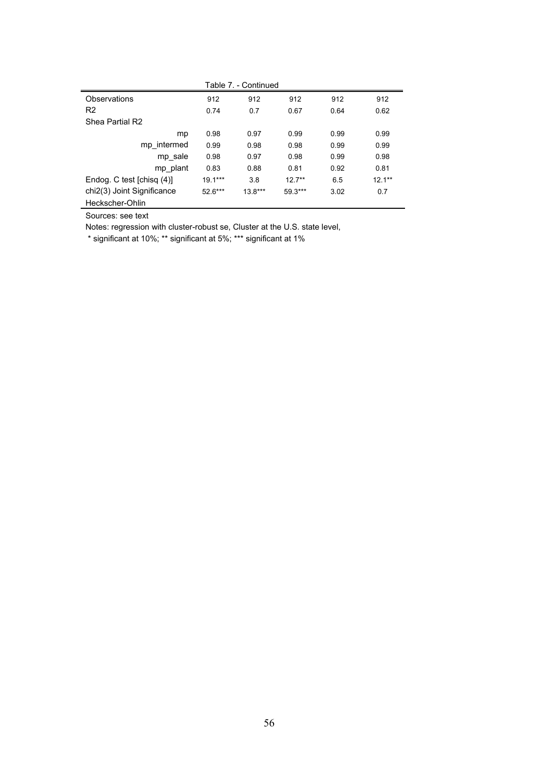| Table 7. - Continued       |           |           |           |      |           |  |
|----------------------------|-----------|-----------|-----------|------|-----------|--|
| Observations               | 912       | 912       | 912       | 912  | 912       |  |
| R <sub>2</sub>             | 0.74      | 0.7       | 0.67      | 0.64 | 0.62      |  |
| Shea Partial R2            |           |           |           |      |           |  |
| mp                         | 0.98      | 0.97      | 0.99      | 0.99 | 0.99      |  |
| mp intermed                | 0.99      | 0.98      | 0.98      | 0.99 | 0.99      |  |
| mp sale                    | 0.98      | 0.97      | 0.98      | 0.99 | 0.98      |  |
| mp_plant                   | 0.83      | 0.88      | 0.81      | 0.92 | 0.81      |  |
| Endog. C test [chisq (4)]  | $19.1***$ | 3.8       | $127**$   | 6.5  | $12.1***$ |  |
| chi2(3) Joint Significance | $52.6***$ | $13.8***$ | $59.3***$ | 3.02 | 0.7       |  |
| Heckscher-Ohlin            |           |           |           |      |           |  |

Sources: see text

Notes: regression with cluster-robust se, Cluster at the U.S. state level,

\* significant at 10%; \*\* significant at 5%; \*\*\* significant at 1%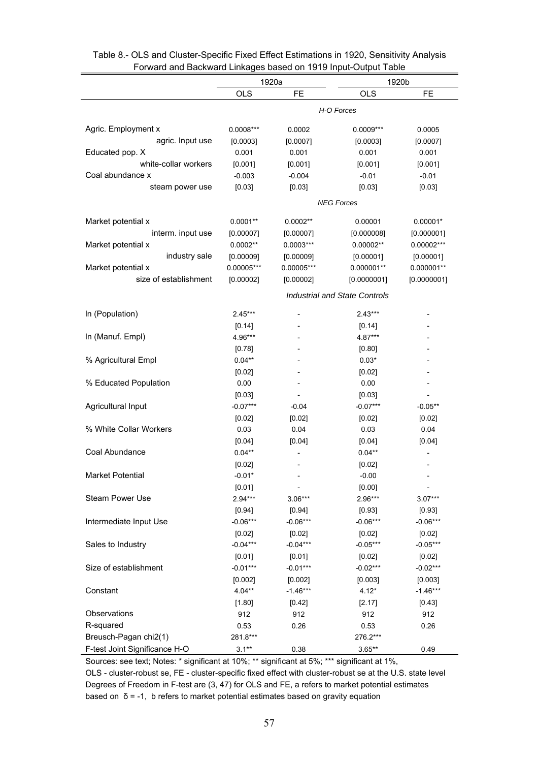| <b>OLS</b><br><b>FE</b><br><b>OLS</b><br>FE<br>H-O Forces<br>Agric. Employment x<br>0.0005<br>$0.0008***$<br>0.0002<br>0.0009***<br>agric. Input use<br>[0.0003]<br>[0.0007]<br>[0.0003]<br>[0.0007]<br>Educated pop. X<br>0.001<br>0.001<br>0.001<br>0.001<br>white-collar workers<br>[0.001]<br>[0.001]<br>[0.001]<br>[0.001]<br>Coal abundance x<br>$-0.003$<br>$-0.004$<br>$-0.01$<br>$-0.01$<br>steam power use<br>[0.03]<br>[0.03]<br>[0.03]<br>[0.03]<br><b>NEG Forces</b><br>Market potential x<br>$0.0001**$<br>$0.0002**$<br>0.00001<br>$0.00001*$<br>interm. input use<br>[0.00007]<br>[0.00007]<br>[0.000008]<br>[0.000001]<br>Market potential x<br>$0.0002**$<br>$0.0003***$<br>$0.00002**$<br>$0.00002***$<br>industry sale<br>[0.00009]<br>[0.00009]<br>[0.00001]<br>[0.00001]<br>Market potential x<br>$0.00005***$<br>$0.00005***$<br>$0.000001**$<br>$0.000001**$<br>size of establishment<br>[0.00002]<br>[0.0000001]<br>[0.00002]<br>[0.0000001]<br><b>Industrial and State Controls</b><br>In (Population)<br>$2.45***$<br>$2.43***$<br>$\overline{\phantom{0}}$<br>[0.14]<br>[0.14]<br>In (Manuf. Empl)<br>4.96***<br>4.87***<br>[0.78]<br>[0.80]<br>% Agricultural Empl<br>$0.04**$<br>$0.03*$<br>[0.02]<br>[0.02]<br>% Educated Population<br>0.00<br>0.00<br>$\overline{a}$<br>[0.03]<br>[0.03]<br>$\overline{\phantom{0}}$<br>$\overline{\phantom{0}}$<br>Agricultural Input<br>$-0.07***$<br>$-0.07***$<br>$-0.04$<br>$-0.05**$ | 1920a |  | TUI watu anu Dackward Einkages based on 1919 mpar-Output Table<br>1920b |  |  |  |
|-------------------------------------------------------------------------------------------------------------------------------------------------------------------------------------------------------------------------------------------------------------------------------------------------------------------------------------------------------------------------------------------------------------------------------------------------------------------------------------------------------------------------------------------------------------------------------------------------------------------------------------------------------------------------------------------------------------------------------------------------------------------------------------------------------------------------------------------------------------------------------------------------------------------------------------------------------------------------------------------------------------------------------------------------------------------------------------------------------------------------------------------------------------------------------------------------------------------------------------------------------------------------------------------------------------------------------------------------------------------------------------------------------------------------------------------------------------|-------|--|-------------------------------------------------------------------------|--|--|--|
|                                                                                                                                                                                                                                                                                                                                                                                                                                                                                                                                                                                                                                                                                                                                                                                                                                                                                                                                                                                                                                                                                                                                                                                                                                                                                                                                                                                                                                                             |       |  |                                                                         |  |  |  |
|                                                                                                                                                                                                                                                                                                                                                                                                                                                                                                                                                                                                                                                                                                                                                                                                                                                                                                                                                                                                                                                                                                                                                                                                                                                                                                                                                                                                                                                             |       |  |                                                                         |  |  |  |
|                                                                                                                                                                                                                                                                                                                                                                                                                                                                                                                                                                                                                                                                                                                                                                                                                                                                                                                                                                                                                                                                                                                                                                                                                                                                                                                                                                                                                                                             |       |  |                                                                         |  |  |  |
|                                                                                                                                                                                                                                                                                                                                                                                                                                                                                                                                                                                                                                                                                                                                                                                                                                                                                                                                                                                                                                                                                                                                                                                                                                                                                                                                                                                                                                                             |       |  |                                                                         |  |  |  |
|                                                                                                                                                                                                                                                                                                                                                                                                                                                                                                                                                                                                                                                                                                                                                                                                                                                                                                                                                                                                                                                                                                                                                                                                                                                                                                                                                                                                                                                             |       |  |                                                                         |  |  |  |
|                                                                                                                                                                                                                                                                                                                                                                                                                                                                                                                                                                                                                                                                                                                                                                                                                                                                                                                                                                                                                                                                                                                                                                                                                                                                                                                                                                                                                                                             |       |  |                                                                         |  |  |  |
|                                                                                                                                                                                                                                                                                                                                                                                                                                                                                                                                                                                                                                                                                                                                                                                                                                                                                                                                                                                                                                                                                                                                                                                                                                                                                                                                                                                                                                                             |       |  |                                                                         |  |  |  |
|                                                                                                                                                                                                                                                                                                                                                                                                                                                                                                                                                                                                                                                                                                                                                                                                                                                                                                                                                                                                                                                                                                                                                                                                                                                                                                                                                                                                                                                             |       |  |                                                                         |  |  |  |
|                                                                                                                                                                                                                                                                                                                                                                                                                                                                                                                                                                                                                                                                                                                                                                                                                                                                                                                                                                                                                                                                                                                                                                                                                                                                                                                                                                                                                                                             |       |  |                                                                         |  |  |  |
|                                                                                                                                                                                                                                                                                                                                                                                                                                                                                                                                                                                                                                                                                                                                                                                                                                                                                                                                                                                                                                                                                                                                                                                                                                                                                                                                                                                                                                                             |       |  |                                                                         |  |  |  |
|                                                                                                                                                                                                                                                                                                                                                                                                                                                                                                                                                                                                                                                                                                                                                                                                                                                                                                                                                                                                                                                                                                                                                                                                                                                                                                                                                                                                                                                             |       |  |                                                                         |  |  |  |
|                                                                                                                                                                                                                                                                                                                                                                                                                                                                                                                                                                                                                                                                                                                                                                                                                                                                                                                                                                                                                                                                                                                                                                                                                                                                                                                                                                                                                                                             |       |  |                                                                         |  |  |  |
|                                                                                                                                                                                                                                                                                                                                                                                                                                                                                                                                                                                                                                                                                                                                                                                                                                                                                                                                                                                                                                                                                                                                                                                                                                                                                                                                                                                                                                                             |       |  |                                                                         |  |  |  |
|                                                                                                                                                                                                                                                                                                                                                                                                                                                                                                                                                                                                                                                                                                                                                                                                                                                                                                                                                                                                                                                                                                                                                                                                                                                                                                                                                                                                                                                             |       |  |                                                                         |  |  |  |
|                                                                                                                                                                                                                                                                                                                                                                                                                                                                                                                                                                                                                                                                                                                                                                                                                                                                                                                                                                                                                                                                                                                                                                                                                                                                                                                                                                                                                                                             |       |  |                                                                         |  |  |  |
|                                                                                                                                                                                                                                                                                                                                                                                                                                                                                                                                                                                                                                                                                                                                                                                                                                                                                                                                                                                                                                                                                                                                                                                                                                                                                                                                                                                                                                                             |       |  |                                                                         |  |  |  |
|                                                                                                                                                                                                                                                                                                                                                                                                                                                                                                                                                                                                                                                                                                                                                                                                                                                                                                                                                                                                                                                                                                                                                                                                                                                                                                                                                                                                                                                             |       |  |                                                                         |  |  |  |
|                                                                                                                                                                                                                                                                                                                                                                                                                                                                                                                                                                                                                                                                                                                                                                                                                                                                                                                                                                                                                                                                                                                                                                                                                                                                                                                                                                                                                                                             |       |  |                                                                         |  |  |  |
|                                                                                                                                                                                                                                                                                                                                                                                                                                                                                                                                                                                                                                                                                                                                                                                                                                                                                                                                                                                                                                                                                                                                                                                                                                                                                                                                                                                                                                                             |       |  |                                                                         |  |  |  |
|                                                                                                                                                                                                                                                                                                                                                                                                                                                                                                                                                                                                                                                                                                                                                                                                                                                                                                                                                                                                                                                                                                                                                                                                                                                                                                                                                                                                                                                             |       |  |                                                                         |  |  |  |
|                                                                                                                                                                                                                                                                                                                                                                                                                                                                                                                                                                                                                                                                                                                                                                                                                                                                                                                                                                                                                                                                                                                                                                                                                                                                                                                                                                                                                                                             |       |  |                                                                         |  |  |  |
|                                                                                                                                                                                                                                                                                                                                                                                                                                                                                                                                                                                                                                                                                                                                                                                                                                                                                                                                                                                                                                                                                                                                                                                                                                                                                                                                                                                                                                                             |       |  |                                                                         |  |  |  |
|                                                                                                                                                                                                                                                                                                                                                                                                                                                                                                                                                                                                                                                                                                                                                                                                                                                                                                                                                                                                                                                                                                                                                                                                                                                                                                                                                                                                                                                             |       |  |                                                                         |  |  |  |
|                                                                                                                                                                                                                                                                                                                                                                                                                                                                                                                                                                                                                                                                                                                                                                                                                                                                                                                                                                                                                                                                                                                                                                                                                                                                                                                                                                                                                                                             |       |  |                                                                         |  |  |  |
|                                                                                                                                                                                                                                                                                                                                                                                                                                                                                                                                                                                                                                                                                                                                                                                                                                                                                                                                                                                                                                                                                                                                                                                                                                                                                                                                                                                                                                                             |       |  |                                                                         |  |  |  |
|                                                                                                                                                                                                                                                                                                                                                                                                                                                                                                                                                                                                                                                                                                                                                                                                                                                                                                                                                                                                                                                                                                                                                                                                                                                                                                                                                                                                                                                             |       |  |                                                                         |  |  |  |
| [0.02]<br>[0.02]<br>[0.02]<br>[0.02]                                                                                                                                                                                                                                                                                                                                                                                                                                                                                                                                                                                                                                                                                                                                                                                                                                                                                                                                                                                                                                                                                                                                                                                                                                                                                                                                                                                                                        |       |  |                                                                         |  |  |  |
| % White Collar Workers<br>0.03<br>0.04<br>0.03<br>0.04                                                                                                                                                                                                                                                                                                                                                                                                                                                                                                                                                                                                                                                                                                                                                                                                                                                                                                                                                                                                                                                                                                                                                                                                                                                                                                                                                                                                      |       |  |                                                                         |  |  |  |
| [0.04]<br>[0.04]<br>[0.04]<br>[0.04]                                                                                                                                                                                                                                                                                                                                                                                                                                                                                                                                                                                                                                                                                                                                                                                                                                                                                                                                                                                                                                                                                                                                                                                                                                                                                                                                                                                                                        |       |  |                                                                         |  |  |  |
| Coal Abundance<br>$0.04**$<br>$0.04**$<br>$\overline{a}$                                                                                                                                                                                                                                                                                                                                                                                                                                                                                                                                                                                                                                                                                                                                                                                                                                                                                                                                                                                                                                                                                                                                                                                                                                                                                                                                                                                                    |       |  |                                                                         |  |  |  |
| [0.02]<br>[0.02]                                                                                                                                                                                                                                                                                                                                                                                                                                                                                                                                                                                                                                                                                                                                                                                                                                                                                                                                                                                                                                                                                                                                                                                                                                                                                                                                                                                                                                            |       |  |                                                                         |  |  |  |
| Market Potential<br>$-0.01*$<br>$-0.00$                                                                                                                                                                                                                                                                                                                                                                                                                                                                                                                                                                                                                                                                                                                                                                                                                                                                                                                                                                                                                                                                                                                                                                                                                                                                                                                                                                                                                     |       |  |                                                                         |  |  |  |
| [0.01]<br>[0.00]                                                                                                                                                                                                                                                                                                                                                                                                                                                                                                                                                                                                                                                                                                                                                                                                                                                                                                                                                                                                                                                                                                                                                                                                                                                                                                                                                                                                                                            |       |  |                                                                         |  |  |  |
| $2.94***$<br><b>Steam Power Use</b><br>$2.96***$<br>$3.07***$<br>$3.06***$                                                                                                                                                                                                                                                                                                                                                                                                                                                                                                                                                                                                                                                                                                                                                                                                                                                                                                                                                                                                                                                                                                                                                                                                                                                                                                                                                                                  |       |  |                                                                         |  |  |  |
| [0.94]<br>[0.94]<br>[0.93]<br>[0.93]                                                                                                                                                                                                                                                                                                                                                                                                                                                                                                                                                                                                                                                                                                                                                                                                                                                                                                                                                                                                                                                                                                                                                                                                                                                                                                                                                                                                                        |       |  |                                                                         |  |  |  |
| Intermediate Input Use<br>$-0.06***$<br>$-0.06***$<br>$-0.06***$<br>$-0.06***$                                                                                                                                                                                                                                                                                                                                                                                                                                                                                                                                                                                                                                                                                                                                                                                                                                                                                                                                                                                                                                                                                                                                                                                                                                                                                                                                                                              |       |  |                                                                         |  |  |  |
| [0.02]<br>[0.02]<br>[0.02]<br>[0.02]                                                                                                                                                                                                                                                                                                                                                                                                                                                                                                                                                                                                                                                                                                                                                                                                                                                                                                                                                                                                                                                                                                                                                                                                                                                                                                                                                                                                                        |       |  |                                                                         |  |  |  |
| $-0.04***$<br>$-0.04***$<br>$-0.05***$<br>$-0.05***$<br>Sales to Industry                                                                                                                                                                                                                                                                                                                                                                                                                                                                                                                                                                                                                                                                                                                                                                                                                                                                                                                                                                                                                                                                                                                                                                                                                                                                                                                                                                                   |       |  |                                                                         |  |  |  |
| [0.01]<br>[0.01]<br>[0.02]<br>[0.02]                                                                                                                                                                                                                                                                                                                                                                                                                                                                                                                                                                                                                                                                                                                                                                                                                                                                                                                                                                                                                                                                                                                                                                                                                                                                                                                                                                                                                        |       |  |                                                                         |  |  |  |
| Size of establishment<br>$-0.01***$<br>$-0.01***$<br>$-0.02***$<br>$-0.02***$                                                                                                                                                                                                                                                                                                                                                                                                                                                                                                                                                                                                                                                                                                                                                                                                                                                                                                                                                                                                                                                                                                                                                                                                                                                                                                                                                                               |       |  |                                                                         |  |  |  |
| [0.002]<br>[0.002]<br>[0.003]<br>[0.003]                                                                                                                                                                                                                                                                                                                                                                                                                                                                                                                                                                                                                                                                                                                                                                                                                                                                                                                                                                                                                                                                                                                                                                                                                                                                                                                                                                                                                    |       |  |                                                                         |  |  |  |
| $4.04**$<br>$-1.46***$<br>Constant<br>$4.12*$<br>$-1.46***$                                                                                                                                                                                                                                                                                                                                                                                                                                                                                                                                                                                                                                                                                                                                                                                                                                                                                                                                                                                                                                                                                                                                                                                                                                                                                                                                                                                                 |       |  |                                                                         |  |  |  |
| [1.80]<br>[2.17]<br>[0.42]<br>[0.43]                                                                                                                                                                                                                                                                                                                                                                                                                                                                                                                                                                                                                                                                                                                                                                                                                                                                                                                                                                                                                                                                                                                                                                                                                                                                                                                                                                                                                        |       |  |                                                                         |  |  |  |
| Observations<br>912<br>912<br>912<br>912                                                                                                                                                                                                                                                                                                                                                                                                                                                                                                                                                                                                                                                                                                                                                                                                                                                                                                                                                                                                                                                                                                                                                                                                                                                                                                                                                                                                                    |       |  |                                                                         |  |  |  |
| R-squared<br>0.26<br>0.53<br>0.53<br>0.26                                                                                                                                                                                                                                                                                                                                                                                                                                                                                                                                                                                                                                                                                                                                                                                                                                                                                                                                                                                                                                                                                                                                                                                                                                                                                                                                                                                                                   |       |  |                                                                         |  |  |  |
| 281.8***<br>Breusch-Pagan chi2(1)<br>276.2***                                                                                                                                                                                                                                                                                                                                                                                                                                                                                                                                                                                                                                                                                                                                                                                                                                                                                                                                                                                                                                                                                                                                                                                                                                                                                                                                                                                                               |       |  |                                                                         |  |  |  |
| F-test Joint Significance H-O<br>$3.1***$<br>0.38<br>$3.65**$<br>0.49                                                                                                                                                                                                                                                                                                                                                                                                                                                                                                                                                                                                                                                                                                                                                                                                                                                                                                                                                                                                                                                                                                                                                                                                                                                                                                                                                                                       |       |  |                                                                         |  |  |  |

### Table 8.- OLS and Cluster-Specific Fixed Effect Estimations in 1920, Sensitivity Analysis Forward and Backward Linkages based on 1919 Input-Output Table

Sources: see text; Notes: \* significant at 10%; \*\* significant at 5%; \*\*\* significant at 1%,

OLS - cluster-robust se, FE - cluster-specific fixed effect with cluster-robust se at the U.S. state level Degrees of Freedom in F-test are (3, 47) for OLS and FE, a refers to market potential estimates based on  $\delta$  = -1, b refers to market potential estimates based on gravity equation